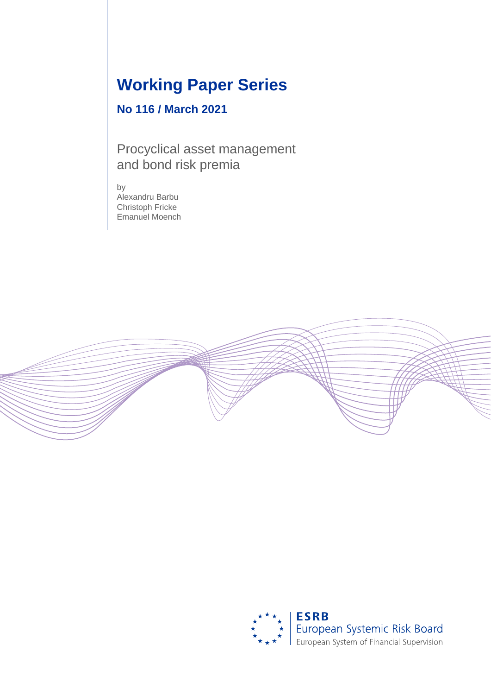# **Working Paper Series**

## **No 116 / March 2021**

Procyclical asset management and bond risk premia

by Alexandru Barbu Christoph Fricke Emanuel Moench



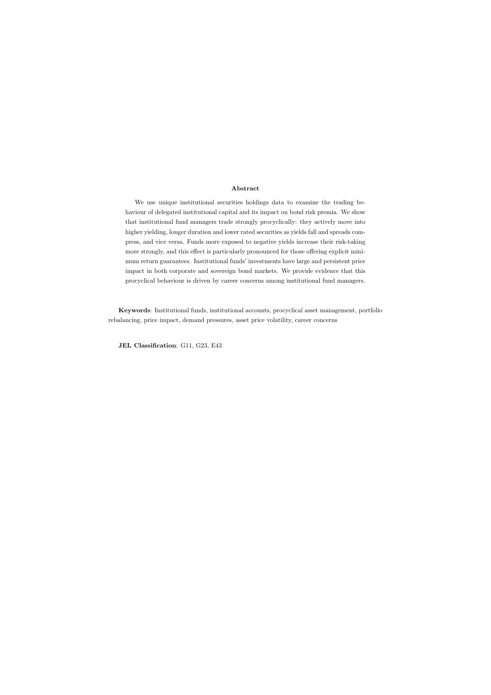### Abstract

We use unique institutional securities holdings data to examine the trading behaviour of delegated institutional capital and its impact on bond risk premia. We show that institutional fund managers trade strongly procyclically: they actively move into higher yielding, longer duration and lower rated securities as yields fall and spreads compress, and vice versa. Funds more exposed to negative yields increase their risk-taking more strongly, and this effect is particularly pronounced for those offering explicit minimum return guarantees. Institutional funds' investments have large and persistent price impact in both corporate and sovereign bond markets. We provide evidence that this procyclical behaviour is driven by career concerns among institutional fund managers.

Keywords: Institutional funds, institutional accounts, procyclical asset management, portfolio rebalancing, price impact, demand pressures, asset price volatility, career concerns

JEL Classification: G11, G23, E43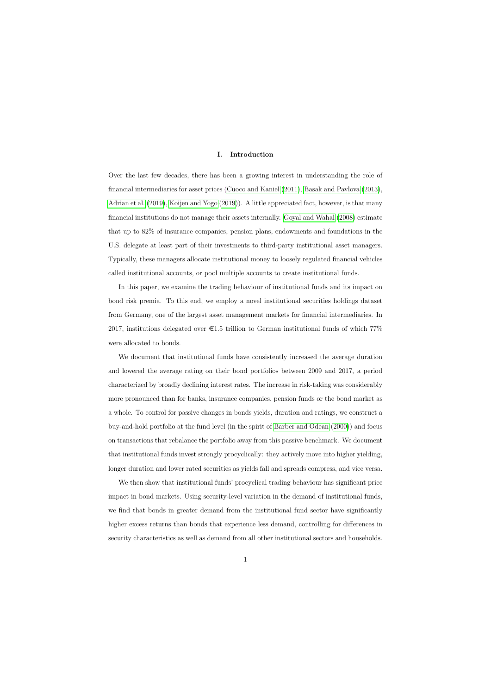### I. Introduction

Over the last few decades, there has been a growing interest in understanding the role of financial intermediaries for asset prices [\(Cuoco and Kaniel](#page-37-0) [\(2011\)](#page-37-0), [Basak and Pavlova](#page-37-1) [\(2013\)](#page-37-1), [Adrian et al.](#page-37-2) [\(2019\)](#page-37-2), [Koijen and Yogo](#page-38-0) [\(2019\)](#page-38-0)). A little appreciated fact, however, is that many financial institutions do not manage their assets internally. [Goyal and Wahal](#page-38-1) [\(2008\)](#page-38-1) estimate that up to 82% of insurance companies, pension plans, endowments and foundations in the U.S. delegate at least part of their investments to third-party institutional asset managers. Typically, these managers allocate institutional money to loosely regulated financial vehicles called institutional accounts, or pool multiple accounts to create institutional funds.

In this paper, we examine the trading behaviour of institutional funds and its impact on bond risk premia. To this end, we employ a novel institutional securities holdings dataset from Germany, one of the largest asset management markets for financial intermediaries. In 2017, institutions delegated over  $\epsilon$ 1.5 trillion to German institutional funds of which 77% were allocated to bonds.

We document that institutional funds have consistently increased the average duration and lowered the average rating on their bond portfolios between 2009 and 2017, a period characterized by broadly declining interest rates. The increase in risk-taking was considerably more pronounced than for banks, insurance companies, pension funds or the bond market as a whole. To control for passive changes in bonds yields, duration and ratings, we construct a buy-and-hold portfolio at the fund level (in the spirit of [Barber and Odean](#page-37-3) [\(2000\)](#page-37-3)) and focus on transactions that rebalance the portfolio away from this passive benchmark. We document that institutional funds invest strongly procyclically: they actively move into higher yielding, longer duration and lower rated securities as yields fall and spreads compress, and vice versa.

We then show that institutional funds' procyclical trading behaviour has significant price impact in bond markets. Using security-level variation in the demand of institutional funds, we find that bonds in greater demand from the institutional fund sector have significantly higher excess returns than bonds that experience less demand, controlling for differences in security characteristics as well as demand from all other institutional sectors and households.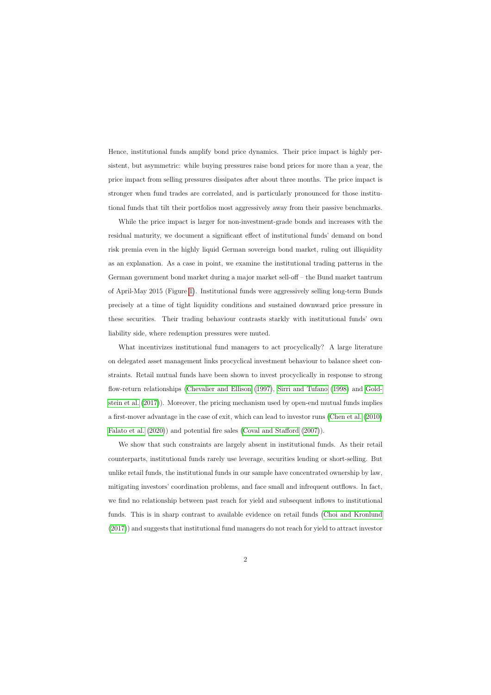Hence, institutional funds amplify bond price dynamics. Their price impact is highly persistent, but asymmetric: while buying pressures raise bond prices for more than a year, the price impact from selling pressures dissipates after about three months. The price impact is stronger when fund trades are correlated, and is particularly pronounced for those institutional funds that tilt their portfolios most aggressively away from their passive benchmarks.

While the price impact is larger for non-investment-grade bonds and increases with the residual maturity, we document a significant effect of institutional funds' demand on bond risk premia even in the highly liquid German sovereign bond market, ruling out illiquidity as an explanation. As a case in point, we examine the institutional trading patterns in the German government bond market during a major market sell-off – the Bund market tantrum of April-May 2015 (Figure [1\)](#page-40-0). Institutional funds were aggressively selling long-term Bunds precisely at a time of tight liquidity conditions and sustained downward price pressure in these securities. Their trading behaviour contrasts starkly with institutional funds' own liability side, where redemption pressures were muted.

What incentivizes institutional fund managers to act procyclically? A large literature on delegated asset management links procyclical investment behaviour to balance sheet constraints. Retail mutual funds have been shown to invest procyclically in response to strong flow-return relationships [\(Chevalier and Ellison](#page-37-4) [\(1997\)](#page-37-4), [Sirri and Tufano](#page-39-0) [\(1998\)](#page-39-0) and [Gold](#page-38-2)[stein et al.](#page-38-2) [\(2017\)](#page-38-2)). Moreover, the pricing mechanism used by open-end mutual funds implies a first-mover advantage in the case of exit, which can lead to investor runs [\(Chen et al.](#page-37-5) [\(2010\)](#page-37-5) [Falato et al.](#page-38-3) [\(2020\)](#page-38-3)) and potential fire sales [\(Coval and Stafford](#page-37-6) [\(2007\)](#page-37-6)).

We show that such constraints are largely absent in institutional funds. As their retail counterparts, institutional funds rarely use leverage, securities lending or short-selling. But unlike retail funds, the institutional funds in our sample have concentrated ownership by law, mitigating investors' coordination problems, and face small and infrequent outflows. In fact, we find no relationship between past reach for yield and subsequent inflows to institutional funds. This is in sharp contrast to available evidence on retail funds [\(Choi and Kronlund](#page-37-7) [\(2017\)](#page-37-7)) and suggests that institutional fund managers do not reach for yield to attract investor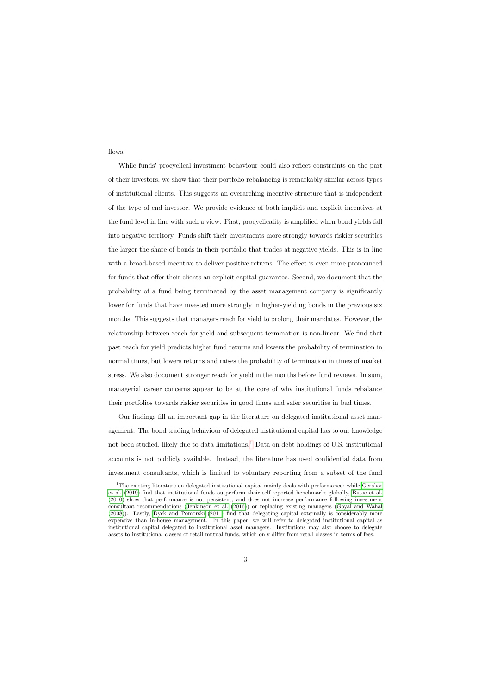flows.

While funds' procyclical investment behaviour could also reflect constraints on the part of their investors, we show that their portfolio rebalancing is remarkably similar across types of institutional clients. This suggests an overarching incentive structure that is independent of the type of end investor. We provide evidence of both implicit and explicit incentives at the fund level in line with such a view. First, procyclicality is amplified when bond yields fall into negative territory. Funds shift their investments more strongly towards riskier securities the larger the share of bonds in their portfolio that trades at negative yields. This is in line with a broad-based incentive to deliver positive returns. The effect is even more pronounced for funds that offer their clients an explicit capital guarantee. Second, we document that the probability of a fund being terminated by the asset management company is significantly lower for funds that have invested more strongly in higher-yielding bonds in the previous six months. This suggests that managers reach for yield to prolong their mandates. However, the relationship between reach for yield and subsequent termination is non-linear. We find that past reach for yield predicts higher fund returns and lowers the probability of termination in normal times, but lowers returns and raises the probability of termination in times of market stress. We also document stronger reach for yield in the months before fund reviews. In sum, managerial career concerns appear to be at the core of why institutional funds rebalance their portfolios towards riskier securities in good times and safer securities in bad times.

Our findings fill an important gap in the literature on delegated institutional asset management. The bond trading behaviour of delegated institutional capital has to our knowledge not been studied, likely due to data limitations.<sup>[1](#page-4-0)</sup> Data on debt holdings of U.S. institutional accounts is not publicly available. Instead, the literature has used confidential data from investment consultants, which is limited to voluntary reporting from a subset of the fund

<span id="page-4-0"></span><sup>&</sup>lt;sup>1</sup>The existing literature on delegated institutional capital mainly deals with performance: while [Gerakos](#page-38-4) [et al.](#page-38-4) [\(2019\)](#page-38-4) find that institutional funds outperform their self-reported benchmarks globally, [Busse et al.](#page-37-8) [\(2010\)](#page-37-8) show that performance is not persistent, and does not increase performance following investment consultant recommendations [\(Jenkinson et al.](#page-38-5) [\(2016\)](#page-38-5)) or replacing existing managers [\(Goyal and Wahal](#page-38-1) [\(2008\)](#page-38-1)). Lastly, [Dyck and Pomorski](#page-38-6) [\(2011\)](#page-38-6) find that delegating capital externally is considerably more expensive than in-house management. In this paper, we will refer to delegated institutional capital as institutional capital delegated to institutional asset managers. Institutions may also choose to delegate assets to institutional classes of retail mutual funds, which only differ from retail classes in terms of fees.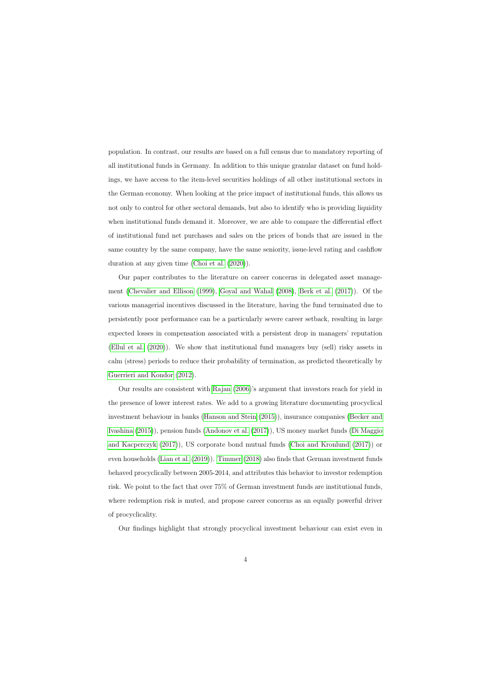population. In contrast, our results are based on a full census due to mandatory reporting of all institutional funds in Germany. In addition to this unique granular dataset on fund holdings, we have access to the item-level securities holdings of all other institutional sectors in the German economy. When looking at the price impact of institutional funds, this allows us not only to control for other sectoral demands, but also to identify who is providing liquidity when institutional funds demand it. Moreover, we are able to compare the differential effect of institutional fund net purchases and sales on the prices of bonds that are issued in the same country by the same company, have the same seniority, issue-level rating and cashflow duration at any given time [\(Choi et al.](#page-37-9) [\(2020\)](#page-37-9)).

Our paper contributes to the literature on career concerns in delegated asset management [\(Chevalier and Ellison](#page-37-10) [\(1999\)](#page-37-10), [Goyal and Wahal](#page-38-1) [\(2008\)](#page-38-1), [Berk et al.](#page-37-11) [\(2017\)](#page-37-11)). Of the various managerial incentives discussed in the literature, having the fund terminated due to persistently poor performance can be a particularly severe career setback, resulting in large expected losses in compensation associated with a persistent drop in managers' reputation [\(Ellul et al.](#page-38-7) [\(2020\)](#page-38-7)). We show that institutional fund managers buy (sell) risky assets in calm (stress) periods to reduce their probability of termination, as predicted theoretically by [Guerrieri and Kondor](#page-38-8) [\(2012\)](#page-38-8).

Our results are consistent with [Rajan](#page-39-1) [\(2006\)](#page-39-1)'s argument that investors reach for yield in the presence of lower interest rates. We add to a growing literature documenting procyclical investment behaviour in banks [\(Hanson and Stein](#page-38-9) [\(2015\)](#page-38-9)), insurance companies [\(Becker and](#page-37-12) [Ivashina](#page-37-12) [\(2015\)](#page-37-12)), pension funds [\(Andonov et al.](#page-37-13) [\(2017\)](#page-37-13)), US money market funds [\(Di Maggio](#page-37-14) [and Kacperczyk](#page-37-14) [\(2017\)](#page-37-14)), US corporate bond mutual funds [\(Choi and Kronlund](#page-37-7) [\(2017\)](#page-37-7)) or even households [\(Lian et al.](#page-39-2) [\(2019\)](#page-39-2)). [Timmer](#page-39-3) [\(2018\)](#page-39-3) also finds that German investment funds behaved procyclically between 2005-2014, and attributes this behavior to investor redemption risk. We point to the fact that over 75% of German investment funds are institutional funds, where redemption risk is muted, and propose career concerns as an equally powerful driver of procyclicality.

Our findings highlight that strongly procyclical investment behaviour can exist even in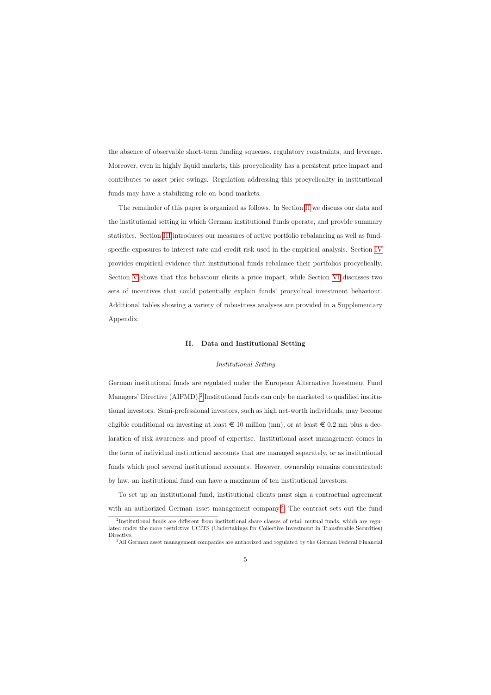the absence of observable short-term funding squeezes, regulatory constraints, and leverage. Moreover, even in highly liquid markets, this procyclicality has a persistent price impact and contributes to asset price swings. Regulation addressing this procyclicality in institutional funds may have a stabilizing role on bond markets.

The remainder of this paper is organized as follows. In Section [II](#page-6-0) we discuss our data and the institutional setting in which German institutional funds operate, and provide summary statistics. Section [III](#page-11-0) introduces our measures of active portfolio rebalancing as well as fundspecific exposures to interest rate and credit risk used in the empirical analysis. Section [IV](#page-15-0) provides empirical evidence that institutional funds rebalance their portfolios procyclically. Section [V](#page-18-0) shows that this behaviour elicits a price impact, while Section [VI](#page-27-0) discusses two sets of incentives that could potentially explain funds' procyclical investment behaviour. Additional tables showing a variety of robustness analyses are provided in a Supplementary Appendix.

### II. Data and Institutional Setting

### Institutional Setting

German institutional funds are regulated under the European Alternative Investment Fund Managers' Directive (AIFMD).<sup>[2](#page-6-1)</sup> Institutional funds can only be marketed to qualified institutional investors. Semi-professional investors, such as high net-worth individuals, may become eligible conditional on investing at least  $\in$  10 million (mn), or at least  $\in$  0.2 mn plus a declaration of risk awareness and proof of expertise. Institutional asset management comes in the form of individual institutional accounts that are managed separately, or as institutional funds which pool several institutional accounts. However, ownership remains concentrated: by law, an institutional fund can have a maximum of ten institutional investors.

<span id="page-6-0"></span>To set up an institutional fund, institutional clients must sign a contractual agreement with an authorized German asset management company.<sup>[3](#page-6-2)</sup> The contract sets out the fund

<sup>&</sup>lt;sup>2</sup>Institutional funds are different from institutional share classes of retail mutual funds, which are regulated under the more restrictive UCITS (Undertakings for Collective Investment in Transferable Securities) Directive.

<span id="page-6-2"></span><span id="page-6-1"></span><sup>3</sup>All German asset management companies are authorized and regulated by the German Federal Financial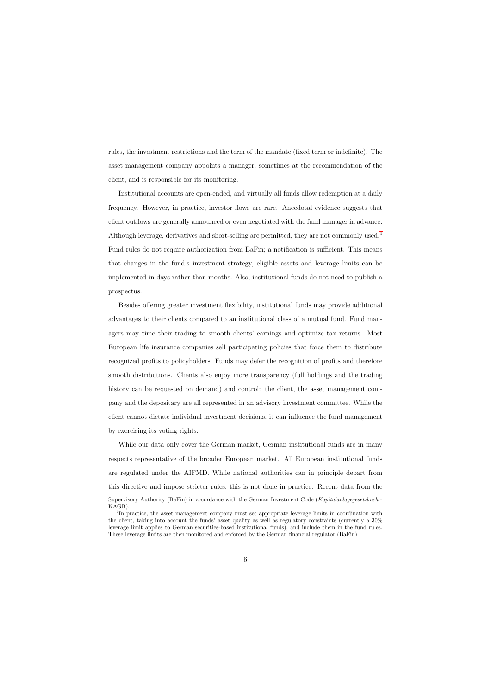rules, the investment restrictions and the term of the mandate (fixed term or indefinite). The asset management company appoints a manager, sometimes at the recommendation of the client, and is responsible for its monitoring.

Institutional accounts are open-ended, and virtually all funds allow redemption at a daily frequency. However, in practice, investor flows are rare. Anecdotal evidence suggests that client outflows are generally announced or even negotiated with the fund manager in advance. Although leverage, derivatives and short-selling are permitted, they are not commonly used.[4](#page-7-0) Fund rules do not require authorization from BaFin; a notification is sufficient. This means that changes in the fund's investment strategy, eligible assets and leverage limits can be implemented in days rather than months. Also, institutional funds do not need to publish a prospectus.

Besides offering greater investment flexibility, institutional funds may provide additional advantages to their clients compared to an institutional class of a mutual fund. Fund managers may time their trading to smooth clients' earnings and optimize tax returns. Most European life insurance companies sell participating policies that force them to distribute recognized profits to policyholders. Funds may defer the recognition of profits and therefore smooth distributions. Clients also enjoy more transparency (full holdings and the trading history can be requested on demand) and control: the client, the asset management company and the depositary are all represented in an advisory investment committee. While the client cannot dictate individual investment decisions, it can influence the fund management by exercising its voting rights.

While our data only cover the German market, German institutional funds are in many respects representative of the broader European market. All European institutional funds are regulated under the AIFMD. While national authorities can in principle depart from this directive and impose stricter rules, this is not done in practice. Recent data from the

Supervisory Authority (BaFin) in accordance with the German Investment Code (Kapitalanlagegesetzbuch -KAGB).

<span id="page-7-0"></span><sup>&</sup>lt;sup>4</sup>In practice, the asset management company must set appropriate leverage limits in coordination with the client, taking into account the funds' asset quality as well as regulatory constraints (currently a 30% leverage limit applies to German securities-based institutional funds), and include them in the fund rules. These leverage limits are then monitored and enforced by the German financial regulator (BaFin)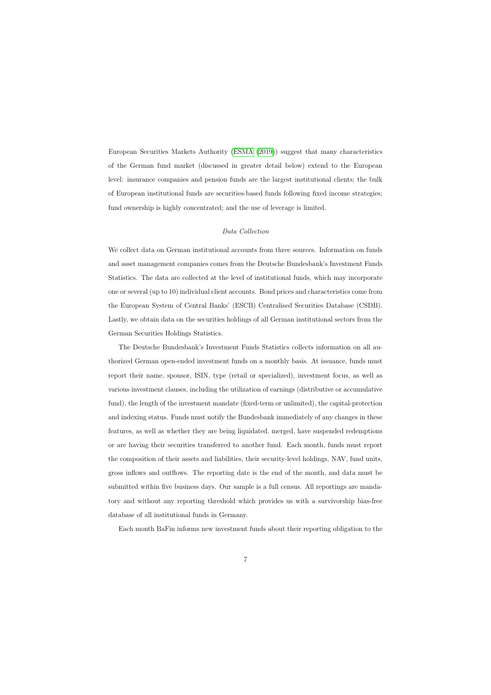European Securities Markets Authority [\(ESMA](#page-38-10) [\(2019\)](#page-38-10)) suggest that many characteristics of the German fund market (discussed in greater detail below) extend to the European level: insurance companies and pension funds are the largest institutional clients; the bulk of European institutional funds are securities-based funds following fixed income strategies; fund ownership is highly concentrated; and the use of leverage is limited.

### Data Collection

We collect data on German institutional accounts from three sources. Information on funds and asset management companies comes from the Deutsche Bundesbank's Investment Funds Statistics. The data are collected at the level of institutional funds, which may incorporate one or several (up to 10) individual client accounts. Bond prices and characteristics come from the European System of Central Banks' (ESCB) Centralised Securities Database (CSDB). Lastly, we obtain data on the securities holdings of all German institutional sectors from the German Securities Holdings Statistics.

The Deutsche Bundesbank's Investment Funds Statistics collects information on all authorized German open-ended investment funds on a monthly basis. At issuance, funds must report their name, sponsor, ISIN, type (retail or specialized), investment focus, as well as various investment clauses, including the utilization of earnings (distributive or accumulative fund), the length of the investment mandate (fixed-term or unlimited), the capital-protection and indexing status. Funds must notify the Bundesbank immediately of any changes in these features, as well as whether they are being liquidated, merged, have suspended redemptions or are having their securities transferred to another fund. Each month, funds must report the composition of their assets and liabilities, their security-level holdings, NAV, fund units, gross inflows and outflows. The reporting date is the end of the month, and data must be submitted within five business days. Our sample is a full census. All reportings are mandatory and without any reporting threshold which provides us with a survivorship bias-free database of all institutional funds in Germany.

Each month BaFin informs new investment funds about their reporting obligation to the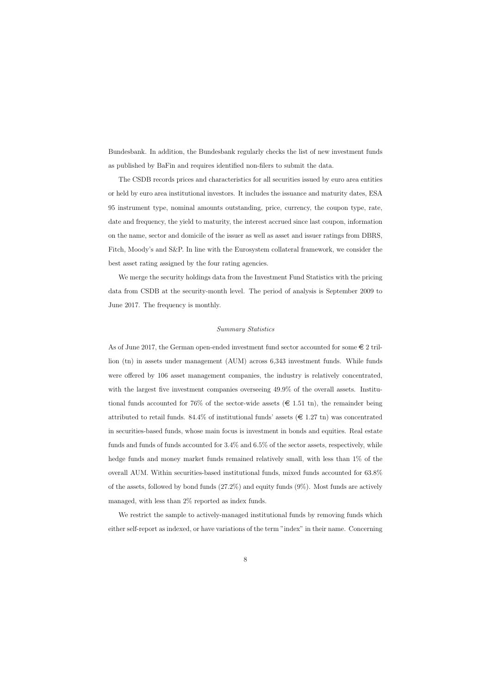Bundesbank. In addition, the Bundesbank regularly checks the list of new investment funds as published by BaFin and requires identified non-filers to submit the data.

The CSDB records prices and characteristics for all securities issued by euro area entities or held by euro area institutional investors. It includes the issuance and maturity dates, ESA 95 instrument type, nominal amounts outstanding, price, currency, the coupon type, rate, date and frequency, the yield to maturity, the interest accrued since last coupon, information on the name, sector and domicile of the issuer as well as asset and issuer ratings from DBRS, Fitch, Moody's and S&P. In line with the Eurosystem collateral framework, we consider the best asset rating assigned by the four rating agencies.

We merge the security holdings data from the Investment Fund Statistics with the pricing data from CSDB at the security-month level. The period of analysis is September 2009 to June 2017. The frequency is monthly.

### Summary Statistics

As of June 2017, the German open-ended investment fund sector accounted for some  $\in$  2 trillion (tn) in assets under management (AUM) across 6,343 investment funds. While funds were offered by 106 asset management companies, the industry is relatively concentrated, with the largest five investment companies overseeing 49.9% of the overall assets. Institutional funds accounted for 76% of the sector-wide assets  $(\epsilon \in 1.51 \text{ tn})$ , the remainder being attributed to retail funds. 84.4% of institutional funds' assets  $(\epsilon \in 1.27 \text{ th})$  was concentrated in securities-based funds, whose main focus is investment in bonds and equities. Real estate funds and funds of funds accounted for 3.4% and 6.5% of the sector assets, respectively, while hedge funds and money market funds remained relatively small, with less than 1\% of the overall AUM. Within securities-based institutional funds, mixed funds accounted for 63.8% of the assets, followed by bond funds (27.2%) and equity funds (9%). Most funds are actively managed, with less than 2% reported as index funds.

We restrict the sample to actively-managed institutional funds by removing funds which either self-report as indexed, or have variations of the term "index" in their name. Concerning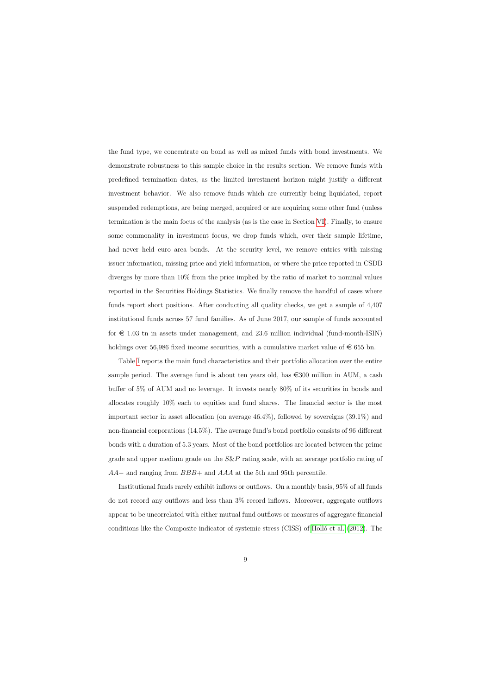the fund type, we concentrate on bond as well as mixed funds with bond investments. We demonstrate robustness to this sample choice in the results section. We remove funds with predefined termination dates, as the limited investment horizon might justify a different investment behavior. We also remove funds which are currently being liquidated, report suspended redemptions, are being merged, acquired or are acquiring some other fund (unless termination is the main focus of the analysis (as is the case in Section [VI\)](#page-27-0). Finally, to ensure some commonality in investment focus, we drop funds which, over their sample lifetime, had never held euro area bonds. At the security level, we remove entries with missing issuer information, missing price and yield information, or where the price reported in CSDB diverges by more than 10% from the price implied by the ratio of market to nominal values reported in the Securities Holdings Statistics. We finally remove the handful of cases where funds report short positions. After conducting all quality checks, we get a sample of 4,407 institutional funds across 57 fund families. As of June 2017, our sample of funds accounted for  $\epsilon$  1.03 tn in assets under management, and 23.6 million individual (fund-month-ISIN) holdings over 56,986 fixed income securities, with a cumulative market value of  $\in$  655 bn.

Table [I](#page-45-0) reports the main fund characteristics and their portfolio allocation over the entire sample period. The average fund is about ten years old, has  $\epsilon$ 300 million in AUM, a cash buffer of 5% of AUM and no leverage. It invests nearly 80% of its securities in bonds and allocates roughly 10% each to equities and fund shares. The financial sector is the most important sector in asset allocation (on average 46.4%), followed by sovereigns (39.1%) and non-financial corporations (14.5%). The average fund's bond portfolio consists of 96 different bonds with a duration of 5.3 years. Most of the bond portfolios are located between the prime grade and upper medium grade on the  $S\&P$  rating scale, with an average portfolio rating of AA− and ranging from BBB+ and AAA at the 5th and 95th percentile.

Institutional funds rarely exhibit inflows or outflows. On a monthly basis, 95% of all funds do not record any outflows and less than 3% record inflows. Moreover, aggregate outflows appear to be uncorrelated with either mutual fund outflows or measures of aggregate financial conditions like the Composite indicator of systemic stress  $\text{(CISS)}$  of Holló et al.  $(2012)$ . The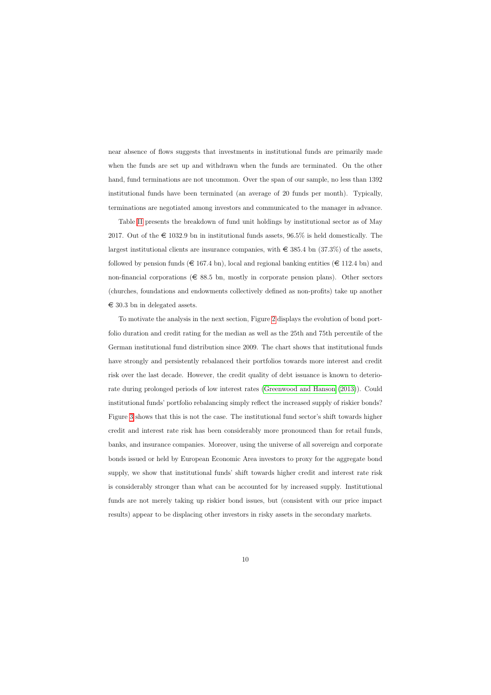near absence of flows suggests that investments in institutional funds are primarily made when the funds are set up and withdrawn when the funds are terminated. On the other hand, fund terminations are not uncommon. Over the span of our sample, no less than 1392 institutional funds have been terminated (an average of 20 funds per month). Typically, terminations are negotiated among investors and communicated to the manager in advance.

Table [II](#page-46-0) presents the breakdown of fund unit holdings by institutional sector as of May 2017. Out of the  $\epsilon$  1032.9 bn in institutional funds assets, 96.5% is held domestically. The largest institutional clients are insurance companies, with  $\in$  385.4 bn (37.3%) of the assets. followed by pension funds ( $\in$  167.4 bn), local and regional banking entities ( $\in$  112.4 bn) and non-financial corporations ( $\in$  88.5 bn, mostly in corporate pension plans). Other sectors (churches, foundations and endowments collectively defined as non-profits) take up another  $\epsilon$  30.3 bn in delegated assets.

<span id="page-11-0"></span>To motivate the analysis in the next section, Figure [2](#page-41-0) displays the evolution of bond portfolio duration and credit rating for the median as well as the 25th and 75th percentile of the German institutional fund distribution since 2009. The chart shows that institutional funds have strongly and persistently rebalanced their portfolios towards more interest and credit risk over the last decade. However, the credit quality of debt issuance is known to deteriorate during prolonged periods of low interest rates [\(Greenwood and Hanson](#page-38-12) [\(2013\)](#page-38-12)). Could institutional funds' portfolio rebalancing simply reflect the increased supply of riskier bonds? Figure [3](#page-42-0) shows that this is not the case. The institutional fund sector's shift towards higher credit and interest rate risk has been considerably more pronounced than for retail funds, banks, and insurance companies. Moreover, using the universe of all sovereign and corporate bonds issued or held by European Economic Area investors to proxy for the aggregate bond supply, we show that institutional funds' shift towards higher credit and interest rate risk is considerably stronger than what can be accounted for by increased supply. Institutional funds are not merely taking up riskier bond issues, but (consistent with our price impact results) appear to be displacing other investors in risky assets in the secondary markets.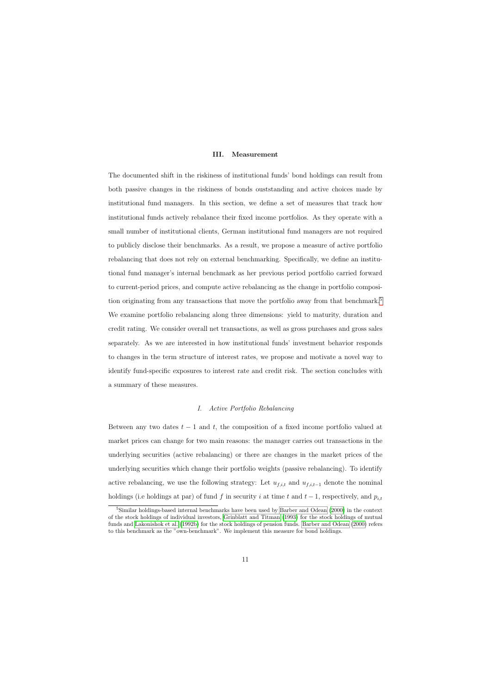### III. Measurement

The documented shift in the riskiness of institutional funds' bond holdings can result from both passive changes in the riskiness of bonds ouststanding and active choices made by institutional fund managers. In this section, we define a set of measures that track how institutional funds actively rebalance their fixed income portfolios. As they operate with a small number of institutional clients, German institutional fund managers are not required to publicly disclose their benchmarks. As a result, we propose a measure of active portfolio rebalancing that does not rely on external benchmarking. Specifically, we define an institutional fund manager's internal benchmark as her previous period portfolio carried forward to current-period prices, and compute active rebalancing as the change in portfolio composi-tion originating from any transactions that move the portfolio away from that benchmark.<sup>[5](#page-12-0)</sup> We examine portfolio rebalancing along three dimensions: yield to maturity, duration and credit rating. We consider overall net transactions, as well as gross purchases and gross sales separately. As we are interested in how institutional funds' investment behavior responds to changes in the term structure of interest rates, we propose and motivate a novel way to identify fund-specific exposures to interest rate and credit risk. The section concludes with a summary of these measures.

### I. Active Portfolio Rebalancing

Between any two dates  $t - 1$  and t, the composition of a fixed income portfolio valued at market prices can change for two main reasons: the manager carries out transactions in the underlying securities (active rebalancing) or there are changes in the market prices of the underlying securities which change their portfolio weights (passive rebalancing). To identify active rebalancing, we use the following strategy: Let  $u_{f,i,t}$  and  $u_{f,i,t-1}$  denote the nominal holdings (i.e holdings at par) of fund f in security i at time t and  $t-1$ , respectively, and  $p_{i,t}$ 

<span id="page-12-0"></span><sup>&</sup>lt;sup>5</sup>Similar holdings-based internal benchmarks have been used by [Barber and Odean](#page-37-3) [\(2000\)](#page-37-3) in the context of the stock holdings of individual investors, [Grinblatt and Titman](#page-38-13) [\(1993\)](#page-38-13) for the stock holdings of mutual funds and [Lakonishok et al.](#page-39-4) [\(1992b\)](#page-39-4) for the stock holdings of pension funds. [Barber and Odean](#page-37-3) [\(2000\)](#page-37-3) refers to this benchmark as the "own-benchmark". We implement this measure for bond holdings.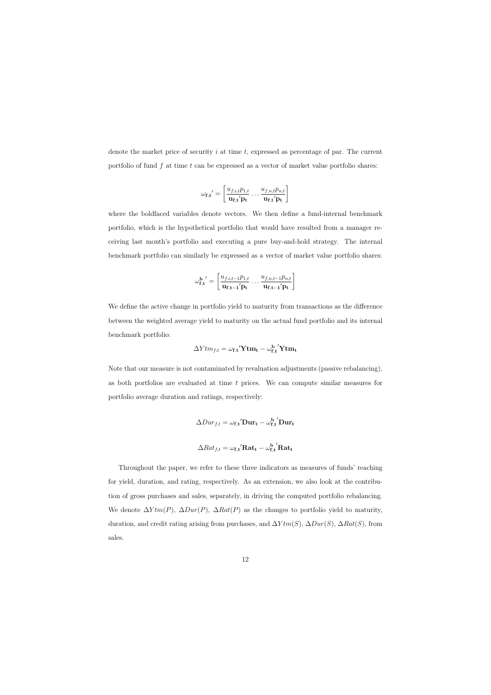denote the market price of security i at time t, expressed as percentage of par. The current portfolio of fund f at time t can be expressed as a vector of market value portfolio shares:

$$
\omega_{\mathbf{f},\mathbf{t}}' = \left[ \frac{u_{f,i,t}p_{1,t}}{\mathbf{u_{f,\mathbf{t}}}'\mathbf{p_{t}}} \ldots \frac{u_{f,n,t}p_{n,t}}{\mathbf{u_{f,\mathbf{t}}}'\mathbf{p_{t}}} \right]
$$

where the boldfaced variables denote vectors. We then define a fund-internal benchmark portfolio, which is the hypothetical portfolio that would have resulted from a manager receiving last month's portfolio and executing a pure buy-and-hold strategy. The internal benchmark portfolio can similarly be expressed as a vector of market value portfolio shares:

$$
\omega_{\mathbf{f},\mathbf{t}}^{\mathbf{b} \ \prime} = \left[ \frac{u_{f,i,t-1}p_{1,t}}{\mathbf{u}_{\mathbf{f},\mathbf{t}-\mathbf{1}}'\mathbf{p}_{\mathbf{t}}} \dots \frac{u_{f,n,t-1}p_{n,t}}{\mathbf{u}_{\mathbf{f},\mathbf{t}-\mathbf{1}}'\mathbf{p}_{\mathbf{t}}} \right]
$$

We define the active change in portfolio yield to maturity from transactions as the difference between the weighted average yield to maturity on the actual fund portfolio and its internal benchmark portfolio:

$$
\Delta Y t m_{f,t} = \omega_{\mathbf{f},\mathbf{t}}' \mathbf{Y} \mathbf{t} \mathbf{m}_{\mathbf{t}} - {\omega_{\mathbf{f},\mathbf{t}}^{\mathbf{b}}} ' \mathbf{Y} \mathbf{t} \mathbf{m}_{\mathbf{t}}
$$

Note that our measure is not contaminated by revaluation adjustments (passive rebalancing), as both portfolios are evaluated at time  $t$  prices. We can compute similar measures for portfolio average duration and ratings, respectively:

$$
\Delta Dur_{f,t} = \omega_{\mathbf{f},\mathbf{t}}' \mathbf{Dur}_{\mathbf{t}} - \omega_{\mathbf{f},\mathbf{t}}^{\mathbf{b}}' \mathbf{Dur}_{\mathbf{t}}
$$

$$
\Delta Rat_{f,t} = \omega_{\mathbf{f},\mathbf{t}}' \mathbf{Rat}_{\mathbf{t}} - \omega_{\mathbf{f},\mathbf{t}}^{\mathbf{b}'} \mathbf{Rat}_{\mathbf{t}}
$$

Throughout the paper, we refer to these three indicators as measures of funds' reaching for yield, duration, and rating, respectively. As an extension, we also look at the contribution of gross purchases and sales, separately, in driving the computed portfolio rebalancing. We denote  $\Delta Y \text{tm}(P)$ ,  $\Delta Dur(P)$ ,  $\Delta Rat(P)$  as the changes to portfolio yield to maturity, duration, and credit rating arising from purchases, and  $\Delta Y \text{tm}(S)$ ,  $\Delta Dur(S)$ ,  $\Delta Rat(S)$ , from sales.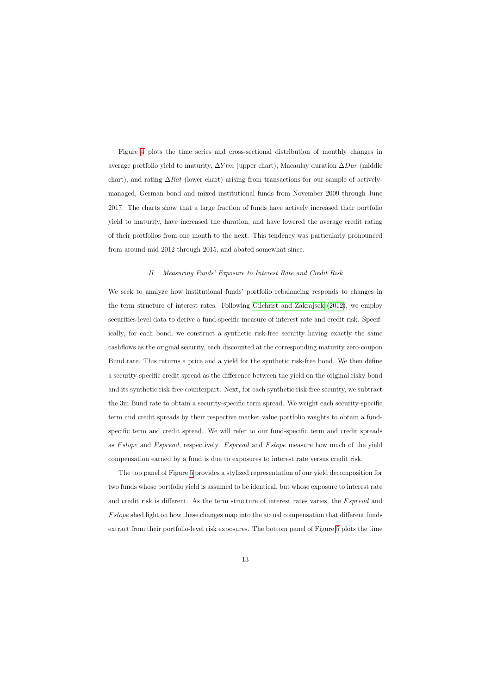Figure [4](#page-43-0) plots the time series and cross-sectional distribution of monthly changes in average portfolio yield to maturity,  $\Delta Y \text{tm}$  (upper chart), Macaulay duration  $\Delta D \text{ur}$  (middle chart), and rating  $\Delta Rat$  (lower chart) arising from transactions for our sample of activelymanaged, German bond and mixed institutional funds from November 2009 through June 2017. The charts show that a large fraction of funds have actively increased their portfolio yield to maturity, have increased the duration, and have lowered the average credit rating of their portfolios from one month to the next. This tendency was particularly pronounced from around mid-2012 through 2015, and abated somewhat since.

### II. Measuring Funds' Exposure to Interest Rate and Credit Risk

We seek to analyze how institutional funds' portfolio rebalancing responds to changes in the term structure of interest rates. Following [Gilchrist and Zakrajsek](#page-38-14) [\(2012\)](#page-38-14), we employ securities-level data to derive a fund-specific measure of interest rate and credit risk. Specifically, for each bond, we construct a synthetic risk-free security having exactly the same cashflows as the original security, each discounted at the corresponding maturity zero-coupon Bund rate. This returns a price and a yield for the synthetic risk-free bond. We then define a security-specific credit spread as the difference between the yield on the original risky bond and its synthetic risk-free counterpart. Next, for each synthetic risk-free security, we subtract the 3m Bund rate to obtain a security-specific term spread. We weight each security-specific term and credit spreads by their respective market value portfolio weights to obtain a fundspecific term and credit spread. We will refer to our fund-specific term and credit spreads as Fslope and Fspread, respectively. Fspread and Fslope measure how much of the yield compensation earned by a fund is due to exposures to interest rate versus credit risk.

The top panel of Figure [5](#page-44-0) provides a stylized representation of our yield decomposition for two funds whose portfolio yield is assumed to be identical, but whose exposure to interest rate and credit risk is different. As the term structure of interest rates varies, the Fspread and F slope shed light on how these changes map into the actual compensation that different funds extract from their portfolio-level risk exposures. The bottom panel of Figure [5](#page-44-0) plots the time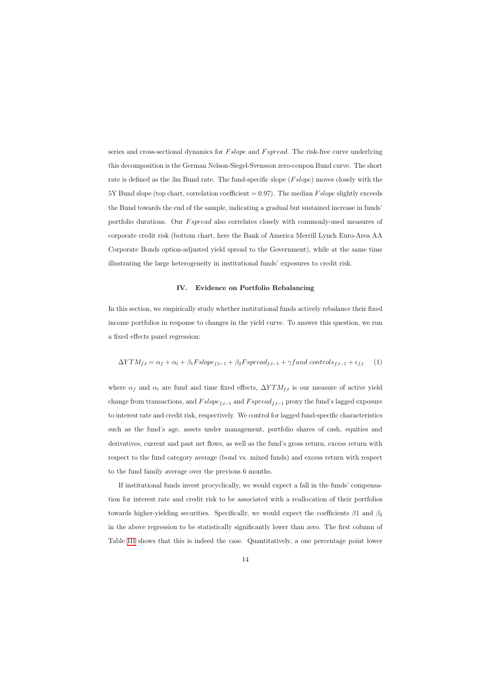series and cross-sectional dynamics for *F* slope and *F* spread. The risk-free curve underlying this decomposition is the German Nelson-Siegel-Svensson zero-coupon Bund curve. The short rate is defined as the 3m Bund rate. The fund-specific slope (*F slope*) moves closely with the 5Y Bund slope (top chart, correlation coefficient  $= 0.97$ ). The median *F slope* slightly exceeds the Bund towards the end of the sample, indicating a gradual but sustained increase in funds' portfolio durations. Our *F spread* also correlates closely with commonly-used measures of corporate credit risk (bottom chart, here the Bank of America Merrill Lynch Euro-Area AA Corporate Bonds option-adjusted yield spread to the Government), while at the same time illustrating the large heterogeneity in institutional funds' exposures to credit risk.

### IV. Evidence on Portfolio Rebalancing

In this section, we empirically study whether institutional funds actively rebalance their fixed income portfolios in response to changes in the yield curve. To answer this question, we run a fixed effects panel regression:

$$
\Delta YTM_{f,t} = \alpha_f + \alpha_t + \beta_1 Fslope_{f,t-1} + \beta_2 Fspread_{f,t-1} + \gamma fund\ controls_{f,t-1} + \epsilon_{f,t} \tag{1}
$$

<span id="page-15-0"></span>where  $\alpha_f$  and  $\alpha_t$  are fund and time fixed effects,  $\Delta Y T M_{f,t}$  is our measure of active yield change from transactions, and  $Fslope_{f,t-1}$  and  $Fspread_{f,t-1}$  proxy the fund's lagged exposure to interest rate and credit risk, respectively. We control for lagged fund-specific characteristics such as the fund's age, assets under management, portfolio shares of cash, equities and derivatives, current and past net flows, as well as the fund's gross return, excess return with respect to the fund category average (bond vs. mixed funds) and excess return with respect to the fund family average over the previous 6 months.

<span id="page-15-1"></span>If institutional funds invest procyclically, we would expect a fall in the funds' compensation for interest rate and credit risk to be associated with a reallocation of their portfolios towards higher-yielding securities. Specifically, we would expect the coefficients  $\beta_1$  and  $\beta_2$ in the above regression to be statistically significantly lower than zero. The first column of Table [III](#page-47-0) shows that this is indeed the case. Quantitatively, a one percentage point lower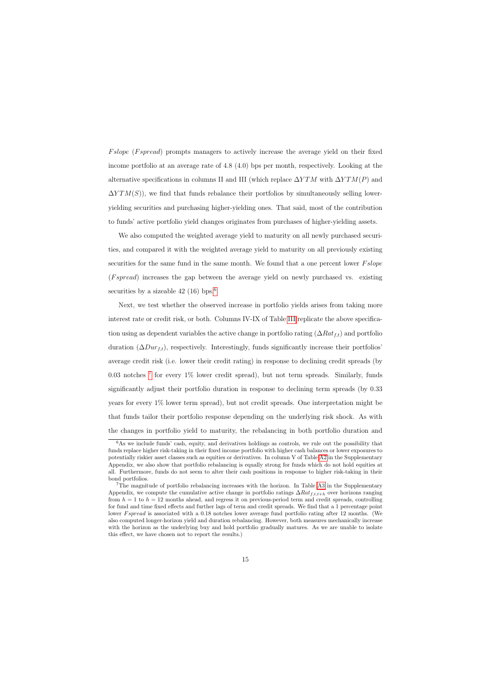Fslope (Fspread) prompts managers to actively increase the average yield on their fixed income portfolio at an average rate of 4.8 (4.0) bps per month, respectively. Looking at the alternative specifications in columns II and III (which replace  $\Delta Y T M$  with  $\Delta Y T M(P)$  and  $\Delta Y T M(S)$ , we find that funds rebalance their portfolios by simultaneously selling loweryielding securities and purchasing higher-yielding ones. That said, most of the contribution to funds' active portfolio yield changes originates from purchases of higher-yielding assets.

We also computed the weighted average yield to maturity on all newly purchased securities, and compared it with the weighted average yield to maturity on all previously existing securities for the same fund in the same month. We found that a one percent lower  $Fslope$  $(Fspread)$  increases the gap between the average yield on newly purchased vs. existing securities by a sizeable  $42$  (1[6](#page-16-0)) bps.<sup>6</sup>

Next, we test whether the observed increase in portfolio yields arises from taking more interest rate or credit risk, or both. Columns IV-IX of Table [III](#page-47-0) replicate the above specification using as dependent variables the active change in portfolio rating  $(\Delta Rat_{ft})$  and portfolio duration  $(\Delta Dur_{f,t})$ , respectively. Interestingly, funds significantly increase their portfolios<sup>'</sup> average credit risk (i.e. lower their credit rating) in response to declining credit spreads (by 0.03 notches  $\frac{7}{10}$  $\frac{7}{10}$  $\frac{7}{10}$  for every  $1\%$  lower credit spread), but not term spreads. Similarly, funds significantly adjust their portfolio duration in response to declining term spreads (by 0.33 years for every 1% lower term spread), but not credit spreads. One interpretation might be that funds tailor their portfolio response depending on the underlying risk shock. As with the changes in portfolio yield to maturity, the rebalancing in both portfolio duration and

 $6$ As we include funds' cash, equity, and derivatives holdings as controls, we rule out the possibility that funds replace higher risk-taking in their fixed income portfolio with higher cash balances or lower exposures to potentially riskier asset classes such as equities or derivatives. In column V of Table [A2](#page-61-0) in the Supplementary Appendix, we also show that portfolio rebalancing is equally strong for funds which do not hold equities at all. Furthermore, funds do not seem to alter their cash positions in response to higher risk-taking in their bond portfolios.

<span id="page-16-1"></span><span id="page-16-0"></span><sup>7</sup>The magnitude of portfolio rebalancing increases with the horizon. In Table [A3](#page-62-0) in the Supplementary Appendix, we compute the cumulative active change in portfolio ratings  $\Delta Rat_{f,t,t+h}$  over horizons ranging from  $h = 1$  to  $h = 12$  months ahead, and regress it on previous-period term and credit spreads, controlling for fund and time fixed effects and further lags of term and credit spreads. We find that a 1 percentage point lower F spread is associated with a 0.18 notches lower average fund portfolio rating after 12 months. (We also computed longer-horizon yield and duration rebalancing. However, both measures mechanically increase with the horizon as the underlying buy and hold portfolio gradually matures. As we are unable to isolate this effect, we have chosen not to report the results.)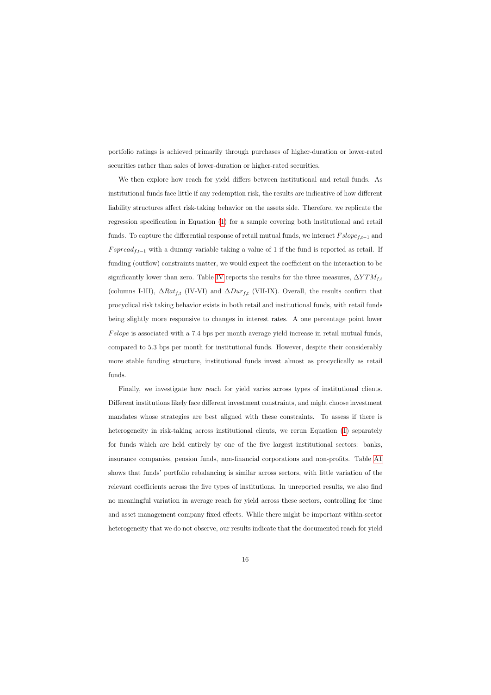portfolio ratings is achieved primarily through purchases of higher-duration or lower-rated securities rather than sales of lower-duration or higher-rated securities.

We then explore how reach for yield differs between institutional and retail funds. As institutional funds face little if any redemption risk, the results are indicative of how different liability structures affect risk-taking behavior on the assets side. Therefore, we replicate the regression specification in Equation [\(1\)](#page-15-1) for a sample covering both institutional and retail funds. To capture the differential response of retail mutual funds, we interact  $Fslope_{f,t-1}$  and  $Fspread_{f,t-1}$  with a dummy variable taking a value of 1 if the fund is reported as retail. If funding (outflow) constraints matter, we would expect the coefficient on the interaction to be significantly lower than zero. Table [IV](#page-48-0) reports the results for the three measures,  $\Delta Y T M_{f,t}$ (columns I-III),  $\Delta Rat_{f,t}$  (IV-VI) and  $\Delta Dur_{f,t}$  (VII-IX). Overall, the results confirm that procyclical risk taking behavior exists in both retail and institutional funds, with retail funds being slightly more responsive to changes in interest rates. A one percentage point lower Fslope is associated with a 7.4 bps per month average yield increase in retail mutual funds, compared to 5.3 bps per month for institutional funds. However, despite their considerably more stable funding structure, institutional funds invest almost as procyclically as retail funds.

Finally, we investigate how reach for yield varies across types of institutional clients. Different institutions likely face different investment constraints, and might choose investment mandates whose strategies are best aligned with these constraints. To assess if there is heterogeneity in risk-taking across institutional clients, we rerun Equation [\(1\)](#page-15-1) separately for funds which are held entirely by one of the five largest institutional sectors: banks, insurance companies, pension funds, non-financial corporations and non-profits. Table [A1](#page-60-0) shows that funds' portfolio rebalancing is similar across sectors, with little variation of the relevant coefficients across the five types of institutions. In unreported results, we also find no meaningful variation in average reach for yield across these sectors, controlling for time and asset management company fixed effects. While there might be important within-sector heterogeneity that we do not observe, our results indicate that the documented reach for yield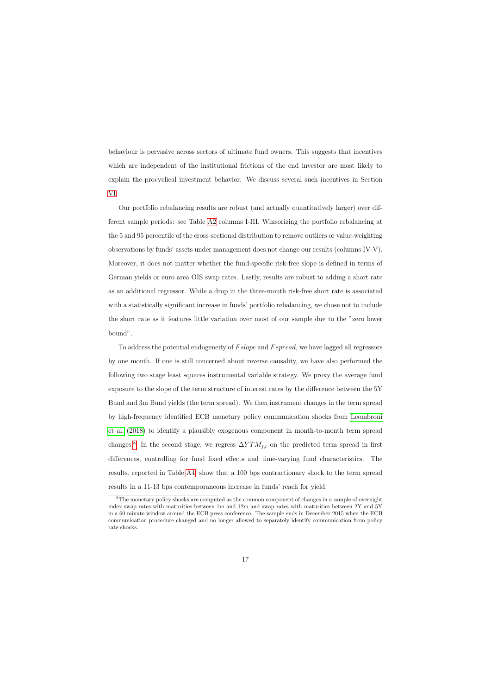behaviour is pervasive across sectors of ultimate fund owners. This suggests that incentives which are independent of the institutional frictions of the end investor are most likely to explain the procyclical investment behavior. We discuss several such incentives in Section [VI.](#page-27-0)

Our portfolio rebalancing results are robust (and actually quantitatively larger) over different sample periods: see Table [A2](#page-61-0) columns I-III. Winsorizing the portfolio rebalancing at the 5 and 95 percentile of the cross-sectional distribution to remove outliers or value-weighting observations by funds' assets under management does not change our results (columns IV-V). Moreover, it does not matter whether the fund-specific risk-free slope is defined in terms of German yields or euro area OIS swap rates. Lastly, results are robust to adding a short rate as an additional regressor. While a drop in the three-month risk-free short rate is associated with a statistically significant increase in funds' portfolio rebalancing, we chose not to include the short rate as it features little variation over most of our sample due to the "zero lower bound".

To address the potential endogeneity of Fslope and Fspread, we have lagged all regressors by one month. If one is still concerned about reverse causality, we have also performed the following two stage least squares instrumental variable strategy. We proxy the average fund exposure to the slope of the term structure of interest rates by the difference between the 5Y Bund and 3m Bund yields (the term spread). We then instrument changes in the term spread by high-frequency identified ECB monetary policy communication shocks from [Leombroni](#page-39-5) [et al.](#page-39-5) [\(2018\)](#page-39-5) to identify a plausibly exogenous component in month-to-month term spread changes.<sup>[8](#page-18-1)</sup> In the second stage, we regress  $\Delta Y T M_{f,t}$  on the predicted term spread in first differences, controlling for fund fixed effects and time-varying fund characteristics. The results, reported in Table [A4,](#page-63-0) show that a 100 bps contractionary shock to the term spread results in a 11-13 bps contemporaneous increase in funds' reach for yield.

<span id="page-18-1"></span><span id="page-18-0"></span><sup>8</sup>The monetary policy shocks are computed as the common component of changes in a sample of overnight index swap rates with maturities between 1m and 12m and swap rates with maturities between 2Y and 5Y in a 60 minute window around the ECB press conference. The sample ends in December 2015 when the ECB communication procedure changed and no longer allowed to separately identify communication from policy rate shocks.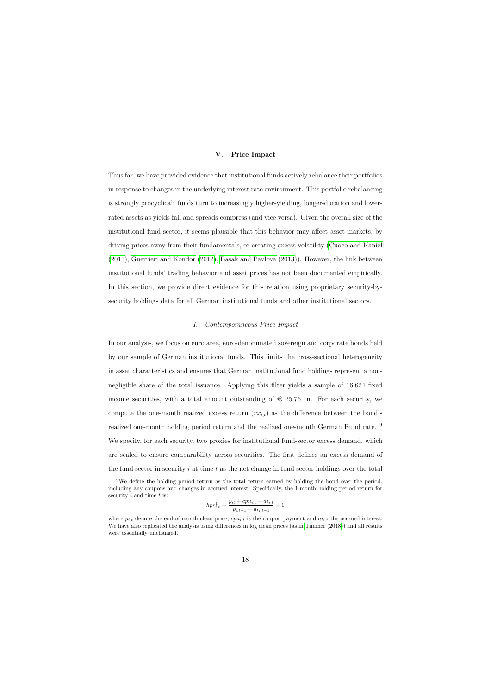### V. Price Impact

Thus far, we have provided evidence that institutional funds actively rebalance their portfolios in response to changes in the underlying interest rate environment. This portfolio rebalancing is strongly procyclical: funds turn to increasingly higher-yielding, longer-duration and lowerrated assets as yields fall and spreads compress (and vice versa). Given the overall size of the institutional fund sector, it seems plausible that this behavior may affect asset markets, by driving prices away from their fundamentals, or creating excess volatility [\(Cuoco and Kaniel](#page-37-0) [\(2011\)](#page-37-0), [Guerrieri and Kondor](#page-38-8) [\(2012\)](#page-38-8), [Basak and Pavlova](#page-37-1) [\(2013\)](#page-37-1)). However, the link between institutional funds' trading behavior and asset prices has not been documented empirically. In this section, we provide direct evidence for this relation using proprietary security-bysecurity holdings data for all German institutional funds and other institutional sectors.

### I. Contemporaneous Price Impact

In our analysis, we focus on euro area, euro-denominated sovereign and corporate bonds held by our sample of German institutional funds. This limits the cross-sectional heterogeneity in asset characteristics and ensures that German institutional fund holdings represent a nonnegligible share of the total issuance. Applying this filter yields a sample of 16,624 fixed income securities, with a total amount outstanding of  $\epsilon$  25.76 tn. For each security, we compute the one-month realized excess return  $(rx_{i,t})$  as the difference between the bond's realized one-month holding period return and the realized one-month German Bund rate. <sup>[9](#page-19-0)</sup> We specify, for each security, two proxies for institutional fund-sector excess demand, which are scaled to ensure comparability across securities. The first defines an excess demand of the fund sector in security  $i$  at time  $t$  as the net change in fund sector holdings over the total

$$
hpr_{i,t}^{1} = \frac{p_{it} + cpn_{i,t} + ai_{i,t}}{p_{i,t-1} + ai_{i,t-1}} - 1
$$

<sup>9</sup>We define the holding period return as the total return earned by holding the bond over the period, including any coupons and changes in accrued interest. Specifically, the 1-month holding period return for security  $i$  and time  $t$  is:

<span id="page-19-0"></span>where  $p_{i,t}$  denote the end-of month clean price,  $cpn_{i,t}$  is the coupon payment and  $ai_{i,t}$  the accrued interest. We have also replicated the analysis using differences in log clean prices (as in [Timmer](#page-39-3) [\(2018\)](#page-39-3)) and all results were essentially unchanged.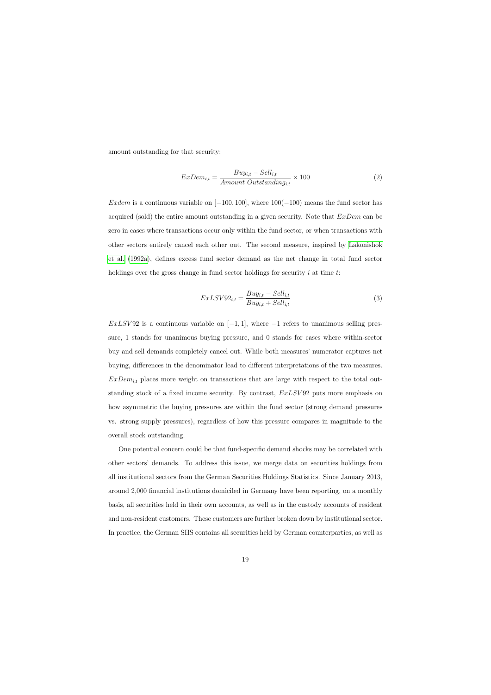amount outstanding for that security:

$$
ExDem_{i,t} = \frac{Buy_{i,t} - Sell_{i,t}}{Amount\ Outstanding_{i,t}} \times 100
$$
\n(2)

Exdem is a continuous variable on  $[-100, 100]$ , where  $100(-100)$  means the fund sector has acquired (sold) the entire amount outstanding in a given security. Note that  $ExDem$  can be zero in cases where transactions occur only within the fund sector, or when transactions with other sectors entirely cancel each other out. The second measure, inspired by [Lakonishok](#page-38-15) [et al.](#page-38-15) [\(1992a\)](#page-38-15), defines excess fund sector demand as the net change in total fund sector holdings over the gross change in fund sector holdings for security  $i$  at time  $t$ :

$$
ExLSV92_{i,t} = \frac{Buy_{i,t} - Sell_{i,t}}{Buy_{i,t} + Sell_{i,t}}
$$
\n
$$
(3)
$$

 $ExLSV92$  is a continuous variable on  $[-1, 1]$ , where  $-1$  refers to unanimous selling pressure, 1 stands for unanimous buying pressure, and 0 stands for cases where within-sector buy and sell demands completely cancel out. While both measures' numerator captures net buying, differences in the denominator lead to different interpretations of the two measures.  $ExDem_{it}$  places more weight on transactions that are large with respect to the total outstanding stock of a fixed income security. By contrast,  $ExLSV92$  puts more emphasis on how asymmetric the buying pressures are within the fund sector (strong demand pressures vs. strong supply pressures), regardless of how this pressure compares in magnitude to the overall stock outstanding.

One potential concern could be that fund-specific demand shocks may be correlated with other sectors' demands. To address this issue, we merge data on securities holdings from all institutional sectors from the German Securities Holdings Statistics. Since January 2013, around 2,000 financial institutions domiciled in Germany have been reporting, on a monthly basis, all securities held in their own accounts, as well as in the custody accounts of resident and non-resident customers. These customers are further broken down by institutional sector. In practice, the German SHS contains all securities held by German counterparties, as well as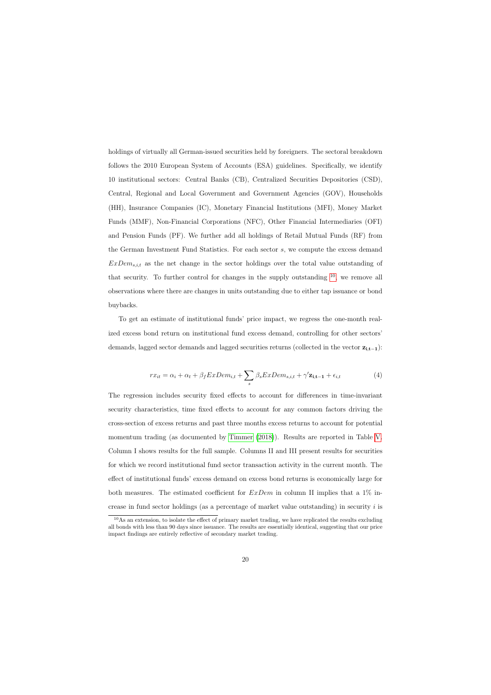holdings of virtually all German-issued securities held by foreigners. The sectoral breakdown follows the 2010 European System of Accounts (ESA) guidelines. Specifically, we identify 10 institutional sectors: Central Banks (CB), Centralized Securities Depositories (CSD), Central, Regional and Local Government and Government Agencies (GOV), Households (HH), Insurance Companies (IC), Monetary Financial Institutions (MFI), Money Market Funds (MMF), Non-Financial Corporations (NFC), Other Financial Intermediaries (OFI) and Pension Funds (PF). We further add all holdings of Retail Mutual Funds (RF) from the German Investment Fund Statistics. For each sector s, we compute the excess demand  $ExDem_{s,i,t}$  as the net change in the sector holdings over the total value outstanding of that security. To further control for changes in the supply outstanding  $10$ , we remove all observations where there are changes in units outstanding due to either tap issuance or bond buybacks.

To get an estimate of institutional funds' price impact, we regress the one-month realized excess bond return on institutional fund excess demand, controlling for other sectors' demands, lagged sector demands and lagged securities returns (collected in the vector  $z_{i,t-1}$ ):

$$
rx_{it} = \alpha_i + \alpha_t + \beta_f ExDem_{i,t} + \sum_s \beta_s ExDem_{s,i,t} + \gamma' \mathbf{z_{i,t-1}} + \epsilon_{i,t}
$$
(4)

The regression includes security fixed effects to account for differences in time-invariant security characteristics, time fixed effects to account for any common factors driving the cross-section of excess returns and past three months excess returns to account for potential momentum trading (as documented by [Timmer](#page-39-3) [\(2018\)](#page-39-3)). Results are reported in Table [V.](#page-49-0) Column I shows results for the full sample. Columns II and III present results for securities for which we record institutional fund sector transaction activity in the current month. The effect of institutional funds' excess demand on excess bond returns is economically large for both measures. The estimated coefficient for  $ExDem$  in column II implies that a 1% increase in fund sector holdings (as a percentage of market value outstanding) in security  $i$  is

<span id="page-21-0"></span><sup>10</sup>As an extension, to isolate the effect of primary market trading, we have replicated the results excluding all bonds with less than 90 days since issuance. The results are essentially identical, suggesting that our price impact findings are entirely reflective of secondary market trading.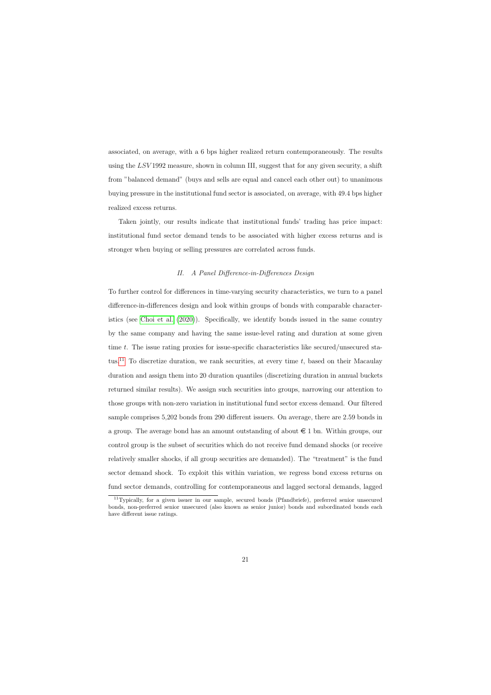associated, on average, with a 6 bps higher realized return contemporaneously. The results using the  $LSV1992$  measure, shown in column III, suggest that for any given security, a shift from "balanced demand" (buys and sells are equal and cancel each other out) to unanimous buying pressure in the institutional fund sector is associated, on average, with 49.4 bps higher realized excess returns.

Taken jointly, our results indicate that institutional funds' trading has price impact: institutional fund sector demand tends to be associated with higher excess returns and is stronger when buying or selling pressures are correlated across funds.

### II. A Panel Difference-in-Differences Design

To further control for differences in time-varying security characteristics, we turn to a panel difference-in-differences design and look within groups of bonds with comparable characteristics (see [Choi et al.](#page-37-9) [\(2020\)](#page-37-9)). Specifically, we identify bonds issued in the same country by the same company and having the same issue-level rating and duration at some given time t. The issue rating proxies for issue-specific characteristics like secured/unsecured sta-tus.<sup>[11](#page-22-0)</sup> To discretize duration, we rank securities, at every time  $t$ , based on their Macaulay duration and assign them into 20 duration quantiles (discretizing duration in annual buckets returned similar results). We assign such securities into groups, narrowing our attention to those groups with non-zero variation in institutional fund sector excess demand. Our filtered sample comprises 5,202 bonds from 290 different issuers. On average, there are 2.59 bonds in a group. The average bond has an amount outstanding of about  $\epsilon$  1 bn. Within groups, our control group is the subset of securities which do not receive fund demand shocks (or receive relatively smaller shocks, if all group securities are demanded). The "treatment" is the fund sector demand shock. To exploit this within variation, we regress bond excess returns on fund sector demands, controlling for contemporaneous and lagged sectoral demands, lagged

<span id="page-22-0"></span><sup>11</sup>Typically, for a given issuer in our sample, secured bonds (Pfandbriefe), preferred senior unsecured bonds, non-preferred senior unsecured (also known as senior junior) bonds and subordinated bonds each have different issue ratings.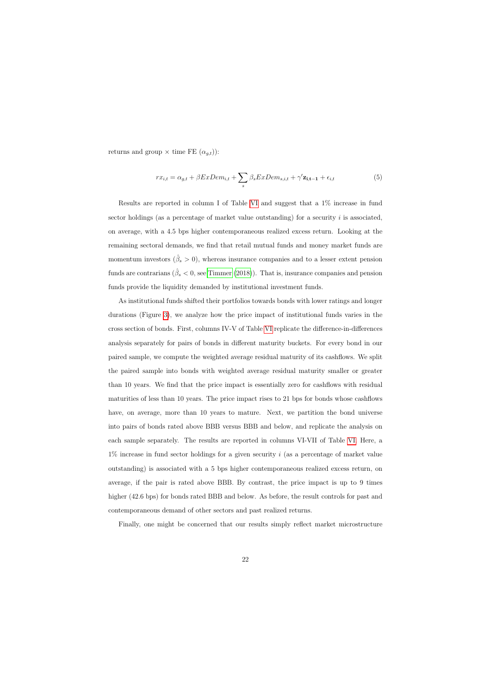returns and group  $\times$  time FE  $(\alpha_{g,t})$ :

$$
rx_{i,t} = \alpha_{g,t} + \beta ExDem_{i,t} + \sum_{s} \beta_s ExDem_{s,i,t} + \gamma' \mathbf{z_{i,t-1}} + \epsilon_{i,t}
$$
(5)

Results are reported in column I of Table [VI](#page-50-0) and suggest that a 1% increase in fund sector holdings (as a percentage of market value outstanding) for a security  $i$  is associated, on average, with a 4.5 bps higher contemporaneous realized excess return. Looking at the remaining sectoral demands, we find that retail mutual funds and money market funds are momentum investors  $(\hat{\beta}_s > 0)$ , whereas insurance companies and to a lesser extent pension funds are contrarians ( $\hat{\beta}_s < 0$ , see [Timmer](#page-39-3) [\(2018\)](#page-39-3)). That is, insurance companies and pension funds provide the liquidity demanded by institutional investment funds.

As institutional funds shifted their portfolios towards bonds with lower ratings and longer durations (Figure [3\)](#page-42-0), we analyze how the price impact of institutional funds varies in the cross section of bonds. First, columns IV-V of Table [VI](#page-50-0) replicate the difference-in-differences analysis separately for pairs of bonds in different maturity buckets. For every bond in our paired sample, we compute the weighted average residual maturity of its cashflows. We split the paired sample into bonds with weighted average residual maturity smaller or greater than 10 years. We find that the price impact is essentially zero for cashflows with residual maturities of less than 10 years. The price impact rises to 21 bps for bonds whose cashflows have, on average, more than 10 years to mature. Next, we partition the bond universe into pairs of bonds rated above BBB versus BBB and below, and replicate the analysis on each sample separately. The results are reported in columns VI-VII of Table [VI.](#page-50-0) Here, a  $1\%$  increase in fund sector holdings for a given security i (as a percentage of market value outstanding) is associated with a 5 bps higher contemporaneous realized excess return, on average, if the pair is rated above BBB. By contrast, the price impact is up to 9 times higher (42.6 bps) for bonds rated BBB and below. As before, the result controls for past and contemporaneous demand of other sectors and past realized returns.

Finally, one might be concerned that our results simply reflect market microstructure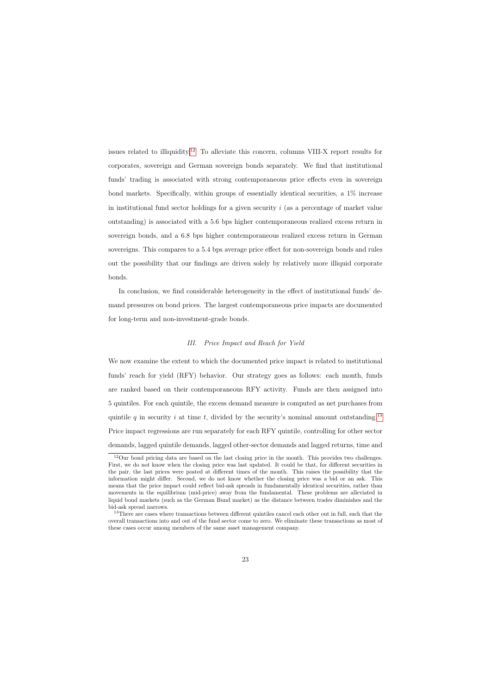issues related to illiquidity.<sup>[12](#page-24-0)</sup> To alleviate this concern, columns VIII-X report results for corporates, sovereign and German sovereign bonds separately. We find that institutional funds' trading is associated with strong contemporaneous price effects even in sovereign bond markets. Specifically, within groups of essentially identical securities, a 1% increase in institutional fund sector holdings for a given security  $i$  (as a percentage of market value outstanding) is associated with a 5.6 bps higher contemporaneous realized excess return in sovereign bonds, and a 6.8 bps higher contemporaneous realized excess return in German sovereigns. This compares to a 5.4 bps average price effect for non-sovereign bonds and rules out the possibility that our findings are driven solely by relatively more illiquid corporate bonds.

In conclusion, we find considerable heterogeneity in the effect of institutional funds' demand pressures on bond prices. The largest contemporaneous price impacts are documented for long-term and non-investment-grade bonds.

### III. Price Impact and Reach for Yield

We now examine the extent to which the documented price impact is related to institutional funds' reach for yield (RFY) behavior. Our strategy goes as follows: each month, funds are ranked based on their contemporaneous RFY activity. Funds are then assigned into 5 quintiles. For each quintile, the excess demand measure is computed as net purchases from quintile q in security i at time t, divided by the security's nominal amount outstanding.<sup>[13](#page-24-1)</sup> Price impact regressions are run separately for each RFY quintile, controlling for other sector demands, lagged quintile demands, lagged other-sector demands and lagged returns, time and

<sup>12</sup>Our bond pricing data are based on the last closing price in the month. This provides two challenges. First, we do not know when the closing price was last updated. It could be that, for different securities in the pair, the last prices were posted at different times of the month. This raises the possibility that the information might differ. Second, we do not know whether the closing price was a bid or an ask. This means that the price impact could reflect bid-ask spreads in fundamentally identical securities, rather than movements in the equilibrium (mid-price) away from the fundamental. These problems are alleviated in liquid bond markets (such as the German Bund market) as the distance between trades diminishes and the bid-ask spread narrows.

<span id="page-24-1"></span><span id="page-24-0"></span><sup>&</sup>lt;sup>13</sup>There are cases where transactions between different quintiles cancel each other out in full, such that the overall transactions into and out of the fund sector come to zero. We eliminate these transactions as most of these cases occur among members of the same asset management company.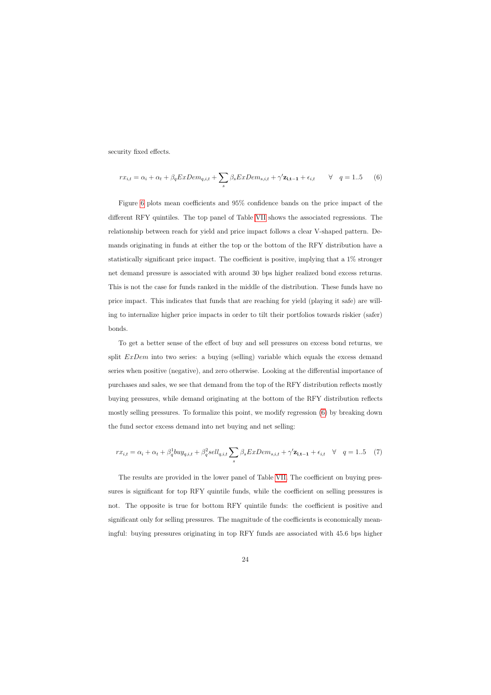security fixed effects.

$$
rx_{i,t} = \alpha_i + \alpha_t + \beta_q ExDem_{q,i,t} + \sum_s \beta_s ExDem_{s,i,t} + \gamma' \mathbf{z_{i,t-1}} + \epsilon_{i,t} \qquad \forall \quad q = 1..5 \qquad (6)
$$

Figure [6](#page-53-0) plots mean coefficients and 95% confidence bands on the price impact of the different RFY quintiles. The top panel of Table [VII](#page-51-0) shows the associated regressions. The relationship between reach for yield and price impact follows a clear V-shaped pattern. Demands originating in funds at either the top or the bottom of the RFY distribution have a statistically significant price impact. The coefficient is positive, implying that a 1% stronger net demand pressure is associated with around 30 bps higher realized bond excess returns. This is not the case for funds ranked in the middle of the distribution. These funds have no price impact. This indicates that funds that are reaching for yield (playing it safe) are willing to internalize higher price impacts in order to tilt their portfolios towards riskier (safer) bonds.

<span id="page-25-0"></span>To get a better sense of the effect of buy and sell pressures on excess bond returns, we split  $ExDem$  into two series: a buying (selling) variable which equals the excess demand series when positive (negative), and zero otherwise. Looking at the differential importance of purchases and sales, we see that demand from the top of the RFY distribution reflects mostly buying pressures, while demand originating at the bottom of the RFY distribution reflects mostly selling pressures. To formalize this point, we modify regression [\(6\)](#page-25-0) by breaking down the fund sector excess demand into net buying and net selling:

$$
rx_{i,t} = \alpha_i + \alpha_t + \beta_q^1 b u y_{q,i,t} + \beta_q^2 \text{sell}_{q,i,t} \sum_s \beta_s ExDem_{s,i,t} + \gamma' \mathbf{z_{i,t-1}} + \epsilon_{i,t} \quad \forall \quad q = 1..5 \quad (7)
$$

The results are provided in the lower panel of Table [VII.](#page-51-0) The coefficient on buying pressures is significant for top RFY quintile funds, while the coefficient on selling pressures is not. The opposite is true for bottom RFY quintile funds: the coefficient is positive and significant only for selling pressures. The magnitude of the coefficients is economically meaningful: buying pressures originating in top RFY funds are associated with 45.6 bps higher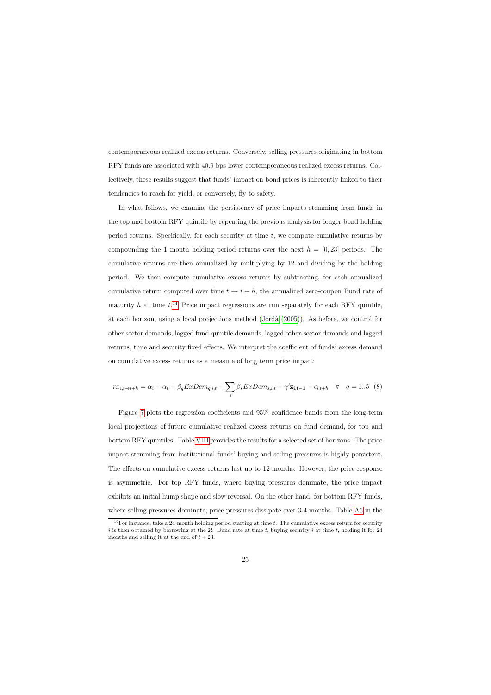contemporaneous realized excess returns. Conversely, selling pressures originating in bottom RFY funds are associated with 40.9 bps lower contemporaneous realized excess returns. Collectively, these results suggest that funds' impact on bond prices is inherently linked to their tendencies to reach for yield, or conversely, fly to safety.

In what follows, we examine the persistency of price impacts stemming from funds in the top and bottom RFY quintile by repeating the previous analysis for longer bond holding period returns. Specifically, for each security at time  $t$ , we compute cumulative returns by compounding the 1 month holding period returns over the next  $h = [0, 23]$  periods. The cumulative returns are then annualized by multiplying by 12 and dividing by the holding period. We then compute cumulative excess returns by subtracting, for each annualized cumulative return computed over time  $t \to t + h$ , the annualized zero-coupon Bund rate of maturity h at time  $t^{14}$  $t^{14}$  $t^{14}$  Price impact regressions are run separately for each RFY quintile, at each horizon, using a local projections method  $(Jordan 2005)$ . As before, we control for other sector demands, lagged fund quintile demands, lagged other-sector demands and lagged returns, time and security fixed effects. We interpret the coefficient of funds' excess demand on cumulative excess returns as a measure of long term price impact:

$$
rx_{i,t\rightarrow t+h} = \alpha_i + \alpha_t + \beta_q ExDem_{q,i,t} + \sum_s \beta_s ExDem_{s,i,t} + \gamma' \mathbf{z_{i,t-1}} + \epsilon_{i,t+h} \quad \forall \quad q = 1..5 \tag{8}
$$

Figure [7](#page-53-1) plots the regression coefficients and 95% confidence bands from the long-term local projections of future cumulative realized excess returns on fund demand, for top and bottom RFY quintiles. Table [VIII](#page-52-0) provides the results for a selected set of horizons. The price impact stemming from institutional funds' buying and selling pressures is highly persistent. The effects on cumulative excess returns last up to 12 months. However, the price response is asymmetric. For top RFY funds, where buying pressures dominate, the price impact exhibits an initial hump shape and slow reversal. On the other hand, for bottom RFY funds, where selling pressures dominate, price pressures dissipate over 3-4 months. Table [A5](#page-64-0) in the

<span id="page-26-0"></span><sup>&</sup>lt;sup>14</sup>For instance, take a 24-month holding period starting at time  $t$ . The cumulative excess return for security i is then obtained by borrowing at the 2Y Bund rate at time t, buying security i at time t, holding it for 24 months and selling it at the end of  $t + 23$ .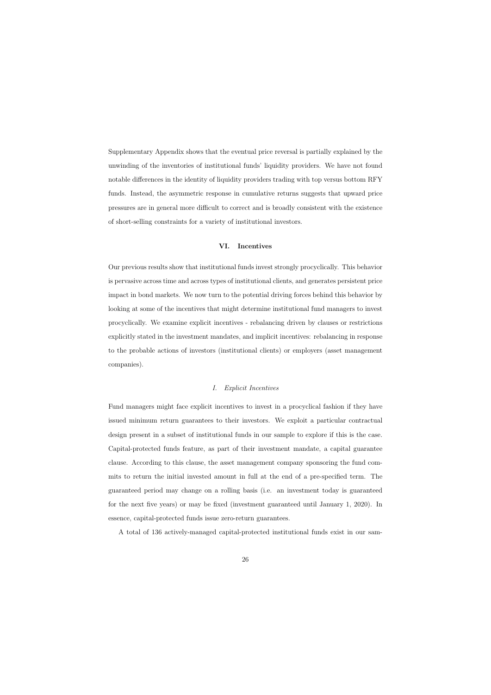Supplementary Appendix shows that the eventual price reversal is partially explained by the unwinding of the inventories of institutional funds' liquidity providers. We have not found notable differences in the identity of liquidity providers trading with top versus bottom RFY funds. Instead, the asymmetric response in cumulative returns suggests that upward price pressures are in general more difficult to correct and is broadly consistent with the existence of short-selling constraints for a variety of institutional investors.

### VI. Incentives

Our previous results show that institutional funds invest strongly procyclically. This behavior is pervasive across time and across types of institutional clients, and generates persistent price impact in bond markets. We now turn to the potential driving forces behind this behavior by looking at some of the incentives that might determine institutional fund managers to invest procyclically. We examine explicit incentives - rebalancing driven by clauses or restrictions explicitly stated in the investment mandates, and implicit incentives: rebalancing in response to the probable actions of investors (institutional clients) or employers (asset management companies).

### I. Explicit Incentives

<span id="page-27-0"></span>Fund managers might face explicit incentives to invest in a procyclical fashion if they have issued minimum return guarantees to their investors. We exploit a particular contractual design present in a subset of institutional funds in our sample to explore if this is the case. Capital-protected funds feature, as part of their investment mandate, a capital guarantee clause. According to this clause, the asset management company sponsoring the fund commits to return the initial invested amount in full at the end of a pre-specified term. The guaranteed period may change on a rolling basis (i.e. an investment today is guaranteed for the next five years) or may be fixed (investment guaranteed until January 1, 2020). In essence, capital-protected funds issue zero-return guarantees.

A total of 136 actively-managed capital-protected institutional funds exist in our sam-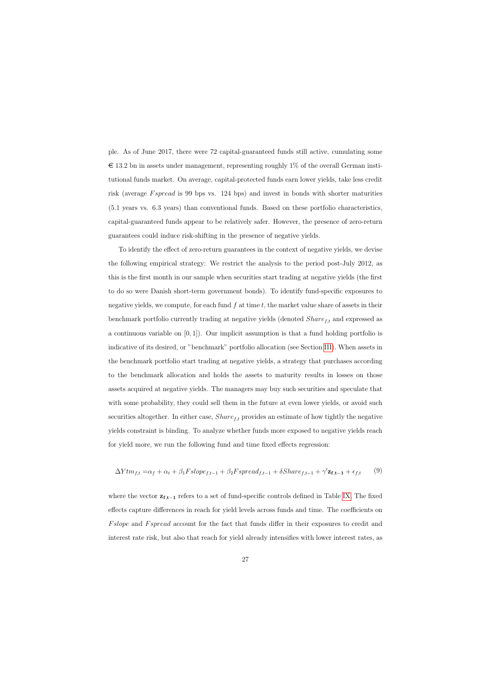ple. As of June 2017, there were 72 capital-guaranteed funds still active, cumulating some  $\epsilon$  13.2 bn in assets under management, representing roughly 1% of the overall German institutional funds market. On average, capital-protected funds earn lower yields, take less credit risk (average *F spread* is 99 bps vs. 124 bps) and invest in bonds with shorter maturities (5.1 years vs. 6.3 years) than conventional funds. Based on these portfolio characteristics, capital-guaranteed funds appear to be relatively safer. However, the presence of zero-return guarantees could induce risk-shifting in the presence of negative yields.

To identify the effect of zero-return guarantees in the context of negative yields, we devise the following empirical strategy: We restrict the analysis to the period post-July 2012, as this is the first month in our sample when securities start trading at negative yields (the first to do so were Danish short-term government bonds). To identify fund-specific exposures to negative yields, we compute, for each fund  $f$  at time  $t$ , the market value share of assets in their benchmark portfolio currently trading at negative yields (denoted  $Share_{f,t}$  and expressed as a continuous variable on  $[0, 1]$ . Our implicit assumption is that a fund holding portfolio is indicative of its desired, or "benchmark" portfolio allocation (see Section [III\)](#page-11-0). When assets in the benchmark portfolio start trading at negative yields, a strategy that purchases according to the benchmark allocation and holds the assets to maturity results in losses on those assets acquired at negative yields. The managers may buy such securities and speculate that with some probability, they could sell them in the future at even lower yields, or avoid such securities altogether. In either case,  $Share_{f,t}$  provides an estimate of how tightly the negative yields constraint is binding. To analyze whether funds more exposed to negative yields reach for yield more, we run the following fund and time fixed effects regression:

$$
\Delta Y t m_{f,t} = \alpha_f + \alpha_t + \beta_1 F slope_{f,t-1} + \beta_2 F spread_{f,t-1} + \delta Share_{f,t-1} + \gamma' \mathbf{z_{f,t-1}} + \epsilon_{f,t} \tag{9}
$$

where the vector  $z_{f,t-1}$  refers to a set of fund-specific controls defined in Table [IX.](#page-54-0) The fixed effects capture differences in reach for yield levels across funds and time. The coefficients on Fslope and Fspread account for the fact that funds differ in their exposures to credit and interest rate risk, but also that reach for yield already intensifies with lower interest rates, as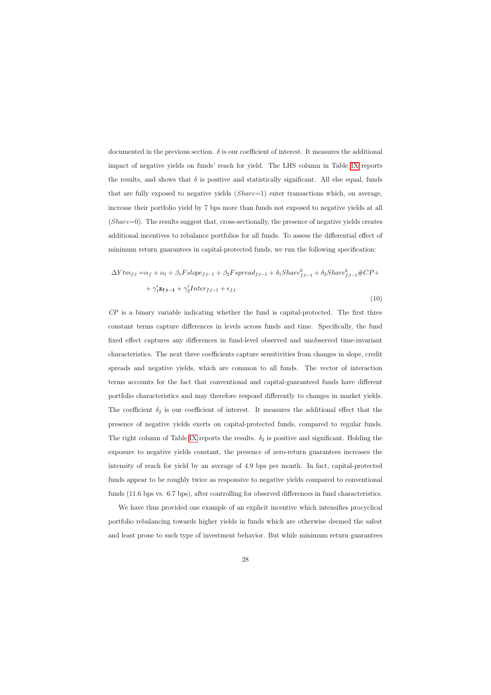documented in the previous section.  $\delta$  is our coefficient of interest. It measures the additional impact of negative yields on funds' reach for yield. The LHS column in Table [IX](#page-54-0) reports the results, and shows that  $\delta$  is positive and statistically significant. All else equal, funds that are fully exposed to negative yields (Share=1) enter transactions which, on average, increase their portfolio yield by 7 bps more than funds not exposed to negative yields at all  $(Share=0)$ . The results suggest that, cross-sectionally, the presence of negative yields creates additional incentives to rebalance portfolios for all funds. To assess the differential effect of minimum return guarantees in capital-protected funds, we run the following specification:

$$
\Delta Y t m_{f,t} = \alpha_f + \alpha_t + \beta_1 F slope_{f,t-1} + \beta_2 F spread_{f,t-1} + \delta_1 Share_{f,t-1}^b + \delta_2 Share_{f,t-1}^b \# CP +
$$
  
+  $\gamma'_1 \mathbf{z}_{f,t-1} + \gamma'_2 Inter_{f,t-1} + \epsilon_{f,t}$  (10)

 $\mathbb{CP}$  is a binary variable indicating whether the fund is capital-protected. The first three constant terms capture differences in levels across funds and time. Specifically, the fund fixed effect captures any differences in fund-level observed and unobserved time-invariant characteristics. The next three coefficients capture sensitivities from changes in slope, credit spreads and negative yields, which are common to all funds. The vector of interaction terms accounts for the fact that conventional and capital-guaranteed funds have different portfolio characteristics and may therefore respond differently to changes in market yields. The coefficient  $\delta_2$  is our coefficient of interest. It measures the additional effect that the presence of negative yields exerts on capital-protected funds, compared to regular funds. The right column of Table [IX](#page-54-0) reports the results.  $\delta_2$  is positive and significant. Holding the exposure to negative yields constant, the presence of zero-return guarantees increases the intensity of reach for yield by an average of 4.9 bps per month. In fact, capital-protected funds appear to be roughly twice as responsive to negative yields compared to conventional funds (11.6 bps vs. 6.7 bps), after controlling for observed differences in fund characteristics.

We have thus provided one example of an explicit incentive which intensifies procyclical portfolio rebalancing towards higher yields in funds which are otherwise deemed the safest and least prone to such type of investment behavior. But while minimum return guarantees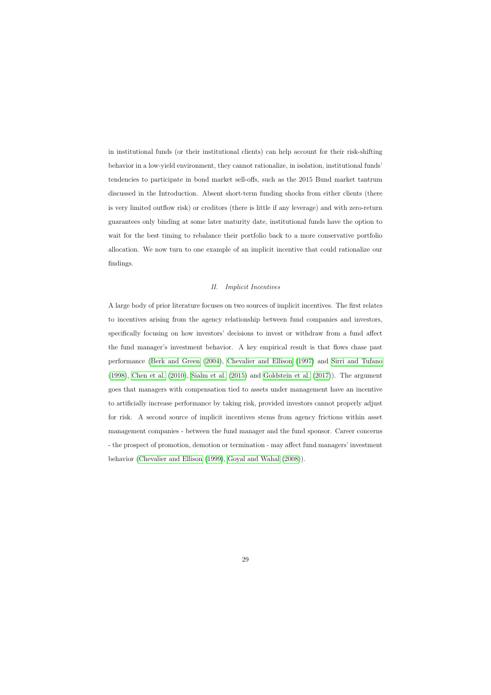in institutional funds (or their institutional clients) can help account for their risk-shifting behavior in a low-yield environment, they cannot rationalize, in isolation, institutional funds' tendencies to participate in bond market sell-offs, such as the 2015 Bund market tantrum discussed in the Introduction. Absent short-term funding shocks from either clients (there is very limited outflow risk) or creditors (there is little if any leverage) and with zero-return guarantees only binding at some later maturity date, institutional funds have the option to wait for the best timing to rebalance their portfolio back to a more conservative portfolio allocation. We now turn to one example of an implicit incentive that could rationalize our findings.

### II. Implicit Incentives

A large body of prior literature focuses on two sources of implicit incentives. The first relates to incentives arising from the agency relationship between fund companies and investors, specifically focusing on how investors' decisions to invest or withdraw from a fund affect the fund manager's investment behavior. A key empirical result is that flows chase past performance [\(Berk and Green](#page-37-15) [\(2004\)](#page-37-15), [Chevalier and Ellison](#page-37-4) [\(1997\)](#page-37-4) and [Sirri and Tufano](#page-39-0) [\(1998\)](#page-39-0), [Chen et al.](#page-37-5) [\(2010\)](#page-37-5), [Sialm et al.](#page-39-6) [\(2015\)](#page-39-6) and [Goldstein et al.](#page-38-2) [\(2017\)](#page-38-2)). The argument goes that managers with compensation tied to assets under management have an incentive to artificially increase performance by taking risk, provided investors cannot properly adjust for risk. A second source of implicit incentives stems from agency frictions within asset management companies - between the fund manager and the fund sponsor. Career concerns - the prospect of promotion, demotion or termination - may affect fund managers' investment behavior [\(Chevalier and Ellison](#page-37-10) [\(1999\)](#page-37-10), [Goyal and Wahal](#page-38-1) [\(2008\)](#page-38-1)).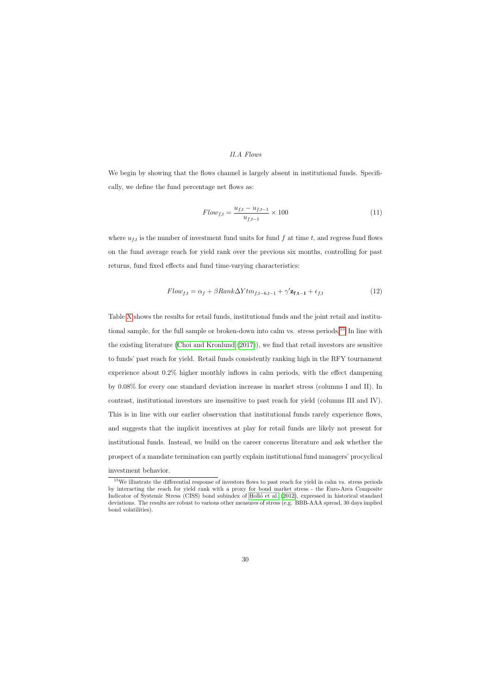### II.A Flows

We begin by showing that the flows channel is largely absent in institutional funds. Specifically, we define the fund percentage net flows as:

$$
Flow_{f,t} = \frac{u_{f,t} - u_{f,t-1}}{u_{f,t-1}} \times 100
$$
\n(11)

where  $u_{f,t}$  is the number of investment fund units for fund f at time t, and regress fund flows on the fund average reach for yield rank over the previous six months, controlling for past returns, fund fixed effects and fund time-varying characteristics:

$$
Flow_{f,t} = \alpha_f + \beta Rank\Delta Y tm_{f,t-6,t-1} + \gamma' \mathbf{z_{f,t-1}} + \epsilon_{f,t}
$$
\n(12)

Table [X](#page-55-0) shows the results for retail funds, institutional funds and the joint retail and institu-tional sample, for the full sample or broken-down into calm vs. stress periods.<sup>[15](#page-31-0)</sup> In line with the existing literature [\(Choi and Kronlund](#page-37-7) [\(2017\)](#page-37-7)), we find that retail investors are sensitive to funds' past reach for yield. Retail funds consistently ranking high in the RFY tournament experience about 0.2% higher monthly inflows in calm periods, with the effect dampening by 0.08% for every one standard deviation increase in market stress (columns I and II). In contrast, institutional investors are insensitive to past reach for yield (columns III and IV). This is in line with our earlier observation that institutional funds rarely experience flows, and suggests that the implicit incentives at play for retail funds are likely not present for institutional funds. Instead, we build on the career concerns literature and ask whether the prospect of a mandate termination can partly explain institutional fund managers' procyclical investment behavior.

<span id="page-31-0"></span><sup>&</sup>lt;sup>15</sup>We illustrate the differential response of investors flows to past reach for yield in calm vs. stress periods by interacting the reach for yield rank with a proxy for bond market stress - the Euro-Area Composite Indicator of Systemic Stress (CISS) bond subindex of Holló et al. [\(2012\)](#page-38-11), expressed in historical standard deviations. The results are robust to various other measures of stress (e.g. BBB-AAA spread, 30 days implied bond volatilities).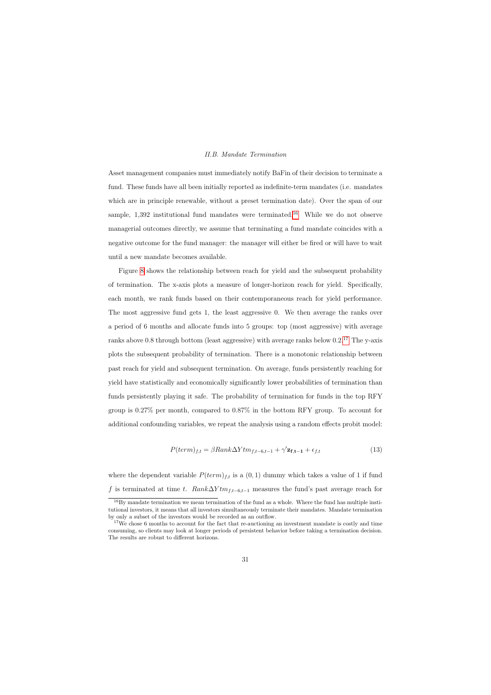### II.B. Mandate Termination

Asset management companies must immediately notify BaFin of their decision to terminate a fund. These funds have all been initially reported as indefinite-term mandates (i.e. mandates which are in principle renewable, without a preset termination date). Over the span of our sample,  $1,392$  institutional fund mandates were terminated.<sup>[16](#page-32-0)</sup> While we do not observe managerial outcomes directly, we assume that terminating a fund mandate coincides with a negative outcome for the fund manager: the manager will either be fired or will have to wait until a new mandate becomes available.

Figure [8](#page-56-0) shows the relationship between reach for yield and the subsequent probability of termination. The x-axis plots a measure of longer-horizon reach for yield. Specifically, each month, we rank funds based on their contemporaneous reach for yield performance. The most aggressive fund gets 1, the least aggressive 0. We then average the ranks over a period of 6 months and allocate funds into 5 groups: top (most aggressive) with average ranks above 0.8 through bottom (least aggressive) with average ranks below  $0.2^{17}$  $0.2^{17}$  $0.2^{17}$  The y-axis plots the subsequent probability of termination. There is a monotonic relationship between past reach for yield and subsequent termination. On average, funds persistently reaching for yield have statistically and economically significantly lower probabilities of termination than funds persistently playing it safe. The probability of termination for funds in the top RFY group is 0.27% per month, compared to 0.87% in the bottom RFY group. To account for additional confounding variables, we repeat the analysis using a random effects probit model:

$$
P(\text{term})_{f,t} = \beta \text{Rank}\Delta Y \text{tm}_{f,t-6,t-1} + \gamma' \mathbf{z}_{f,t-1} + \epsilon_{f,t} \tag{13}
$$

where the dependent variable  $P(term)_{f,t}$  is a  $(0, 1)$  dummy which takes a value of 1 if fund f is terminated at time t.  $Rank\Delta Ytm_{f,t-6,t-1}$  measures the fund's past average reach for

<sup>&</sup>lt;sup>16</sup>By mandate termination we mean termination of the fund as a whole. Where the fund has multiple institutional investors, it means that all investors simultaneously terminate their mandates. Mandate termination by only a subset of the investors would be recorded as an outflow.

<span id="page-32-1"></span><span id="page-32-0"></span><sup>&</sup>lt;sup>17</sup>We chose 6 months to account for the fact that re-auctioning an investment mandate is costly and time consuming, so clients may look at longer periods of persistent behavior before taking a termination decision. The results are robust to different horizons.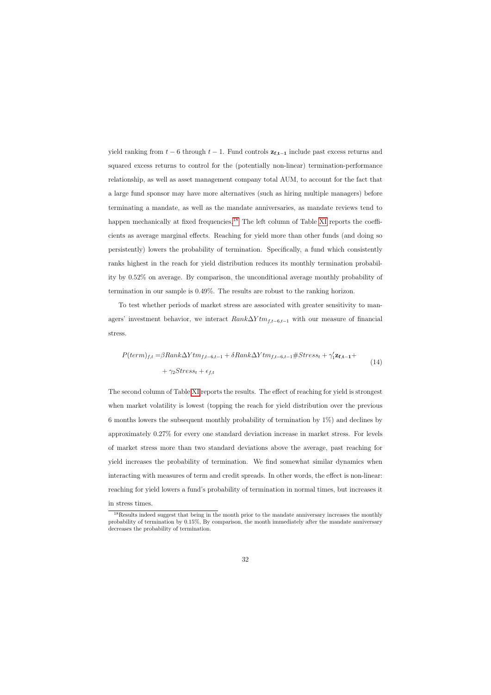yield ranking from  $t - 6$  through  $t - 1$ . Fund controls  $z_{f,t-1}$  include past excess returns and squared excess returns to control for the (potentially non-linear) termination-performance relationship, as well as asset management company total AUM, to account for the fact that a large fund sponsor may have more alternatives (such as hiring multiple managers) before terminating a mandate, as well as the mandate anniversaries, as mandate reviews tend to happen mechanically at fixed frequencies.<sup>[18](#page-33-0)</sup> The left column of Table [XI](#page-57-0) reports the coefficients as average marginal effects. Reaching for yield more than other funds (and doing so persistently) lowers the probability of termination. Specifically, a fund which consistently ranks highest in the reach for yield distribution reduces its monthly termination probability by 0.52% on average. By comparison, the unconditional average monthly probability of termination in our sample is 0.49%. The results are robust to the ranking horizon.

To test whether periods of market stress are associated with greater sensitivity to managers' investment behavior, we interact  $Rank\Delta Ytm_{f,t-6,t-1}$  with our measure of financial stress.

$$
P(term)_{f,t} = \beta Rank\Delta Ytm_{f,t-6,t-1} + \delta Rank\Delta Ytm_{f,t-6,t-1} \# Stress_t + \gamma_1' \mathbf{z_{f,t-1}} + + \gamma_2 Stress_t + \epsilon_{f,t}
$$
\n(14)

The second column of Table [XI](#page-57-0) reports the results. The effect of reaching for yield is strongest when market volatility is lowest (topping the reach for yield distribution over the previous 6 months lowers the subsequent monthly probability of termination by 1%) and declines by approximately 0.27% for every one standard deviation increase in market stress. For levels of market stress more than two standard deviations above the average, past reaching for yield increases the probability of termination. We find somewhat similar dynamics when interacting with measures of term and credit spreads. In other words, the effect is non-linear: reaching for yield lowers a fund's probability of termination in normal times, but increases it in stress times.

<span id="page-33-0"></span><sup>&</sup>lt;sup>18</sup>Results indeed suggest that being in the month prior to the mandate anniversary increases the monthly probability of termination by 0.15%, By comparison, the month immediately after the mandate anniversary decreases the probability of termination.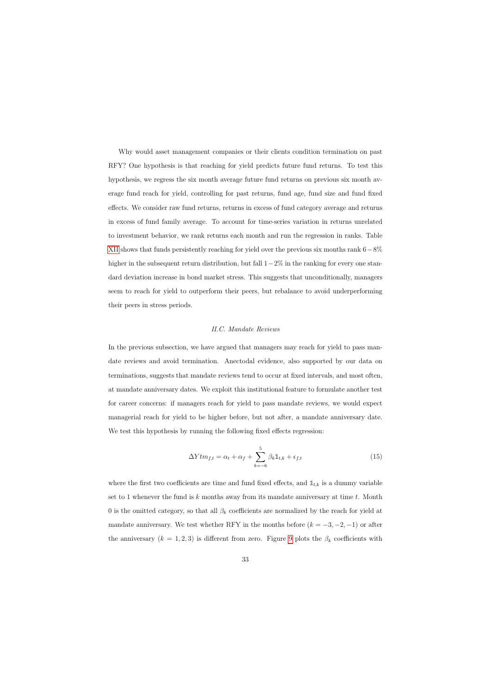Why would asset management companies or their clients condition termination on past RFY? One hypothesis is that reaching for yield predicts future fund returns. To test this hypothesis, we regress the six month average future fund returns on previous six month average fund reach for yield, controlling for past returns, fund age, fund size and fund fixed effects. We consider raw fund returns, returns in excess of fund category average and returns in excess of fund family average. To account for time-series variation in returns unrelated to investment behavior, we rank returns each month and run the regression in ranks. Table [XII](#page-58-0) shows that funds persistently reaching for yield over the previous six months rank  $6-8\%$ higher in the subsequent return distribution, but fall 1−2% in the ranking for every one standard deviation increase in bond market stress. This suggests that unconditionally, managers seem to reach for yield to outperform their peers, but rebalance to avoid underperforming their peers in stress periods.

### II.C. Mandate Reviews

In the previous subsection, we have argued that managers may reach for yield to pass mandate reviews and avoid termination. Anectodal evidence, also supported by our data on terminations, suggests that mandate reviews tend to occur at fixed intervals, and most often, at mandate anniversary dates. We exploit this institutional feature to formulate another test for career concerns: if managers reach for yield to pass mandate reviews, we would expect managerial reach for yield to be higher before, but not after, a mandate anniversary date. We test this hypothesis by running the following fixed effects regression:

$$
\Delta Y t m_{f,t} = \alpha_t + \alpha_f + \sum_{k=-6}^{5} \beta_k \mathbb{1}_{t,k} + \epsilon_{f,t}
$$
\n(15)

<span id="page-34-0"></span>where the first two coefficients are time and fund fixed effects, and  $\mathbb{1}_{t,k}$  is a dummy variable set to 1 whenever the fund is k months away from its mandate anniversary at time  $t$ . Month 0 is the omitted category, so that all  $\beta_k$  coefficients are normalized by the reach for yield at mandate anniversary. We test whether RFY in the months before  $(k = -3, -2, -1)$  or after the anniversary  $(k = 1, 2, 3)$  is different from zero. Figure [9](#page-59-0) plots the  $\beta_k$  coefficients with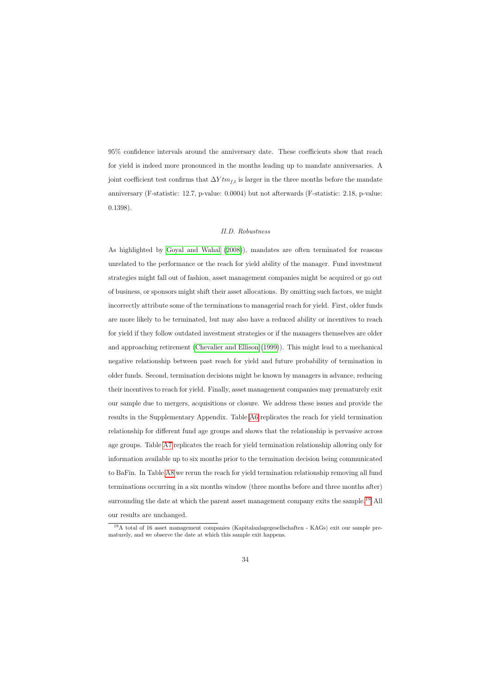95% confidence intervals around the anniversary date. These coefficients show that reach for yield is indeed more pronounced in the months leading up to mandate anniversaries. A joint coefficient test confirms that  $\Delta Y t m_{f,t}$  is larger in the three months before the mandate anniversary (F-statistic: 12.7, p-value: 0.0004) but not afterwards (F-statistic: 2.18, p-value: 0.1398).

### II.D. Robustness

As highlighted by [Goyal and Wahal](#page-38-1) [\(2008\)](#page-38-1)), mandates are often terminated for reasons unrelated to the performance or the reach for yield ability of the manager. Fund investment strategies might fall out of fashion, asset management companies might be acquired or go out of business, or sponsors might shift their asset allocations. By omitting such factors, we might incorrectly attribute some of the terminations to managerial reach for yield. First, older funds are more likely to be terminated, but may also have a reduced ability or incentives to reach for yield if they follow outdated investment strategies or if the managers themselves are older and approaching retirement [\(Chevalier and Ellison](#page-37-10) [\(1999\)](#page-37-10)). This might lead to a mechanical negative relationship between past reach for yield and future probability of termination in older funds. Second, termination decisions might be known by managers in advance, reducing their incentives to reach for yield. Finally, asset management companies may prematurely exit our sample due to mergers, acquisitions or closure. We address these issues and provide the results in the Supplementary Appendix. Table [A6](#page-65-0) replicates the reach for yield termination relationship for different fund age groups and shows that the relationship is pervasive across age groups. Table [A7](#page-66-0) replicates the reach for yield termination relationship allowing only for information available up to six months prior to the termination decision being communicated to BaFin. In Table [A8](#page-67-0) we rerun the reach for yield termination relationship removing all fund terminations occurring in a six months window (three months before and three months after) surrounding the date at which the parent asset management company exits the sample.<sup>[19](#page-35-0)</sup> All our results are unchanged.

<span id="page-35-0"></span><sup>19</sup>A total of 16 asset management companies (Kapitalanlagegesellschaften - KAGs) exit our sample prematurely, and we observe the date at which this sample exit happens.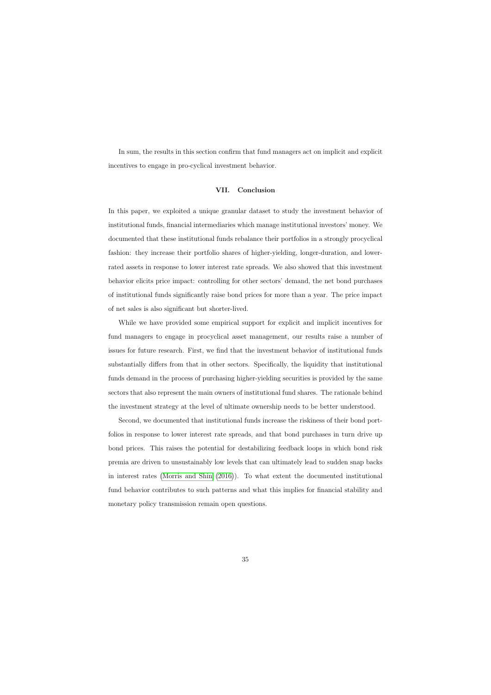In sum, the results in this section confirm that fund managers act on implicit and explicit incentives to engage in pro-cyclical investment behavior.

### VII. Conclusion

In this paper, we exploited a unique granular dataset to study the investment behavior of institutional funds, financial intermediaries which manage institutional investors' money. We documented that these institutional funds rebalance their portfolios in a strongly procyclical fashion: they increase their portfolio shares of higher-yielding, longer-duration, and lowerrated assets in response to lower interest rate spreads. We also showed that this investment behavior elicits price impact: controlling for other sectors' demand, the net bond purchases of institutional funds significantly raise bond prices for more than a year. The price impact of net sales is also significant but shorter-lived.

While we have provided some empirical support for explicit and implicit incentives for fund managers to engage in procyclical asset management, our results raise a number of issues for future research. First, we find that the investment behavior of institutional funds substantially differs from that in other sectors. Specifically, the liquidity that institutional funds demand in the process of purchasing higher-yielding securities is provided by the same sectors that also represent the main owners of institutional fund shares. The rationale behind the investment strategy at the level of ultimate ownership needs to be better understood.

Second, we documented that institutional funds increase the riskiness of their bond portfolios in response to lower interest rate spreads, and that bond purchases in turn drive up bond prices. This raises the potential for destabilizing feedback loops in which bond risk premia are driven to unsustainably low levels that can ultimately lead to sudden snap backs in interest rates [\(Morris and Shin](#page-39-7) [\(2016\)](#page-39-7)). To what extent the documented institutional fund behavior contributes to such patterns and what this implies for financial stability and monetary policy transmission remain open questions.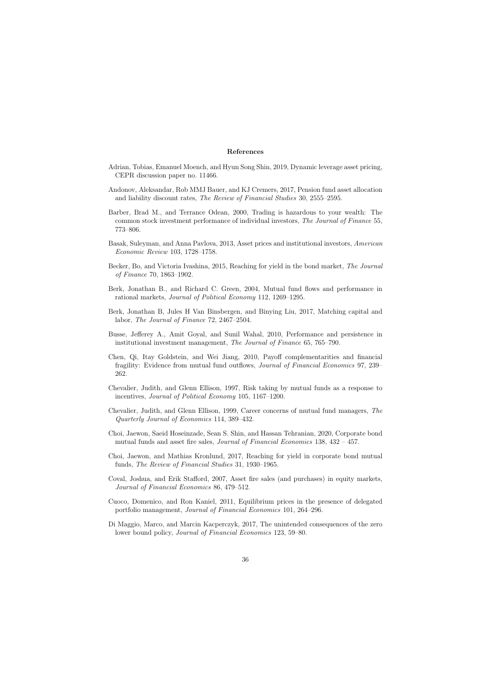### References

- Adrian, Tobias, Emanuel Moench, and Hyun Song Shin, 2019, Dynamic leverage asset pricing, CEPR discussion paper no. 11466.
- Andonov, Aleksandar, Rob MMJ Bauer, and KJ Cremers, 2017, Pension fund asset allocation and liability discount rates, The Review of Financial Studies 30, 2555–2595.
- Barber, Brad M., and Terrance Odean, 2000, Trading is hazardous to your wealth: The common stock investment performance of individual investors, The Journal of Finance 55, 773–806.
- Basak, Suleyman, and Anna Pavlova, 2013, Asset prices and institutional investors, American Economic Review 103, 1728–1758.
- Becker, Bo, and Victoria Ivashina, 2015, Reaching for yield in the bond market, The Journal of Finance 70, 1863–1902.
- <span id="page-37-2"></span>Berk, Jonathan B., and Richard C. Green, 2004, Mutual fund flows and performance in rational markets, Journal of Political Economy 112, 1269–1295.
- <span id="page-37-13"></span>Berk, Jonathan B, Jules H Van Binsbergen, and Binying Liu, 2017, Matching capital and labor, The Journal of Finance 72, 2467–2504.
- <span id="page-37-3"></span>Busse, Jefferey A., Amit Goyal, and Sunil Wahal, 2010, Performance and persistence in institutional investment management, The Journal of Finance 65, 765–790.
- <span id="page-37-1"></span>Chen, Qi, Itay Goldstein, and Wei Jiang, 2010, Payoff complementarities and financial fragility: Evidence from mutual fund outflows, Journal of Financial Economics 97, 239– 262.
- <span id="page-37-12"></span>Chevalier, Judith, and Glenn Ellison, 1997, Risk taking by mutual funds as a response to incentives, Journal of Political Economy 105, 1167–1200.
- <span id="page-37-15"></span>Chevalier, Judith, and Glenn Ellison, 1999, Career concerns of mutual fund managers, The Quarterly Journal of Economics 114, 389–432.
- <span id="page-37-11"></span>Choi, Jaewon, Saeid Hoseinzade, Sean S. Shin, and Hassan Tehranian, 2020, Corporate bond mutual funds and asset fire sales, *Journal of Financial Economics* 138,  $432 - 457$ .
- <span id="page-37-8"></span>Choi, Jaewon, and Mathias Kronlund, 2017, Reaching for yield in corporate bond mutual funds, The Review of Financial Studies 31, 1930–1965.
- <span id="page-37-5"></span>Coval, Joshua, and Erik Stafford, 2007, Asset fire sales (and purchases) in equity markets, Journal of Financial Economics 86, 479–512.
- <span id="page-37-4"></span>Cuoco, Domenico, and Ron Kaniel, 2011, Equilibrium prices in the presence of delegated portfolio management, Journal of Financial Economics 101, 264–296.
- <span id="page-37-14"></span><span id="page-37-10"></span><span id="page-37-9"></span><span id="page-37-7"></span><span id="page-37-6"></span><span id="page-37-0"></span>Di Maggio, Marco, and Marcin Kacperczyk, 2017, The unintended consequences of the zero lower bound policy, Journal of Financial Economics 123, 59–80.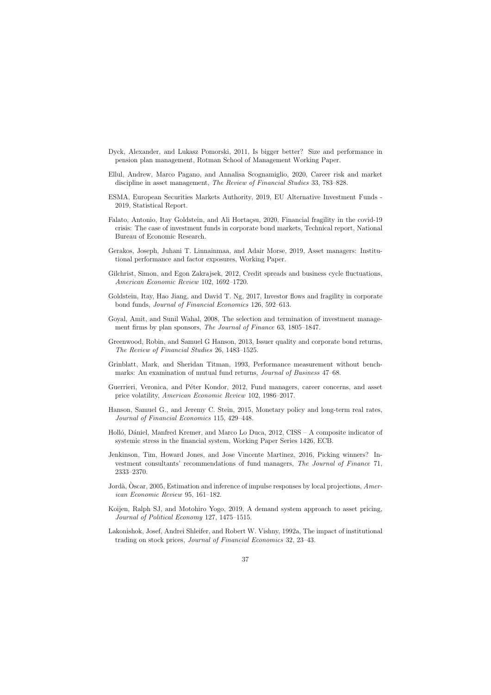- Dyck, Alexander, and Lukasz Pomorski, 2011, Is bigger better? Size and performance in pension plan management, Rotman School of Management Working Paper.
- Ellul, Andrew, Marco Pagano, and Annalisa Scognamiglio, 2020, Career risk and market discipline in asset management, The Review of Financial Studies 33, 783–828.
- ESMA, European Securities Markets Authority, 2019, EU Alternative Investment Funds 2019, Statistical Report.
- Falato, Antonio, Itay Goldstein, and Ali Hortaçsu, 2020, Financial fragility in the covid-19 crisis: The case of investment funds in corporate bond markets, Technical report, National Bureau of Economic Research.
- Gerakos, Joseph, Juhani T. Linnainmaa, and Adair Morse, 2019, Asset managers: Institutional performance and factor exposures, Working Paper.
- <span id="page-38-6"></span>Gilchrist, Simon, and Egon Zakrajsek, 2012, Credit spreads and business cycle fluctuations, American Economic Review 102, 1692–1720.
- <span id="page-38-7"></span>Goldstein, Itay, Hao Jiang, and David T. Ng, 2017, Investor flows and fragility in corporate bond funds, Journal of Financial Economics 126, 592–613.
- <span id="page-38-10"></span>Goyal, Amit, and Sunil Wahal, 2008, The selection and termination of investment management firms by plan sponsors, The Journal of Finance 63, 1805–1847.
- <span id="page-38-3"></span>Greenwood, Robin, and Samuel G Hanson, 2013, Issuer quality and corporate bond returns, The Review of Financial Studies 26, 1483–1525.
- <span id="page-38-4"></span>Grinblatt, Mark, and Sheridan Titman, 1993, Performance measurement without benchmarks: An examination of mutual fund returns, Journal of Business 47–68.
- <span id="page-38-14"></span>Guerrieri, Veronica, and Péter Kondor, 2012, Fund managers, career concerns, and asset price volatility, American Economic Review 102, 1986–2017.
- <span id="page-38-2"></span>Hanson, Samuel G., and Jeremy C. Stein, 2015, Monetary policy and long-term real rates, Journal of Financial Economics 115, 429–448.
- <span id="page-38-1"></span>Holló, Dániel, Manfred Kremer, and Marco Lo Duca, 2012, CISS – A composite indicator of systemic stress in the financial system, Working Paper Series 1426, ECB.
- <span id="page-38-12"></span>Jenkinson, Tim, Howard Jones, and Jose Vincente Martinez, 2016, Picking winners? Investment consultants' recommendations of fund managers, The Journal of Finance 71, 2333–2370.
- <span id="page-38-13"></span>Jordà, Oscar, 2005, Estimation and inference of impulse responses by local projections, American Economic Review 95, 161–182.
- <span id="page-38-8"></span>Koijen, Ralph SJ, and Motohiro Yogo, 2019, A demand system approach to asset pricing, Journal of Political Economy 127, 1475–1515.
- <span id="page-38-16"></span><span id="page-38-15"></span><span id="page-38-11"></span><span id="page-38-9"></span><span id="page-38-5"></span><span id="page-38-0"></span>Lakonishok, Josef, Andrei Shleifer, and Robert W. Vishny, 1992a, The impact of institutional trading on stock prices, Journal of Financial Economics 32, 23–43.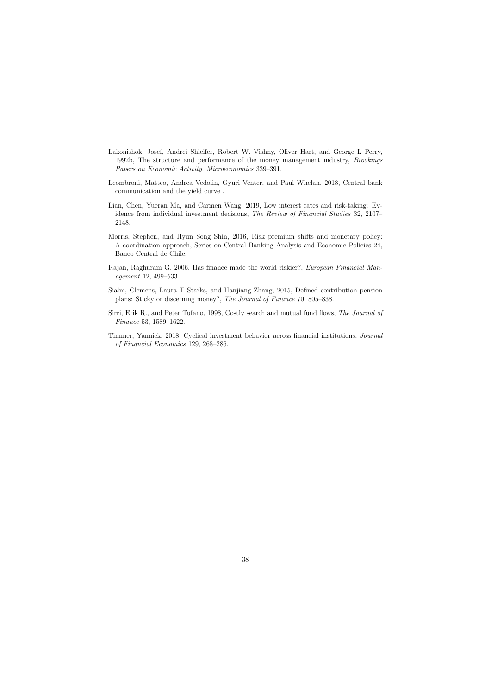- Lakonishok, Josef, Andrei Shleifer, Robert W. Vishny, Oliver Hart, and George L Perry, 1992b, The structure and performance of the money management industry, Brookings Papers on Economic Activity. Microeconomics 339–391.
- Leombroni, Matteo, Andrea Vedolin, Gyuri Venter, and Paul Whelan, 2018, Central bank communication and the yield curve .
- Lian, Chen, Yueran Ma, and Carmen Wang, 2019, Low interest rates and risk-taking: Evidence from individual investment decisions, The Review of Financial Studies 32, 2107– 2148.
- Morris, Stephen, and Hyun Song Shin, 2016, Risk premium shifts and monetary policy: A coordination approach, Series on Central Banking Analysis and Economic Policies 24, Banco Central de Chile.
- <span id="page-39-4"></span>Rajan, Raghuram G, 2006, Has finance made the world riskier?, European Financial Management 12, 499–533.
- <span id="page-39-5"></span>Sialm, Clemens, Laura T Starks, and Hanjiang Zhang, 2015, Defined contribution pension plans: Sticky or discerning money?, The Journal of Finance 70, 805–838.
- <span id="page-39-2"></span>Sirri, Erik R., and Peter Tufano, 1998, Costly search and mutual fund flows, The Journal of Finance 53, 1589–1622.
- <span id="page-39-7"></span><span id="page-39-6"></span><span id="page-39-3"></span><span id="page-39-1"></span><span id="page-39-0"></span>Timmer, Yannick, 2018, Cyclical investment behavior across financial institutions, Journal of Financial Economics 129, 268–286.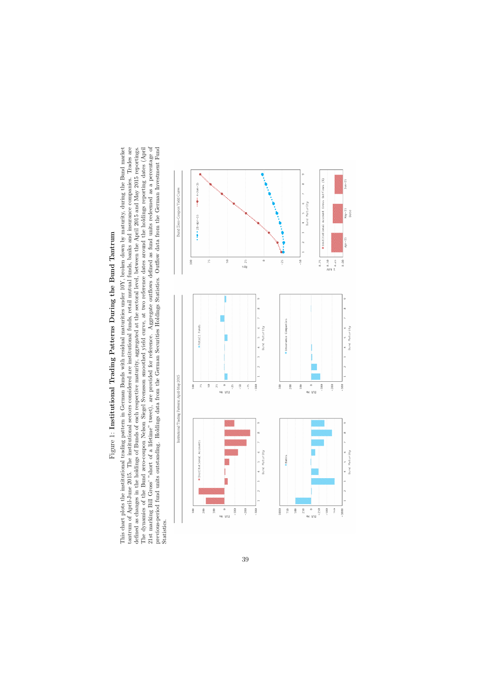# <span id="page-40-0"></span>Figure 1: Institutional Trading Patterns During the Bund Tantrum Figure 1: Institutional Trading Patterns During the Bund Tantrum

21st marking Bill Gross' "short of a lifetime" tweet), are provided for reference. Aggregate outflows defined as fund units redeemed as a percentage of This chart plots the institutional trading pattern in German Bunds with residual maturities under 10Y, broken down by maturity, during the Bund market tantrum of April-June 2015. The institutional sectors considered are institutional funds, retail mutual funds, banks and insurance companies. Trades are The dynamics of the Bund zero-coupon Nelson Siegel Svensson smoothed yield curve, at two reference dates around the holdings reporting dates (April defined as changes in the holdings of Bunds of each respective maturity, aggregated at the sectoral level, between the April 2015 and May 2015 reportings. 21st marking Bill Gross' "short of a lifetime" tweet), are provided for reference. Aggregate outflows defined as fund units redeemed as a percentage of previous-period fund units outstanding. Holdings data from the German Securities Holdings Statistics. Outflow data from the German Investment Fund This chart plots the institutional trading pattern in German Bunds with residual maturities under 10Y, broken down by maturity, during the Bund market tantrum of April-June 2015. The institutional sectors considered are institutional funds, retail mutual funds, banks and insurance companies. Trades are defined as changes in the holdings of Bunds of each respective maturity, aggregated at the sectoral level, between the April 2015 and May 2015 reportings. The dynamics of the Bund zero-coupon Nelson Siegel Svensson smoothed yield curve, at two reference dates around the holdings reporting dates (April previous-period fund units outstanding. Holdings data from the German Securities Holdings Statistics. Outflow data from the German Investment Fund Statistics.

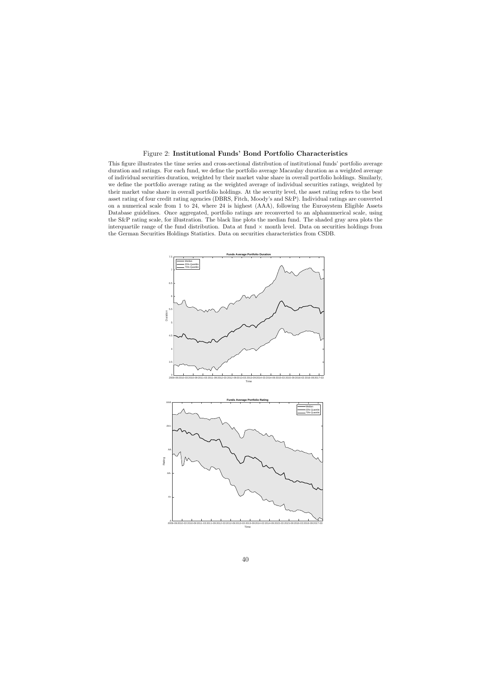### Figure 2: Institutional Funds' Bond Portfolio Characteristics

This figure illustrates the time series and cross-sectional distribution of institutional funds' portfolio average duration and ratings. For each fund, we define the portfolio average Macaulay duration as a weighted average of individual securities duration, weighted by their market value share in overall portfolio holdings. Similarly, we define the portfolio average rating as the weighted average of individual securities ratings, weighted by their market value share in overall portfolio holdings. At the security level, the asset rating refers to the best asset rating of four credit rating agencies (DBRS, Fitch, Moody's and S&P). Individual ratings are converted on a numerical scale from 1 to 24, where 24 is highest (AAA), following the Eurosystem Eligible Assets Database guidelines. Once aggregated, portfolio ratings are reconverted to an alphanumerical scale, using the S&P rating scale, for illustration. The black line plots the median fund. The shaded gray area plots the interquartile range of the fund distribution. Data at fund  $\times$  month level. Data on securities holdings from the German Securities Holdings Statistics. Data on securities characteristics from CSDB.

<span id="page-41-0"></span>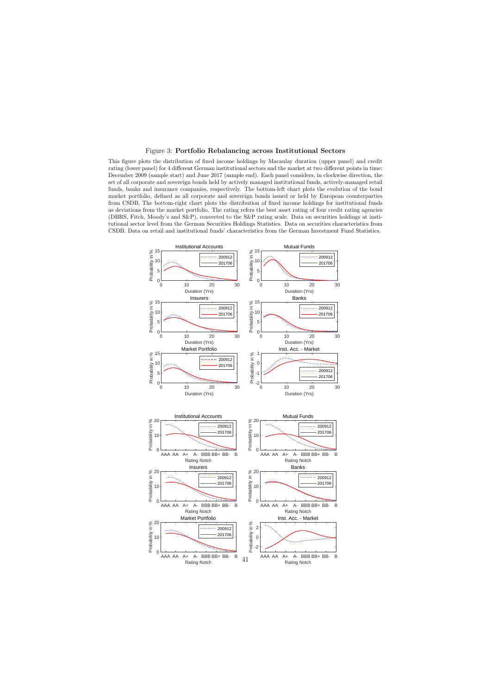### Figure 3: Portfolio Rebalancing across Institutional Sectors

This figure plots the distribution of fixed income holdings by Macaulay duration (upper panel) and credit rating (lower panel) for 4 different German institutional sectors and the market at two different points in time: December 2009 (sample start) and June 2017 (sample end). Each panel considers, in clockwise direction, the set of all corporate and sovereign bonds held by actively managed institutional funds, actively-managed retail funds, banks and insurance companies, respectively. The bottom-left chart plots the evolution of the bond market portfolio, defined as all corporate and sovereign bonds issued or held by European counterparties from CSDB. The bottom-right chart plots the distribution of fixed income holdings for institutional funds as deviations from the market portfolio. The rating refers the best asset rating of four credit rating agencies (DBRS, Fitch, Moody's and S&P), converted to the S&P rating scale. Data on securities holdings at institutional sector level from the German Securities Holdings Statistics. Data on securities characteristics from CSDB. Data on retail and institutional funds' characteristics from the German Investment Fund Statistics.

<span id="page-42-0"></span>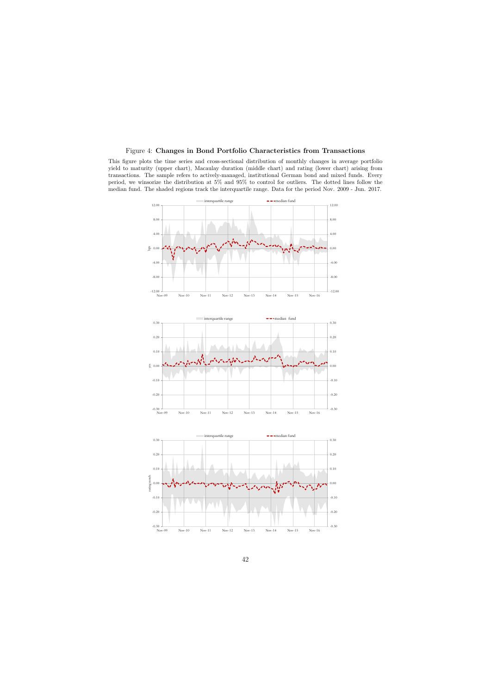### Figure 4: Changes in Bond Portfolio Characteristics from Transactions

This figure plots the time series and cross-sectional distribution of monthly changes in average portfolio yield to maturity (upper chart), Macaulay duration (middle chart) and rating (lower chart) arising from transactions. The sample refers to actively-managed, institutional German bond and mixed funds. Every period, we winsorize the distribution at 5% and 95% to control for outliers. The dotted lines follow the median fund. The shaded regions track the interquartile range. Data for the period Nov. 2009 - Jun. 2017.

<span id="page-43-0"></span>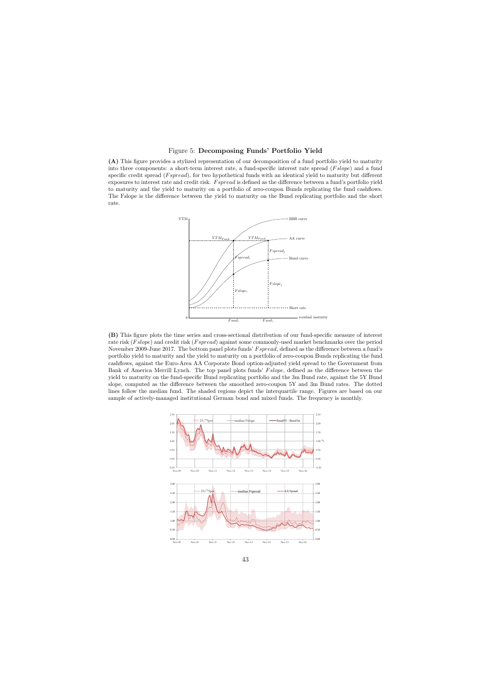Figure 5: Decomposing Funds' Portfolio Yield

(A) This figure provides a stylized representation of our decomposition of a fund portfolio yield to maturity into three components: a short-term interest rate, a fund-specific interest rate spread  $(Fslope)$  and a fund specific credit spread (*F spread*), for two hypothetical funds with an identical yield to maturity but different exposures to interest rate and credit risk. Fspread is defined as the difference between a fund's portfolio yield to maturity and the yield to maturity on a portfolio of zero-coupon Bunds replicating the fund cashflows. The Fslope is the difference between the yield to maturity on the Bund replicating portfolio and the short rate.



<span id="page-44-0"></span>(B) This figure plots the time series and cross-sectional distribution of our fund-specific measure of interest rate risk (Fslope) and credit risk (Fspread) against some commonly-used market benchmarks over the period November 2009-June 2017. The bottom panel plots funds' F spread, defined as the difference between a fund's portfolio yield to maturity and the yield to maturity on a portfolio of zero-coupon Bunds replicating the fund cashflows, against the Euro-Area AA Corporate Bond option-adjusted yield spread to the Government from Bank of America Merrill Lynch. The top panel plots funds' Fslope, defined as the difference between the yield to maturity on the fund-specific Bund replicating portfolio and the 3m Bund rate, against the 5Y Bund slope, computed as the difference between the smoothed zero-coupon 5Y and 3m Bund rates. The dotted lines follow the median fund. The shaded regions depict the interquartile range. Figures are based on our sample of actively-managed institutional German bond and mixed funds. The frequency is monthly.

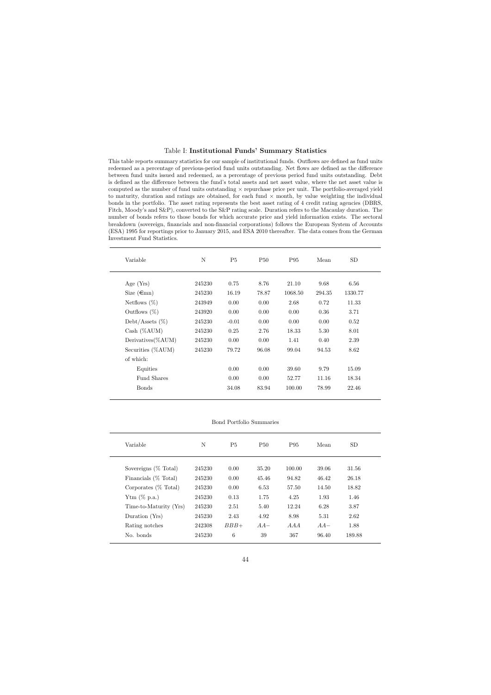### Table I: Institutional Funds' Summary Statistics

This table reports summary statistics for our sample of institutional funds. Outflows are defined as fund units redeemed as a percentage of previous-period fund units outstanding. Net flows are defined as the difference between fund units issued and redeemed, as a percentage of previous period fund units outstanding. Debt is defined as the difference between the fund's total assets and net asset value, where the net asset value is computed as the number of fund units outstanding  $\times$  repurchase price per unit. The portfolio-averaged yield to maturity, duration and ratings are obtained, for each fund  $\times$  month, by value weighting the individual bonds in the portfolio. The asset rating represents the best asset rating of 4 credit rating agencies (DBRS, Fitch, Moody's and S&P), converted to the S&P rating scale. Duration refers to the Macaulay duration. The number of bonds refers to those bonds for which accurate price and yield information exists. The sectoral breakdown (sovereign, financials and non-financial corporations) follows the European System of Accounts (ESA) 1995 for reportings prior to January 2015, and ESA 2010 thereafter. The data comes from the German Investment Fund Statistics.

<span id="page-45-0"></span>

| Variable                     | N      | P <sub>5</sub> | <b>P50</b> | P <sub>95</sub> | Mean   | SD      |
|------------------------------|--------|----------------|------------|-----------------|--------|---------|
| Age $(Yrs)$                  | 245230 | 0.75           | 8.76       | 21.10           | 9.68   | 6.56    |
| Size $(\epsilon m)$          | 245230 | 16.19          | 78.87      | 1068.50         | 294.35 | 1330.77 |
| Netflows $(\%)$              | 243949 | 0.00           | 0.00       | 2.68            | 0.72   | 11.33   |
| Outflows $(\%)$              | 243920 | 0.00           | 0.00       | 0.00            | 0.36   | 3.71    |
| Debt/Assets $(\%)$           | 245230 | $-0.01$        | 0.00       | 0.00            | 0.00   | 0.52    |
| Cash (%AUM)                  | 245230 | 0.25           | 2.76       | 18.33           | 5.30   | 8.01    |
| Derivatives $(\%\text{AUM})$ | 245230 | 0.00           | 0.00       | 1.41            | 0.40   | 2.39    |
| Securities $(\%AUM)$         | 245230 | 79.72          | 96.08      | 99.04           | 94.53  | 8.62    |
| of which:                    |        |                |            |                 |        |         |
| Equities                     |        | 0.00           | 0.00       | 39.60           | 9.79   | 15.09   |
| Fund Shares                  |        | 0.00           | 0.00       | 52.77           | 11.16  | 18.34   |
| <b>Bonds</b>                 |        | 34.08          | 83.94      | 100.00          | 78.99  | 22.46   |

Bond Portfolio Summaries

| Variable                | N      | P <sub>5</sub> | <b>P50</b> | P95    | Mean  | SD.    |
|-------------------------|--------|----------------|------------|--------|-------|--------|
| Sovereigns $(\%$ Total) | 245230 | 0.00           | 35.20      | 100.00 | 39.06 | 31.56  |
| Financials $(\%$ Total) | 245230 | 0.00           | 45.46      | 94.82  | 46.42 | 26.18  |
| Corporates $(\%$ Total) | 245230 | 0.00           | 6.53       | 57.50  | 14.50 | 18.82  |
| Ytm $(\%$ p.a.)         | 245230 | 0.13           | 1.75       | 4.25   | 1.93  | 1.46   |
| Time-to-Maturity (Yrs)  | 245230 | 2.51           | 5.40       | 12.24  | 6.28  | 3.87   |
| Duration (Yrs)          | 245230 | 2.43           | 4.92       | 8.98   | 5.31  | 2.62   |
| Rating notches          | 242308 | $BBB+$         | $AA-$      | A A A  | $AA-$ | 1.88   |
| No. bonds               | 245230 | 6              | 39         | 367    | 96.40 | 189.88 |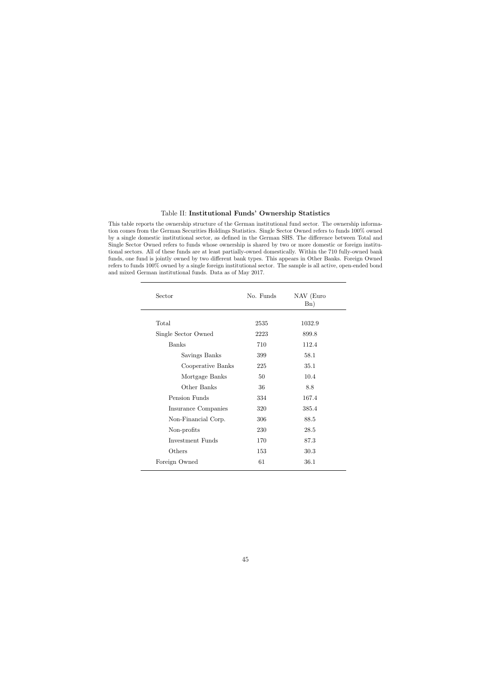### Table II: Institutional Funds' Ownership Statistics

This table reports the ownership structure of the German institutional fund sector. The ownership information comes from the German Securities Holdings Statistics. Single Sector Owned refers to funds 100% owned by a single domestic institutional sector, as defined in the German SHS. The difference between Total and Single Sector Owned refers to funds whose ownership is shared by two or more domestic or foreign institutional sectors. All of these funds are at least partially-owned domestically. Within the 710 fully-owned bank funds, one fund is jointly owned by two different bank types. This appears in Other Banks. Foreign Owned refers to funds 100% owned by a single foreign institutional sector. The sample is all active, open-ended bond and mixed German institutional funds. Data as of May 2017.

<span id="page-46-0"></span>

| Sector              | No. Funds | NAV (Euro<br>Bn) |
|---------------------|-----------|------------------|
| Total               | 2535      | 1032.9           |
| Single Sector Owned | 2223      | 899.8            |
| <b>Banks</b>        | 710       | 112.4            |
| Savings Banks       | 399       | 58.1             |
| Cooperative Banks   | 225       | 35.1             |
| Mortgage Banks      | 50        | 10.4             |
| Other Banks         | 36        | 8.8              |
| Pension Funds       | 334       | 167.4            |
| Insurance Companies | 320       | 385.4            |
| Non-Financial Corp. | 306       | 88.5             |
| Non-profits         | 230       | 28.5             |
| Investment Funds    | 170       | 87.3             |
| Others              | 153       | 30.3             |
| Foreign Owned       | 61        | 36.1             |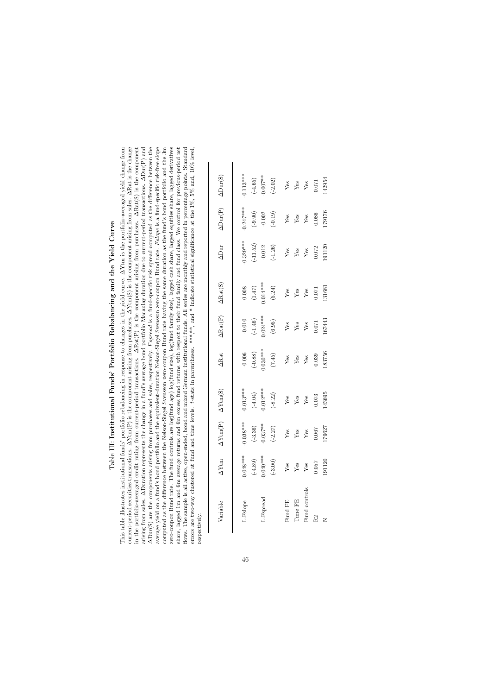<span id="page-47-0"></span>

| This table illustrates institutional funds' portfolio rebalancing in response to changes in the yield curve. $\Delta Y$ tm is the portfolio-averaged yield change from<br>Table III: Institutional Funds' Portfolio Rebalancing and the Yield Curve                                                                                                                                                            |
|----------------------------------------------------------------------------------------------------------------------------------------------------------------------------------------------------------------------------------------------------------------------------------------------------------------------------------------------------------------------------------------------------------------|
| current-period securities transactions. $\Delta Y \text{tm}(P)$ is the component arising from purchases. $\Delta Y \text{tm}(S)$ is the component arising from sales. $\Delta \text{Rat}$ is the change<br>in the portfolio-averaged credit rating from current-period transactions. $\Delta \text{Rat}(\mathbf{F})$ is the component arising from purchases. $\Delta \text{Rat}(\mathbf{S})$ is the component |
| and sales, respectively. Figuread is a fund-specific risk spread computed as the difference between the<br>arising from sales. ADuration represents the change in a fund's average bond portfolio Macaulay duration due to current-period transactions. ADur(P) and<br>$\Delta\text{Dur}(S)$ are the components arising from purchases and                                                                     |
| average yield on a fund's bond portfolio and the equivalent-duration Nelson-Siegel Svensson zero-coupon Bund rate. Fslope is a fund-specific risk-free slope                                                                                                                                                                                                                                                   |
| computed as the difference between the Nelson-Siegel Svensson zero-coupon Bund rate having the same duration as the fund's bond portfolio and the 3m                                                                                                                                                                                                                                                           |
| zero-coupon Bund rate. The fund controls are log(fund age) log(fund size), log(fund family size), lagged cash share, lagged equities share, lagged derivatives                                                                                                                                                                                                                                                 |
| share, lagged 1m and 6m average returns and 6m excess fund returns with respect to their fund family and fund class. We control for previous-period net                                                                                                                                                                                                                                                        |
| flows. The sample is all active, open-ended, bond and mixed German institutional funds. All series are monthly and reported in percentage points. Standard                                                                                                                                                                                                                                                     |
| t-stats in parentheses. ***,**, and * indicate statistical significance at the 1%, 5% and, 10% level,<br>errors are two-way clustered at fund and time levels.                                                                                                                                                                                                                                                 |
| respectively.                                                                                                                                                                                                                                                                                                                                                                                                  |

| $\Delta\mathrm{Dur}(\mathrm{S})$ | $-0.113***$<br>$(-4.65)$<br>-0.007**<br>(-2.02)     | 142954<br>${\rm \begin{array}{c} Y_{\rm es}\\ Y_{\rm es}\\ Y_{\rm es}\\ \end{array}}$                |
|----------------------------------|-----------------------------------------------------|------------------------------------------------------------------------------------------------------|
|                                  |                                                     |                                                                                                      |
| $\Delta\mathrm{Dur}(\mathrm{P})$ | $-0.247***$<br>$(-9.90)$<br>$-0.002$<br>$(-0.19)$   | 179176<br>$\begin{tabular}{l} \bf Yes \\ \bf Yes \\ \bf Yes \\ \bf Yes \\ \end{tabular}$             |
| $\Delta$ Dur                     | $0.329***$<br>$(-11.52)$<br>$-0.012$<br>$(-1.26)$   | 91120<br>${\rm Yes} \atop {\rm Yes}$ ${\rm Yes} \atop {\rm Yes}$ 0.072                               |
| $\Delta \text{Rat}(\text{S})$    | 0.008<br>(1.47)<br>0.014***<br>(5.24)               | 131681<br>$\begin{array}{c}\n\mathbf{Yes}\\ \mathbf{Yes}\\ \mathbf{Yes}\\ \mathbf{0.071}\end{array}$ |
| $\Delta \text{Rat}(\text{P})$    | $-0.010$<br>$(-1.46)$<br>$0.024***$<br>(6.95)       | 167443<br>${\rm Yes} \atop 0.071$<br>${\rm Yes}$<br>$\rm Yes$                                        |
| <b>ARat</b>                      | $-0.006$<br>$(-0.88)$<br>$0.030***$<br>$(7.45)$     | 183756<br>$\begin{array}{c}\n\text{Yes} \\ \text{Yes} \\ \text{Yes} \\ \text{Yes}\n\end{array}$      |
| $\Delta$ Ytm(S)                  | $0.013***$<br>(-4.04)<br>0.012***<br>(-8.22)        | 143695<br>0.073<br>${\rm Yes}$ ${\rm Yes}$<br>$Y_{\text{CS}}$                                        |
| $\Delta$ Ytm $\Delta$ Ytm(P)     | $-0.038***$<br>$(-3.36)$<br>$0.037**$<br>$(-2.27)$  | 179627<br>0.067<br>$\mathbf{Yes}$<br>${\rm Yes}$<br>$\mathbf{Yes}$                                   |
|                                  | $-0.048***$<br>$0.040***$<br>$(-4.89)$<br>$(-3.00)$ | 191120<br>0.037<br>${\rm Yes}$<br>${\rm Yes}$<br>${\rm Yes}$                                         |
| Variable                         | L.Fspread<br>L.Fslope                               | Fund controls<br>Time FE<br>Fund FE<br>R2                                                            |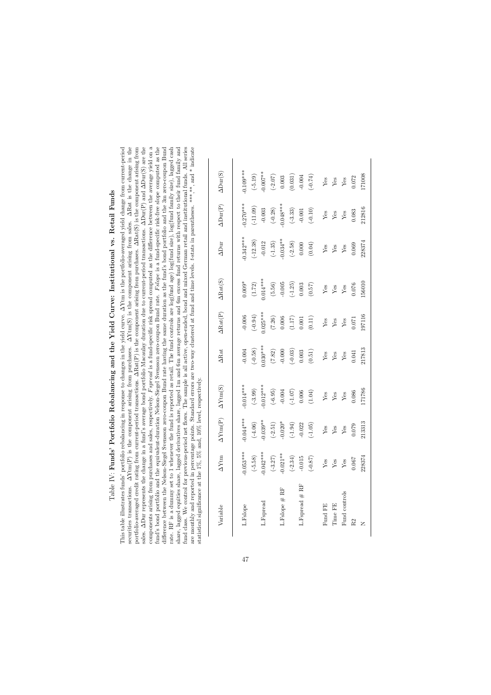<span id="page-48-0"></span>

| Table IV: Funds' Portfolio Rebalancing and the Yield Curve: Institutional vs. Retail Funds                                                                                                                                                                                                                                                                                                                                                                                                                                                |
|-------------------------------------------------------------------------------------------------------------------------------------------------------------------------------------------------------------------------------------------------------------------------------------------------------------------------------------------------------------------------------------------------------------------------------------------------------------------------------------------------------------------------------------------|
| arising from purchases. $\Delta Y \text{tm}(S)$ is the component arising from sales. $\Delta \text{Rat}$ is the change in the<br>This table illustrates funds' portfolio rebalancing in response to changes in the yield curve. $\Delta Y$ tm is the portfolio-averaged yield change from current-period<br>portfolio-averaged credit rating from current-period transactions. ARat(P) is the component arising from purchases. ARat(S) is the component arising from<br>securities transactions. $\Delta \text{Ytm}(P)$ is the component |
| sales. ADur represents the change in a fund's average bond portfolio Macaulay duration due to current-period transactions. ADur(P) and ADur(S) are the<br>components arising from purchases and sales, respectively. Fspread is a fund-specific risk spread computed as the difference between the average yield on a                                                                                                                                                                                                                     |
| fund's bond portfolio and the equivalent-duration Nelson-Siegel Svensson zero-coupon Bund rate. Fslope is a fund-specific risk-free slope computed as the<br>difference between the Nelson-Siegel Svensson zero-coupon Bund rate having the same duration as the fund's bond portfolio and the 3m zero-coupon Bund                                                                                                                                                                                                                        |
| rate. RF is a dummy set to 1 whenever the fund is reported as retail. The fund controls are log(fund age) log(fund size), log(fund family size), lagged cash<br>lagged 1m and 6m average returns and 6m excess fund returns with respect to their fund family and<br>share, lagged equities share, lagged derivatives share,                                                                                                                                                                                                              |
| are monthly and reported in percentage points. Standard errors are two-way clustered at fund and time levels. t-stats in parentheses. ***,**, and * indicate<br>fund class. We control for previous-period net flows. The sample is all active, open-ended, bond and mixed German retail and institutional funds. All series<br>statistical significance at the 1%, 5% and, 10% level, respectively.                                                                                                                                      |
|                                                                                                                                                                                                                                                                                                                                                                                                                                                                                                                                           |

| Variable         | $\Delta$ Ytm | $\Delta$ Ytm $(P)$      | $\Delta$ Ytm(S)         | $\Delta \text{Rat}$ | $\Delta \text{Rat}(\text{P})$ | $\Delta$ Rat(S)      | $\Delta$ Dur | $\Delta\mathrm{Dur}(\mathrm{P})$ | $\Delta\mathrm{Dur}(\mathrm{S})$ |
|------------------|--------------|-------------------------|-------------------------|---------------------|-------------------------------|----------------------|--------------|----------------------------------|----------------------------------|
| L.Fslope         | $-0.053***$  | $-0.044***$             | $-0.014***$             | $-0.004$            | $-0.006$                      | $0.009*$             | $0.342***$   | $0.270***$                       | $0.109***$                       |
|                  | $(-5.58)$    | $(-4.06)$               | $(-3.99)$               | $(-0.58)$           | $(-0.94)$                     | (1.72)               | $(-12.38)$   | $(-11.09)$                       | $(-5.19)$                        |
| L.Fspread        | $-0.042***$  | $-0.039**$              | $0.012***$              | $0.030***$          | $0.025***$                    | $0.014***$           | $-0.012$     | $-0.003$                         | $-0.007$ **                      |
|                  | $(-3.27)$    | $(-2.51)$               | $(-6.95)$               | (7.82)              | (7.26)                        | $(5.56)$             | $(-1.35)$    | $(-0.28)$                        | $(-2.07)$                        |
| L.Fslope # RF    | $-0.021**$   | $-0.020*$               | $-0.004$                | $-0.000$            | 0.006                         | $-0.005$             | $-0.034**$   | $0.048***$                       | 0.003                            |
|                  | $(-2.34)$    | $(-1.94)$               | $\left( -1.07\right)$   | $(-0.03)$           | $(1.17)$ $0.001$              | $(-1.25)$            | $(-2.58)$    | $(-3.33)$                        |                                  |
| L.Fspread $#$ RF | $-0.015$     | $-0.022$                |                         | $\!0.003\!$         |                               | $0.003\,$            | (0.000)      | $-0.001$                         | $(0.031)$<br>-0.004              |
|                  | $(-0.87)$    | $(-1.05)$               | (1.04)                  | $(0.51)$            | $\left( 0.11\right)$          | (0.57)               |              | $(-0.10)$                        | $(-0.74)$                        |
| Fund FE          | ${\rm Yes}$  | Yes                     | ${\rm Yes}$             | ${\rm Yes}$         | ${\rm Yes}$                   | $\operatorname{Yes}$ | ${\rm Yes}$  | ${\rm Yes}$                      | ${\rm Yes}$                      |
| Time FE          | ${\rm Yes}$  | $\mathbf{Yes}$          | ${\rm Yes}$             | ${\rm Yes}$         | ${\rm Yes}$                   | $\operatorname{Yes}$ | ${\rm Yes}$  | $\mathbf{Yes}$                   | ${\rm Yes}$ ${\rm Yes}$          |
| Fund controls    | ${\rm Yes}$  | $\mathbf{Y}\mathbf{es}$ | $\mathbf{Y}\mathbf{es}$ | ${\rm Yes}$         | ${\rm Yes}$                   | $\operatorname{Yes}$ | $\rm Yes$    | $\mathbf{Y}\mathbf{es}$          |                                  |
| R <sub>2</sub>   | 0.067        | 0.079                   | 0.086                   | 0.041               | 0.071                         | 0.076                | 0.069        | 0.083                            | 0.072                            |
| Z                | 228374       | 213313                  | 171786                  | 217813              | 197116                        | 56010                | 228374       | 212816                           | 71008                            |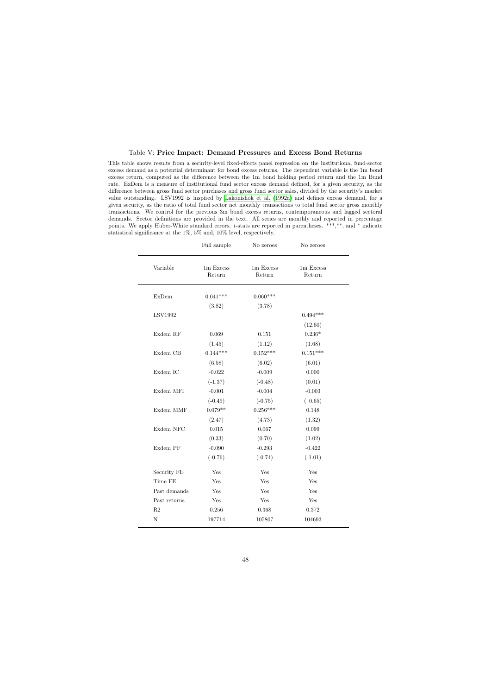### Table V: Price Impact: Demand Pressures and Excess Bond Returns

This table shows results from a security-level fixed-effects panel regression on the institutional fund-sector excess demand as a potential determinant for bond excess returns. The dependent variable is the 1m bond excess return, computed as the difference between the 1m bond holding period return and the 1m Bund rate. ExDem is a measure of institutional fund sector excess demand defined, for a given security, as the difference between gross fund sector purchases and gross fund sector sales, divided by the security's market value outstanding. LSV1992 is inspired by [Lakonishok et al.](#page-38-15) [\(1992a\)](#page-38-15) and defines excess demand, for a given security, as the ratio of total fund sector net monthly transactions to total fund sector gross monthly transactions. We control for the previous 3m bond excess returns, contemporaneous and lagged sectoral demands. Sector definitions are provided in the text. All series are monthly and reported in percentage points. We apply Huber-White standard errors. t-stats are reported in parentheses. \*\*\*,\*\*, and \* indicate statistical significance at the 1%, 5% and, 10% level, respectively.

<span id="page-49-0"></span>

|                | Full sample           | No zeroes                      | No zeroes            |  |
|----------------|-----------------------|--------------------------------|----------------------|--|
| Variable       | $1m$ Excess<br>Return | $1\mathrm{m}$ Excess<br>Return | 1m Excess<br>Return  |  |
| <b>ExDem</b>   | $0.041***$            | $0.060***$                     |                      |  |
|                | (3.82)                | (3.78)                         |                      |  |
| <b>LSV1992</b> |                       |                                | $0.494***$           |  |
|                |                       |                                | (12.60)              |  |
| Exdem RF       | 0.069                 | $0.151\,$                      | $0.236*$             |  |
|                | (1.45)                | (1.12)                         | (1.68)               |  |
| Exdem CB       | $0.144***$            | $0.152***$                     | $0.151***$           |  |
|                | (6.58)                | (6.02)                         | (6.01)               |  |
| Exdem IC       | $-0.022$              | $-0.009$                       | 0.000                |  |
|                | $(-1.37)$             | $(-0.48)$                      | (0.01)               |  |
| Exdem MFI      | $-0.001$              | $-0.004$                       | $-0.003$             |  |
|                | $(-0.49)$             | $(-0.75)$                      | $(-0.65)$            |  |
| Exdem MMF      | $0.079**$             | $0.256***$                     | 0.148                |  |
|                | (2.47)                | (4.73)                         | (1.32)               |  |
| Exdem NFC      | 0.015                 | 0.067                          | $\,0.099\,$          |  |
|                | (0.33)                | (0.70)                         | (1.02)               |  |
| Exdem PF       | $-0.090$              | $-0.293$                       | $-0.422$             |  |
|                | $(-0.76)$             | $(-0.74)$                      | $(-1.01)$            |  |
| Security FE    | Yes                   | Yes                            | Yes                  |  |
| Time FE        | Yes                   | Yes                            | Yes                  |  |
| Past demands   | Yes                   | Yes                            | Yes                  |  |
| Past returns   | Yes                   | Yes                            | $\operatorname{Yes}$ |  |
| $\mathbf{R}2$  | 0.256                 | 0.368                          | $0.372\,$            |  |
| N              | 197714                | 105807                         | 104693               |  |
|                |                       |                                |                      |  |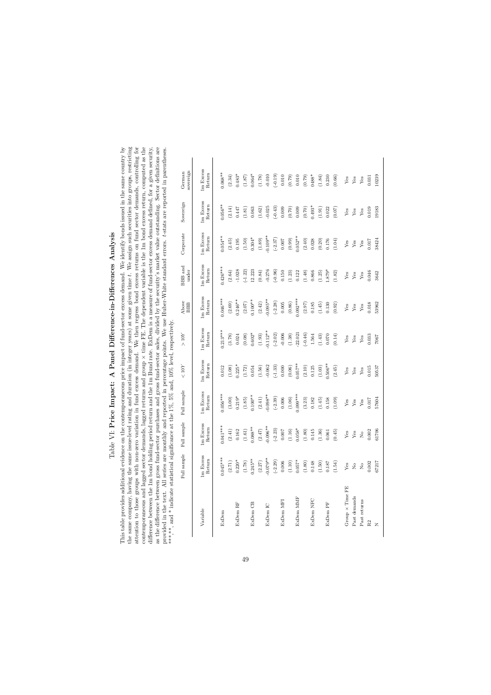<span id="page-50-0"></span>

| ؟<br>أ                           |
|----------------------------------|
| l<br>ׇ֖֚֚֬֓֕֓                    |
| - 5<br>5<br>5<br>5<br>l          |
|                                  |
|                                  |
| $\ddot{\phantom{a}}$<br>{<br>    |
|                                  |
| <br> }<br>                       |
| ĺ                                |
|                                  |
|                                  |
| $\sim$ $\sim$ $\sim$ $\sim$<br>l |
| i                                |
|                                  |
| ۱                                |
|                                  |
|                                  |
|                                  |
| - 6 + + + - - 6<br>)<br>}<br>}   |

 $\Omega$ 

This table provides additional evidence on the contemporaneous price impact of fund-sector excess demand. We identify bonds issued in the same country by the same company, having the same issue-level rating and duration (in integer years) at some given time  $t$ . We assign such securities into groups, restricting attention to those groups with non-zero variation in fund excess demand. We then regress bond excess returns on fund sector demands, controlling for contemporaneous and lagged sector demands, lagged returns and group  $\times$  time FE. The dependent variable is the 1m bond excess return, computed as the difference between the 1m bond holding period return and the 1m Bund rate. ExDem is a measure of fund-sector excess demand defined, for a given security, as the difference between gross fund-sector purchases and gross fund-sector sales, divided by the security's market value outstanding. Sector definitions are provided in the text. All series are monthly and reported in percentage points. We use Huber-White standard errors. t-stats are reported in parentheses. This table provides additional evidence on the contemporaneous price impact of fund-sector excess demand. We identify bonds issued in the same country by the same company, having the same issue-level rating and duration (in integer years) at some given time t. We assign such securities into groups, restricting attention to those groups with non-zero variation in fund excess demand. We then regress bond excess returns on fund sector demands, controlling for contemporaneous and lagged sector demands, lagged returns and group  $\times$  time FE. The dependent variable is the 1m bond excess return, computed as the indifference between the 1m bond holding period return and the 1m Bund rate. ExDem is a measure of fund-sector excess demand defined, for a given security, as the difference between gross fund-sector purchases and gross fund-sector sales, divided by the security's market value outstanding. Sector definitions are provided in the text. All series are monthly and reported in percentage points. We use Huber-White standard errors. t-stats are reported in parentheses. \*\*\*, and \* indicate statistical significance at the 1%, 5% and, 10% level, respectively. \*\*\*,\*\*, and \* indicate statistical significance at the 1%, 5% and, 10% level, respectively.

|                        | Full sample                           | Full sample                                             | Full sample         | $<10Y$              | $>10Y$              | Above<br><b>BBB</b> | <b>BBB</b> and<br>under | Corporate           | Sovereign          | sovereign<br>German  |
|------------------------|---------------------------------------|---------------------------------------------------------|---------------------|---------------------|---------------------|---------------------|-------------------------|---------------------|--------------------|----------------------|
| Variable               | 1m Excess                             | 1m Excess                                               | 1m Excess           | 1m Excess           | 1m Excess           | 1m Excess           | 1m Excess               | 1m Excess           | 1m Excess          | 1m Excess            |
|                        | Return                                | Return                                                  | Return              | Return              | Return              | Return              | Return                  | Return              | Return             | Return               |
| ExDem                  | $0.045***$                            | $0.041***$                                              | $0.056***$          | 0.012               | $0.213***$          | $0.046***$          | $0.426***$              | $0.054***$          | $0.056***$         | $0.068**$            |
|                        | (2.71)                                | $(2.41)$                                                | (3.00)              | (1.08)              | (3.78)              | (2.69)              | $\left( 2.64\right)$    | (2.45)              | (2.14)             | (2.34)               |
| ExDem RF               | $0.220*$                              | $(1.61)$                                                | $0.219*$            | $0.225*$            | (0.08)              | $0.246***$          | $-1.028$                | 0.195               | 0.447              | $0.483*$             |
|                        | (1.78)                                | 0.162                                                   | (1.85)              | (1.72)              | 0.024               | $(2.07)$            | $(-1.22)$               | (1.50)              | (1.81)             | (1.87)               |
| ExDem CB               | $0.245***$                            | $0.088**$                                               | $0.100***$          | (1.56)              | $0.602*$            | $0.100**$           | 12.223                  | $0.304*$            | (1.62)             | $0.064*$             |
|                        | $(2.27)$                              | $(2.47)$                                                | (2.41)              | 0.054               | (1.93)              | (2.42)              | $(0.84)$                | (1.89)              | 0.063              | (1.78)               |
| ExDem IC               | $-0.079**$                            | $-0.096**$                                              | $-0.098**$          | $-0.062$            | $0.112**$           | $-0.095**$          | $-0.276$                | $0.109**$           | $-0.025$           | $-0.010$             |
|                        | $(-2.29)$                             | $(-2.23)$                                               | $(-2.39)$           | $(-1.33)$           | $(-2.02)$           | $(-2.28)$           | $(-0.96)$               | $(-2.37)$           | $(-0.43)$          | $(-0.19)$            |
| ExDem MFI              | (1.10)<br>$0.006\,$                   | $0.007$                                                 | 0.006<br>$(1.06)\,$ | 0.000<br>(0.06)     | $-0.006$<br>(1.38)  | 0.005<br>$(0.86)$   | 0.150<br>(1.23)         | (0.99)<br>0.007     | 0.009<br>(0.70)    | 0.010<br>(0.79)      |
| ExDem MMF              | $0.057*$                              | $(1.16)$<br>0.058*                                      | $0.099***$          | $0.057***$          | $-22.021$           | $0.092***$          | 0.122                   | $0.052***$          | 0.009              | 0.010                |
|                        | $(1.80)$                              | $(1.80)$                                                | (3.23)              | (2.10)              | $(-0.46)$           | (2.97)              | (1.48)                  | (2.40)              | (0.70)             | (0.79)               |
| ExDem NFC              | (1.50)                                | $\begin{array}{c} 0.145 \\ (1.36) \\ 0.061 \end{array}$ | 0.182<br>(1.45)     | 0.125<br>(1.03)     | (1.43)<br>1.564     | 0.185<br>(1.45)     | 0.866<br>(1.25)         | 0.028<br>(0.20)     | $0.493*$<br>(1.91) | 0488*<br>(1.84)      |
| ExDem PF               | (1.54)<br>$0.187\,$                   | $(0.45)$                                                | 0.158<br>(1.09)     | $0.506**$<br>(2.45) | $0.070\,$<br>(0.14) | 0.130<br>(0.92)     | $-879*$<br>(1.82)       | $0.176\,$<br>(1.04) | 0.022<br>(0.07)    | 0.230<br>(0.66)      |
| $Group \times Time$ FE | ${\rm Yes}$                           | $\mathbf{Yes}$                                          | ${\rm Yes}$         | ${\rm Yes}$         | ${\rm Yes}$         | ${\rm Yes}$         | ${\rm Yes}$             | ${\rm Yes}$         | ${\rm Yes}$        | ${\rm Yes}$          |
| Past demands           | $\stackrel{\circ}{\phantom{}_{\sim}}$ | ${\rm Yes}$                                             | ${\rm Yes}$         | ${\rm Yes}$         | ${\rm Yes}$         | ${\rm Yes}$         | ${\rm Yes}$             | ${\rm Yes}$         | ${\rm Yes}$        | $\operatorname{Yes}$ |
| Past returns           | $\stackrel{\circ}{\phantom{}_{\sim}}$ | $\stackrel{\circ}{\mathbf{Z}}$                          | ${\rm Yes}$         | ${\rm Yes}$         | ${\rm Yes}$         | ${\rm Yes}$         | ${\rm Yes}$             | ${\rm Yes}$         | ${\rm Yes}$        | ${\rm Yes}$          |
| R <sub>2</sub>         | 67217                                 | 61706                                                   | 57604               | 50537               | 0.033               | 53962               | 0.046                   | $0.017$             | 0.019              | 10239                |
| Z                      | 0.002                                 | 0.002                                                   | 0.017               | 0.015               | 7067                | 0.018               | 3642                    | 38424               | 19183              | 0.031                |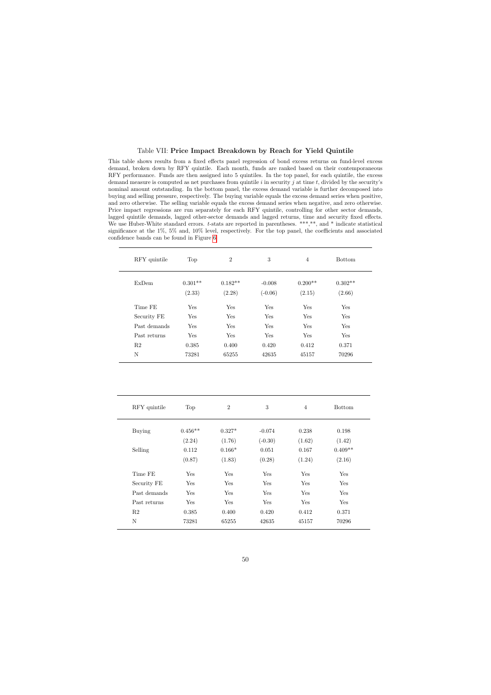### Table VII: Price Impact Breakdown by Reach for Yield Quintile

This table shows results from a fixed effects panel regression of bond excess returns on fund-level excess demand, broken down by RFY quintile. Each month, funds are ranked based on their contemporaneous RFY performance. Funds are then assigned into 5 quintiles. In the top panel, for each quintile, the excess demand measure is computed as net purchases from quintile  $i$  in security  $j$  at time  $t$ , divided by the security's nominal amount outstanding. In the bottom panel, the excess demand variable is further decomposed into buying and selling pressure, respectively. The buying variable equals the excess demand series when positive, and zero otherwise. The selling variable equals the excess demand series when negative, and zero otherwise. Price impact regressions are run separately for each RFY quintile, controlling for other sector demands, lagged quintile demands, lagged other-sector demands and lagged returns, time and security fixed effects. We use Huber-White standard errors. t-stats are reported in parentheses. \*\*\*,\*\*, and \* indicate statistical significance at the  $1\%$ ,  $5\%$  and,  $10\%$  level, respectively. For the top panel, the coefficients and associated confidence bands can be found in Figure [6](#page-53-0)

<span id="page-51-0"></span>

| RFY quintile | Top       | $\overline{2}$ | 3         | 4         | <b>Bottom</b> |
|--------------|-----------|----------------|-----------|-----------|---------------|
| <b>ExDem</b> | $0.301**$ | $0.182**$      | $-0.008$  | $0.200**$ | $0.302**$     |
|              | (2.33)    | (2.28)         | $(-0.06)$ | (2.15)    | (2.66)        |
| Time FE      | Yes       | Yes            | Yes       | Yes       | Yes           |
| Security FE  | Yes       | Yes            | Yes       | Yes       | Yes           |
| Past demands | Yes       | Yes            | Yes       | Yes       | Yes           |
| Past returns | Yes       | Yes            | Yes       | Yes       | Yes           |
| R2           | 0.385     | 0.400          | 0.420     | 0.412     | 0.371         |
| N            | 73281     | 65255          | 42635     | 45157     | 70296         |

| RFY quintile   | Top       | $\overline{2}$ | 3         | 4      | <b>Bottom</b> |
|----------------|-----------|----------------|-----------|--------|---------------|
| <b>Buying</b>  | $0.456**$ | $0.327*$       | $-0.074$  | 0.238  | 0.198         |
|                | (2.24)    | (1.76)         | $(-0.30)$ | (1.62) | (1.42)        |
| Selling        | 0.112     | $0.166*$       | 0.051     | 0.167  | $0.409**$     |
|                | (0.87)    | (1.83)         | (0.28)    | (1.24) | (2.16)        |
| Time FE        | Yes       | Yes            | Yes       | Yes    | Yes           |
| Security FE    | Yes       | Yes            | Yes       | Yes    | Yes           |
| Past demands   | Yes       | Yes            | Yes       | Yes    | Yes           |
| Past returns   | Yes       | Yes            | Yes       | Yes    | Yes           |
| R <sub>2</sub> | 0.385     | 0.400          | 0.420     | 0.412  | 0.371         |
| N              | 73281     | 65255          | 42635     | 45157  | 70296         |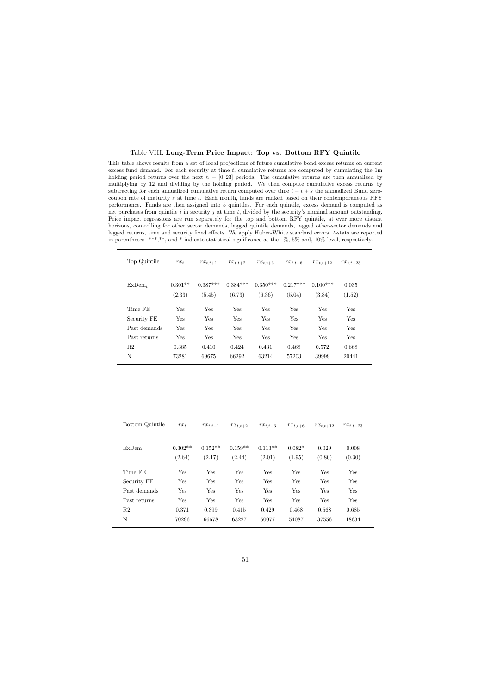### Table VIII: Long-Term Price Impact: Top vs. Bottom RFY Quintile

This table shows results from a set of local projections of future cumulative bond excess returns on current excess fund demand. For each security at time  $t$ , cumulative returns are computed by cumulating the  $1m$ holding period returns over the next  $h = [0, 23]$  periods. The cumulative returns are then annualized by multiplying by 12 and dividing by the holding period. We then compute cumulative excess returns by subtracting for each annualized cumulative return computed over time  $t - t + s$  the annualized Bund zerocoupon rate of maturity s at time t. Each month, funds are ranked based on their contemporaneous RFY performance. Funds are then assigned into 5 quintiles. For each quintile, excess demand is computed as net purchases from quintile  $i$  in security  $j$  at time  $t$ , divided by the security's nominal amount outstanding. Price impact regressions are run separately for the top and bottom RFY quintile, at ever more distant horizons, controlling for other sector demands, lagged quintile demands, lagged other-sector demands and lagged returns, time and security fixed effects. We apply Huber-White standard errors. t-stats are reported in parentheses. \*\*\*,\*\*, and \* indicate statistical significance at the 1%, 5% and, 10% level, respectively.

<span id="page-52-0"></span>

| Top Quintile   | $rx_t$              | $rx_{t,t+1}$         | $rx_{t,t+2}$         | $rx_{t,t+3}$         | $rx_{t,t+6}$         | $rx_{t,t+12}$        | $rx_{t,t+23}$   |
|----------------|---------------------|----------------------|----------------------|----------------------|----------------------|----------------------|-----------------|
| $ExDem_{t}$    | $0.301**$<br>(2.33) | $0.387***$<br>(5.45) | $0.384***$<br>(6.73) | $0.350***$<br>(6.36) | $0.217***$<br>(5.04) | $0.100***$<br>(3.84) | 0.035<br>(1.52) |
| Time FE        | Yes                 | Yes                  | Yes                  | Yes                  | Yes                  | Yes                  | Yes             |
| Security FE    | Yes                 | Yes                  | Yes                  | Yes                  | Yes                  | Yes                  | Yes             |
| Past demands   | Yes                 | Yes                  | Yes                  | Yes                  | Yes                  | Yes                  | Yes             |
| Past returns   | Yes                 | Yes                  | Yes                  | Yes                  | Yes                  | Yes                  | Yes             |
| R <sub>2</sub> | 0.385               | 0.410                | 0.424                | 0.431                | 0.468                | 0.572                | 0.668           |
| N              | 73281               | 69675                | 66292                | 63214                | 57203                | 39999                | 20441           |

| Bottom Quintile | $rx_t$              | $rx_{t,t+1}$        | $rx_{t,t+2}$        | $rx_{t,t+3}$        | $rx_{t,t+6}$       | $rx_{t,t+12}$   | $rx_{t,t+23}$   |
|-----------------|---------------------|---------------------|---------------------|---------------------|--------------------|-----------------|-----------------|
| ExDem           | $0.302**$<br>(2.64) | $0.152**$<br>(2.17) | $0.159**$<br>(2.44) | $0.113**$<br>(2.01) | $0.082*$<br>(1.95) | 0.029<br>(0.80) | 0.008<br>(0.30) |
| Time FE         | Yes                 | Yes                 | Yes                 | Yes                 | Yes                | Yes             | Yes             |
| Security FE     | Yes                 | Yes                 | Yes                 | Yes                 | Yes                | Yes             | Yes             |
| Past demands    | Yes                 | Yes                 | Yes                 | Yes                 | Yes                | Yes             | Yes             |
| Past returns    | Yes                 | Yes                 | <b>Yes</b>          | Yes                 | <b>Yes</b>         | Yes             | Yes             |
| R <sub>2</sub>  | 0.371               | 0.399               | 0.415               | 0.429               | 0.468              | 0.568           | 0.685           |
| N               | 70296               | 66678               | 63227               | 60077               | 54087              | 37556           | 18634           |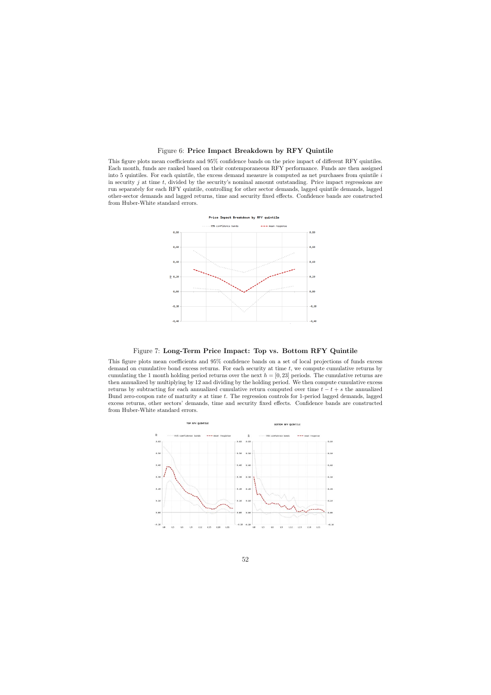### Figure 6: Price Impact Breakdown by RFY Quintile

This figure plots mean coefficients and 95% confidence bands on the price impact of different RFY quintiles. Each month, funds are ranked based on their contemporaneous RFY performance. Funds are then assigned into 5 quintiles. For each quintile, the excess demand measure is computed as net purchases from quintile  $i$ in security  $j$  at time  $t$ , divided by the security's nominal amount outstanding. Price impact regressions are run separately for each RFY quintile, controlling for other sector demands, lagged quintile demands, lagged other-sector demands and lagged returns, time and security fixed effects. Confidence bands are constructed from Huber-White standard errors.



### Figure 7: Long-Term Price Impact: Top vs. Bottom RFY Quintile

<span id="page-53-0"></span>This figure plots mean coefficients and 95% confidence bands on a set of local projections of funds excess demand on cumulative bond excess returns. For each security at time  $t$ , we compute cumulative returns by cumulating the 1 month holding period returns over the next  $h = [0, 23]$  periods. The cumulative returns are then annualized by multiplying by 12 and dividing by the holding period. We then compute cumulative excess returns by subtracting for each annualized cumulative return computed over time  $t - t + s$  the annualized Bund zero-coupon rate of maturity s at time t. The regression controls for 1-period lagged demands, lagged excess returns, other sectors' demands, time and security fixed effects. Confidence bands are constructed from Huber-White standard errors.

<span id="page-53-1"></span>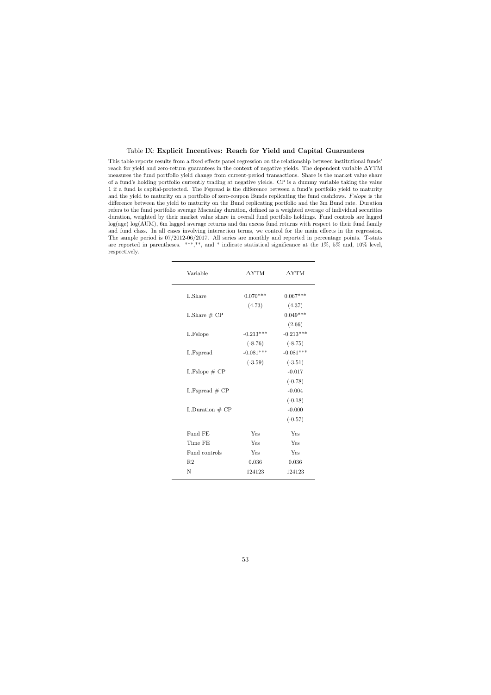### Table IX: Explicit Incentives: Reach for Yield and Capital Guarantees

<span id="page-54-0"></span>This table reports results from a fixed effects panel regression on the relationship between institutional funds' reach for yield and zero-return guarantees in the context of negative yields. The dependent variable ∆YTM measures the fund portfolio yield change from current-period transactions. Share is the market value share of a fund's holding portfolio currently trading at negative yields. CP is a dummy variable taking the value 1 if a fund is capital-protected. The Fspread is the difference between a fund's portfolio yield to maturity and the yield to maturity on a portfolio of zero-coupon Bunds replicating the fund cashflows. Fslope is the difference between the yield to maturity on the Bund replicating portfolio and the 3m Bund rate. Duration refers to the fund portfolio average Macaulay duration, defined as a weighted average of individual securities duration, weighted by their market value share in overall fund portfolio holdings. Fund controls are lagged log(age) log(AUM), 6m lagged average returns and 6m excess fund returns with respect to their fund family and fund class. In all cases involving interaction terms, we control for the main effects in the regression. The sample period is 07/2012-06/2017. All series are monthly and reported in percentage points. T-stats are reported in parentheses. \*\*\*,\*\*, and \* indicate statistical significance at the 1%, 5% and, 10% level, respectively.

| Variable          | $\Delta \text{YTM}$ | $\Delta$ YTM |
|-------------------|---------------------|--------------|
| L.Share           | $0.070***$          | $0.067***$   |
|                   | (4.73)              | (4.37)       |
| L.Share $# CP$    |                     | $0.049***$   |
|                   |                     | (2.66)       |
| L.Fslope          | $-0.213***$         | $-0.213***$  |
|                   | $(-8.76)$           | $(-8.75)$    |
| L.Fspread         | $-0.081***$         | $-0.081***$  |
|                   | $(-3.59)$           | $(-3.51)$    |
| L.Fslope $# CP$   |                     | $-0.017$     |
|                   |                     | $(-0.78)$    |
| L. Fspread $# CP$ |                     | $-0.004$     |
|                   |                     | $(-0.18)$    |
| L.Duration $# CP$ |                     | $-0.000$     |
|                   |                     | $(-0.57)$    |
| Fund FE           | Yes                 | Yes          |
| Time FE           | Yes                 | Yes          |
| Fund controls     | Yes                 | Yes          |
| R <sub>2</sub>    | 0.036               | 0.036        |
| N                 | 124123              | 124123       |
|                   |                     |              |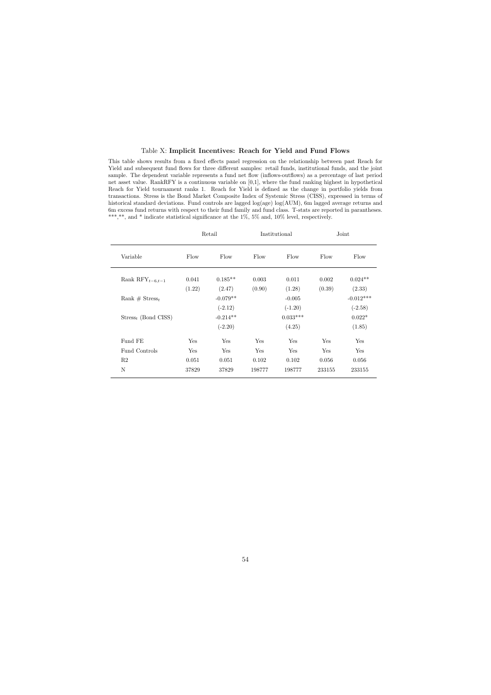### Table X: Implicit Incentives: Reach for Yield and Fund Flows

This table shows results from a fixed effects panel regression on the relationship between past Reach for Yield and subsequent fund flows for three different samples: retail funds, institutional funds, and the joint sample. The dependent variable represents a fund net flow (inflows-outflows) as a percentage of last period net asset value. RankRFY is a continuous variable on [0,1], where the fund ranking highest in hypothetical Reach for Yield tournament ranks 1. Reach for Yield is defined as the change in portfolio yields from transactions. Stress is the Bond Market Composite Index of Systemic Stress (CISS), expressed in terms of historical standard deviations. Fund controls are lagged log(age) log(AUM), 6m lagged average returns and 6m excess fund returns with respect to their fund family and fund class. T-stats are reported in parantheses. \*\*\*,\*\*, and \* indicate statistical significance at the  $1\%$ ,  $5\%$  and,  $10\%$  level, respectively.

<span id="page-55-0"></span>

|                               |        | Retail     |        | Institutional |        | Joint       |  |
|-------------------------------|--------|------------|--------|---------------|--------|-------------|--|
| Variable                      | Flow   | Flow       | Flow   | Flow          | Flow   | Flow        |  |
| Rank $\text{RFY}_{t-6,t-1}$   | 0.041  | $0.185**$  | 0.003  | 0.011         | 0.002  | $0.024**$   |  |
|                               | (1.22) | (2.47)     | (0.90) | (1.28)        | (0.39) | (2.33)      |  |
| Rank $# \text{Stress}_t$      |        | $-0.079**$ |        | $-0.005$      |        | $-0.012***$ |  |
|                               |        | $(-2.12)$  |        | $(-1.20)$     |        | $(-2.58)$   |  |
| $\text{Stress}_t$ (Bond CISS) |        | $-0.214**$ |        | $0.033***$    |        | $0.022*$    |  |
|                               |        | $(-2.20)$  |        | (4.25)        |        | (1.85)      |  |
| Fund FE                       | Yes    | Yes        | Yes    | Yes           | Yes    | Yes         |  |
| Fund Controls                 | Yes    | Yes        | Yes    | Yes           | Yes    | Yes         |  |
| R2                            | 0.051  | 0.051      | 0.102  | 0.102         | 0.056  | 0.056       |  |
| N                             | 37829  | 37829      | 198777 | 198777        | 233155 | 233155      |  |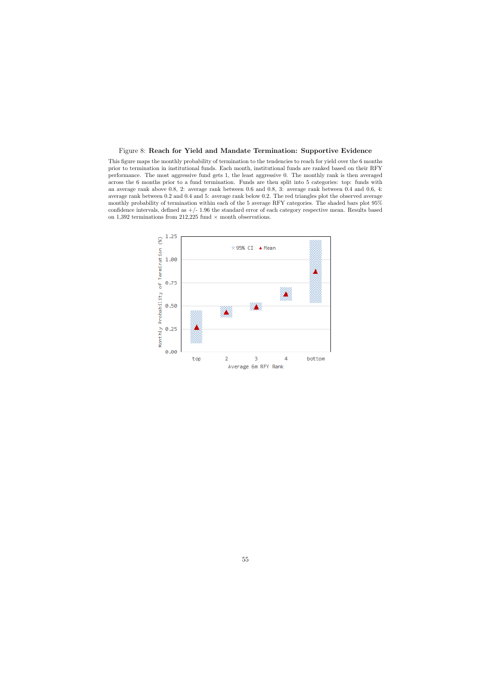### Figure 8: Reach for Yield and Mandate Termination: Supportive Evidence

This figure maps the monthly probability of termination to the tendencies to reach for yield over the 6 months prior to termination in institutional funds. Each month, institutional funds are ranked based on their RFY performance. The most aggressive fund gets 1, the least aggressive 0. The monthly rank is then averaged across the 6 months prior to a fund termination. Funds are then split into 5 categories: top: funds with an average rank above 0.8, 2: average rank between 0.6 and 0.8, 3: average rank between 0.4 and 0.6, 4: average rank between 0.2 and 0.4 and 5: average rank below 0.2. The red triangles plot the observed average monthly probability of termination within each of the 5 average RFY categories. The shaded bars plot 95% confidence intervals, defined as  $+/- 1.96$  the standard error of each category respective mean. Results based on 1,392 terminations from 212,225 fund  $\times$  month observations.

<span id="page-56-0"></span>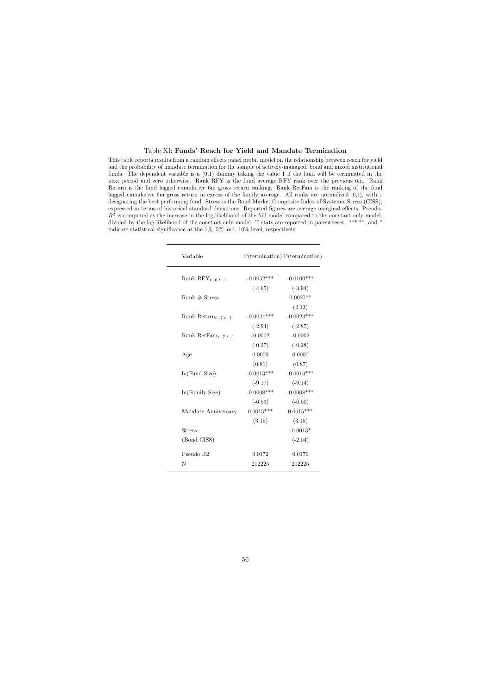### Table XI: Funds' Reach for Yield and Mandate Termination

<span id="page-57-0"></span>This table reports results from a random effects panel probit model on the relationship between reach for yield and the probability of mandate termination for the sample of actively-managed, bond and mixed institutional funds. The dependent variable is a  $(0,1)$  dummy taking the value 1 if the fund will be terminated in the next period and zero otherwise. Rank RFY is the fund average RFY rank over the previous 6m. Rank Return is the fund lagged cumulative 6m gross return ranking. Rank RetFam is the ranking of the fund lagged cumulative 6m gross return in excess of the family average. All ranks are normalized [0,1], with 1 designating the best performing fund. Stress is the Bond Market Composite Index of Systemic Stress (CISS), expressed in terms of historical standard deviations. Reported figures are average marginal effects. Pseudo- $R<sup>2</sup>$  is computed as the increase in the log-likelihood of the full model compared to the constant only model, divided by the log-likelihood of the constant only model. T-stats are reported in parentheses. \*\*\*,\*\*, and \* indicate statistical significance at the 1%, 5% and, 10% level, respectively.

|               | $P(\text{termination}) P(\text{termination})$ |
|---------------|-----------------------------------------------|
| $-0.0052***$  | $-0.0100***$                                  |
| $(-4.65)$     | $(-3.94)$                                     |
|               | $0.0027**$                                    |
|               | (2.13)                                        |
| $-0.0024***$  | $-0.0023***$                                  |
| $(-2.94)$     | $(-2.87)$                                     |
| $-0.0002$     | $-0.0002$                                     |
| $(-0.27)$     | $(-0.28)$                                     |
| 0.0000        | 0.0000                                        |
| (0.81)        | (0.87)                                        |
| $-0.0013***$  | $-0.0013***$                                  |
| $(-9.17)$     | $(-9.14)$                                     |
| $-0.0008$ *** | $-0.0008$ ***                                 |
| $(-6.53)$     | $(-6.50)$                                     |
| $0.0015***$   | $0.0015***$                                   |
| (3.15)        | (3.15)                                        |
|               | $-0.0013*$                                    |
|               | $(-2.04)$                                     |
| 0.0172        | 0.0176                                        |
| 212225        | 212225                                        |
|               |                                               |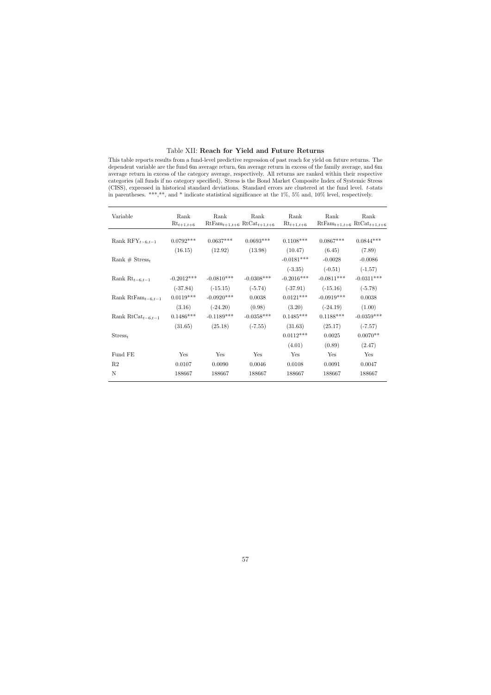### Table XII: Reach for Yield and Future Returns

This table reports results from a fund-level predictive regression of past reach for yield on future returns. The dependent variable are the fund 6m average return, 6m average return in excess of the family average, and 6m average return in excess of the category average, respectively. All returns are ranked within their respective categories (all funds if no category specified). Stress is the Bond Market Composite Index of Systemic Stress (CISS), expressed in historical standard deviations. Standard errors are clustered at the fund level. t-stats in parentheses. \*\*\*,\*\*, and \* indicate statistical significance at the 1%, 5% and, 10% level, respectively.

<span id="page-58-0"></span>

| Variable                                   | Rank<br>$Rt_{t+1,t+6}$ | Rank<br>$RtFam_{t+1,t+6} RtCat_{t+1,t+6}$ | Rank         | Rank<br>$Rt_{t+1,t+6}$ | Rank<br>$RtFam_{t+1,t+6} RtCat_{t+1,t+6}$ | Rank         |
|--------------------------------------------|------------------------|-------------------------------------------|--------------|------------------------|-------------------------------------------|--------------|
|                                            | $0.0792***$            | $0.0637***$                               | $0.0693***$  | $0.1108***$            | $0.0867***$                               | $0.0844***$  |
| Rank $\mathrm{RFY}_{t-6,t-1}$              |                        |                                           |              |                        |                                           |              |
|                                            | (16.15)                | (12.92)                                   | (13.98)      | (10.47)                | (6.45)                                    | (7.89)       |
| Rank $# \text{Stress}_t$                   |                        |                                           |              | $-0.0181***$           | $-0.0028$                                 | $-0.0086$    |
|                                            |                        |                                           |              | $(-3.35)$              | $(-0.51)$                                 | $(-1.57)$    |
| Rank $Rt_{t-6,t-1}$                        | $-0.2012***$           | $-0.0810***$                              | $-0.0308***$ | $-0.2016***$           | $-0.0811***$                              | $-0.0311***$ |
|                                            | $(-37.84)$             | $(-15.15)$                                | $(-5.74)$    | $(-37.91)$             | $(-15.16)$                                | $(-5.78)$    |
| Rank RtFam <sub><math>t-6,t-1</math></sub> | $0.0119***$            | $-0.0920***$                              | 0.0038       | $0.0121***$            | $-0.0919***$                              | 0.0038       |
|                                            | (3.16)                 | $(-24.20)$                                | (0.98)       | (3.20)                 | $(-24.19)$                                | (1.00)       |
| Rank RtCat <sub>t-6,t-1</sub>              | $0.1486***$            | $-0.1189***$                              | $-0.0358***$ | $0.1485***$            | $0.1188***$                               | $-0.0359***$ |
|                                            | (31.65)                | (25.18)                                   | $(-7.55)$    | (31.63)                | (25.17)                                   | $(-7.57)$    |
| $\text{Stress}_t$                          |                        |                                           |              | $0.0112***$            | 0.0025                                    | $0.0070**$   |
|                                            |                        |                                           |              | (4.01)                 | (0.89)                                    | (2.47)       |
| Fund FE                                    | Yes                    | Yes                                       | Yes          | Yes                    | Yes                                       | Yes          |
| R2                                         | 0.0107                 | 0.0090                                    | 0.0046       | 0.0108                 | 0.0091                                    | 0.0047       |
| N                                          | 188667                 | 188667                                    | 188667       | 188667                 | 188667                                    | 188667       |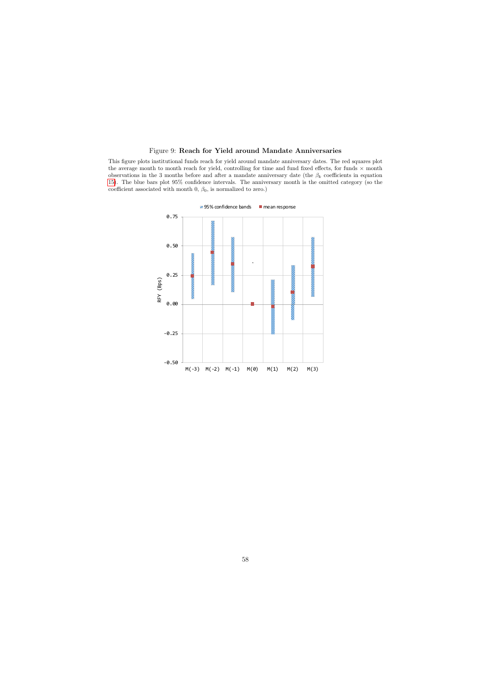### Figure 9: Reach for Yield around Mandate Anniversaries

<span id="page-59-0"></span>This figure plots institutional funds reach for yield around mandate anniversary dates. The red squares plot the average month to month reach for yield, controlling for time and fund fixed effects, for funds  $\times$  month observations in the 3 months before and after a mandate anniversary date (the  $\beta_k$  coefficients in equation [15\)](#page-34-0). The blue bars plot 95% confidence intervals. The anniversary month is the omitted category (so the coefficient associated with month  $0, \beta_0$ , is normalized to zero.)

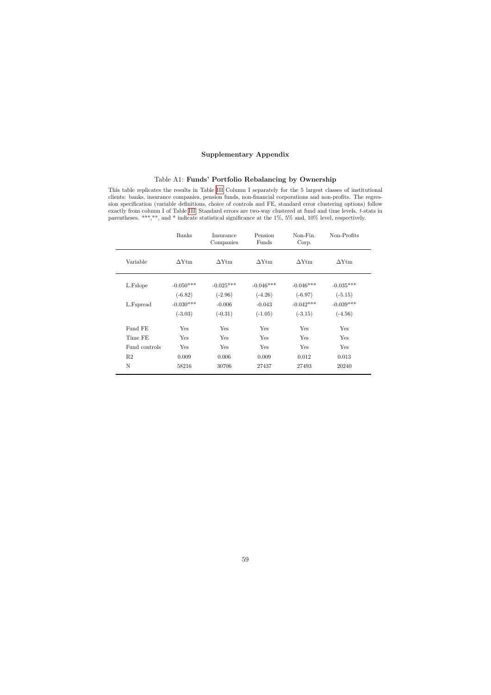### Supplementary Appendix

### Table A1: Funds' Portfolio Rebalancing by Ownership

This table replicates the results in Table [III](#page-47-0) Column I separately for the 5 largest classes of institutional clients: banks, insurance companies, pension funds, non-financial corporations and non-profits. The regression specification (variable definitions, choice of controls and FE, standard error clustering options) follow exactly from column I of Table [III.](#page-47-0) Standard errors are two-way clustered at fund and time levels. t-stats in parentheses. \*\*\*,\*\*, and \* indicate statistical significance at the 1%, 5% and, 10% level, respectively.

<span id="page-60-0"></span>

|               | <b>Banks</b> | Insurance<br>Companies | Pension<br>Funds | Non-Fin.<br>Corp. | Non-Profits  |  |
|---------------|--------------|------------------------|------------------|-------------------|--------------|--|
| Variable      | $\Delta$ Ytm | $\Delta$ Ytm           | $\Delta$ Ytm     | $\Delta$ Ytm      | $\Delta$ Ytm |  |
| L.Fslope      | $-0.050***$  | $-0.025***$            | $-0.046***$      | $-0.046***$       | $-0.035***$  |  |
|               | $(-6.82)$    | $(-2.96)$              | $(-4.26)$        | $(-6.97)$         | $(-5.15)$    |  |
| L.Fspread     | $-0.030***$  | $-0.006$               | $-0.043$         | $-0.042***$       | $-0.039***$  |  |
|               | $(-3.03)$    | $(-0.31)$              | $(-1.05)$        | $(-3.15)$         | $(-4.56)$    |  |
| Fund FE       | Yes          | Yes                    | Yes              | Yes               | Yes          |  |
| Time FE       | Yes          | Yes                    | Yes              | Yes               | Yes          |  |
| Fund controls | Yes          | Yes                    | Yes              | Yes               | Yes          |  |
| R2            | 0.009        | 0.006                  | 0.009            | 0.012             | 0.013        |  |
| N             | 58216        | 30706                  | 27437            | 27493             | 20240        |  |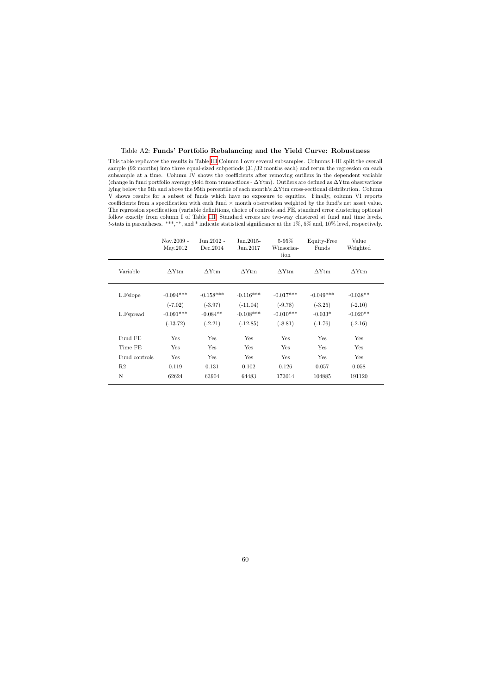### Table A2: Funds' Portfolio Rebalancing and the Yield Curve: Robustness

This table replicates the results in Table [III](#page-47-0) Column I over several subsamples. Columns I-III split the overall sample (92 months) into three equal-sized subperiods (31/32 months each) and rerun the regression on each subsample at a time. Column IV shows the coefficients after removing outliers in the dependent variable (change in fund portfolio average yield from transactions -  $\Delta Y$ tm). Outliers are defined as  $\Delta Y$ tm observations lying below the 5th and above the 95th percentile of each month's ∆Ytm cross-sectional distribution. Column V shows results for a subset of funds which have no exposure to equities. Finally, column VI reports coefficients from a specification with each fund  $\times$  month observation weighted by the fund's net asset value. The regression specification (variable definitions, choice of controls and FE, standard error clustering options) follow exactly from column I of Table [III.](#page-47-0) Standard errors are two-way clustered at fund and time levels. t-stats in parentheses. \*\*\*,\*\*, and \* indicate statistical significance at the 1%, 5% and, 10% level, respectively.

<span id="page-61-0"></span>

|                | $Nov.2009 -$<br>May.2012 | $Jun.2012 -$<br>Dec. 2014 | $Jan.2015-$<br>Jun.2017 | $5-95\%$<br>Winsorisa-<br>tion | Equity-Free<br>Funds | Value<br>Weighted |
|----------------|--------------------------|---------------------------|-------------------------|--------------------------------|----------------------|-------------------|
| Variable       | $\Delta$ Ytm             | $\Delta$ Ytm              | $\Delta$ Ytm            | $\Delta$ Ytm                   | $\Delta$ Ytm         | $\Delta$ Ytm      |
| L.Fslope       | $-0.094***$              | $-0.158***$               | $-0.116***$             | $-0.017***$                    | $-0.049***$          | $-0.038**$        |
|                | $(-7.02)$                | $(-3.97)$                 | $(-11.04)$              | $(-9.78)$                      | $(-3.25)$            | $(-2.10)$         |
| L.Fspread      | $-0.091***$              | $-0.084**$                | $-0.108***$             | $-0.010***$                    | $-0.033*$            | $-0.020**$        |
|                | $(-13.72)$               | $(-2.21)$                 | $(-12.85)$              | $(-8.81)$                      | $(-1.76)$            | $(-2.16)$         |
| Fund FE        | Yes                      | Yes                       | Yes                     | Yes                            | Yes                  | Yes               |
| Time FE        | Yes                      | Yes                       | Yes                     | Yes                            | Yes                  | Yes               |
| Fund controls  | Yes                      | Yes                       | Yes                     | Yes                            | Yes                  | Yes               |
| R <sub>2</sub> | 0.119                    | 0.131                     | 0.102                   | 0.126                          | 0.057                | 0.058             |
| $\mathbf N$    | 62624                    | 63904                     | 64483                   | 173014                         | 104885               | 191120            |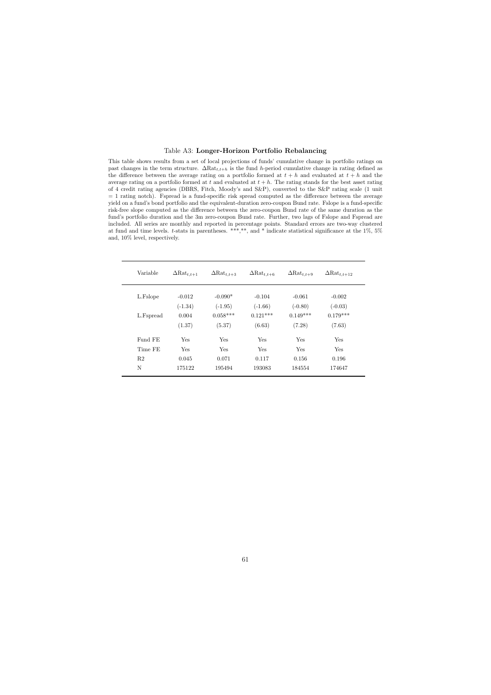### Table A3: Longer-Horizon Portfolio Rebalancing

This table shows results from a set of local projections of funds' cumulative change in portfolio ratings on past changes in the term structure.  $\Delta \text{Rat}_{t,t+h}$  is the fund h-period cumulative change in rating defined as the difference between the average rating on a portfolio formed at  $t + h$  and evaluated at  $t + h$  and the average rating on a portfolio formed at t and evaluated at  $t + h$ . The rating stands for the best asset rating of 4 credit rating agencies (DBRS, Fitch, Moody's and S&P), converted to the S&P rating scale (1 unit  $= 1$  rating notch). Fspread is a fund-specific risk spread computed as the difference between the average yield on a fund's bond portfolio and the equivalent-duration zero-coupon Bund rate. Fslope is a fund-specific risk-free slope computed as the difference between the zero-coupon Bund rate of the same duration as the fund's portfolio duration and the 3m zero-coupon Bund rate. Further, two lags of Fslope and Fspread are included. All series are monthly and reported in percentage points. Standard errors are two-way clustered at fund and time levels. t-stats in parentheses. \*\*\*,\*\*, and \* indicate statistical significance at the 1%, 5% and, 10% level, respectively.

<span id="page-62-0"></span>

| Variable       | $\Delta$ Rat <sub>t,t+1</sub> | $\Delta$ Rat <sub>t,t+3</sub> | $\Delta$ Rat <sub>t,t+6</sub> | $\Delta$ Rat <sub>t,t+9</sub> | $\Delta$ Rat <sub>t,t+12</sub> |
|----------------|-------------------------------|-------------------------------|-------------------------------|-------------------------------|--------------------------------|
| L.Fslope       | $-0.012$                      | $-0.090*$                     | $-0.104$                      | $-0.061$                      | $-0.002$                       |
|                | $(-1.34)$                     | $(-1.95)$                     | $(-1.66)$                     | $(-0.80)$                     | $(-0.03)$                      |
| L.Fspread      | 0.004                         | $0.058***$                    | $0.121***$                    | $0.149***$                    | $0.179***$                     |
|                | (1.37)                        | (5.37)                        | (6.63)                        | (7.28)                        | (7.63)                         |
| Fund FE        | <b>Yes</b>                    | <b>Yes</b>                    | <b>Yes</b>                    | <b>Yes</b>                    | <b>Yes</b>                     |
| Time FE        | <b>Yes</b>                    | <b>Yes</b>                    | <b>Yes</b>                    | <b>Yes</b>                    | <b>Yes</b>                     |
| R <sub>2</sub> | 0.045                         | 0.071                         | 0.117                         | 0.156                         | 0.196                          |
| N              | 175122                        | 195494                        | 193083                        | 184554                        | 174647                         |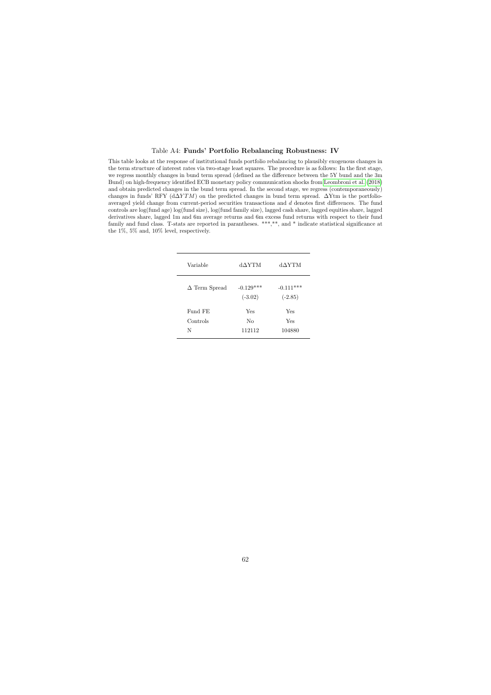### Table A4: Funds' Portfolio Rebalancing Robustness: IV

<span id="page-63-0"></span>This table looks at the response of institutional funds portfolio rebalancing to plausibly exogenous changes in the term structure of interest rates via two-stage least squares. The procedure is as follows: In the first stage, we regress monthly changes in bund term spread (defined as the difference between the 5Y bund and the 3m Bund) on high-frequency identified ECB monetary policy communication shocks from [Leombroni et al.](#page-39-5) [\(2018\)](#page-39-5) and obtain predicted changes in the bund term spread. In the second stage, we regress (contemporaneously) changes in funds' RFY ( $d\Delta YTM$ ) on the predicted changes in bund term spread.  $\Delta Y$ tm is the portfolioaveraged yield change from current-period securities transactions and d denotes first differences. The fund controls are log(fund age) log(fund size), log(fund family size), lagged cash share, lagged equities share, lagged derivatives share, lagged 1m and 6m average returns and 6m excess fund returns with respect to their fund family and fund class. T-stats are reported in parantheses. \*\*\*,\*\*, and \* indicate statistical significance at the 1%, 5% and, 10% level, respectively.

| Variable             | dAYTM                    | d∆YTM                    |
|----------------------|--------------------------|--------------------------|
| $\Delta$ Term Spread | $-0.129***$<br>$(-3.02)$ | $-0.111***$<br>$(-2.85)$ |
| Fund FE              | Yes                      | Yes                      |
| Controls             | Nο                       | Yes                      |
| N                    | 112112                   | 104880                   |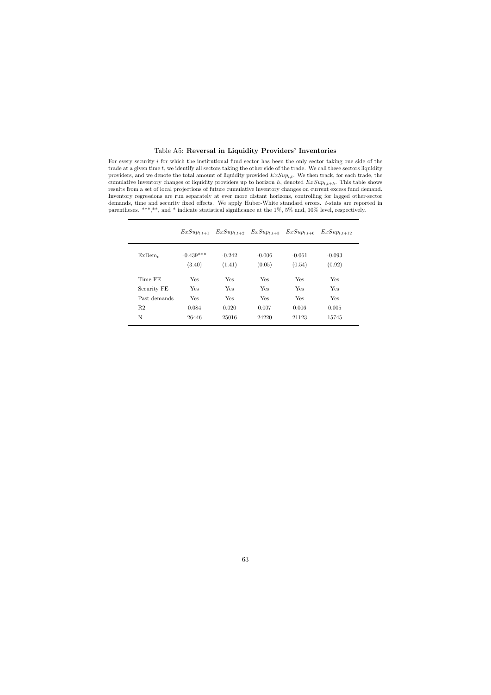### Table A5: Reversal in Liquidity Providers' Inventories

For every security i for which the institutional fund sector has been the only sector taking one side of the trade at a given time  $t$ , we identify all sectors taking the other side of the trade. We call these sectors liquidity providers, and we denote the total amount of liquidity provided  $ExSup_{i,t}$ . We then track, for each trade, the cumulative inventory changes of liquidity providers up to horizon h, denoted  $ExSup_{t,t+h}$ . This table shows results from a set of local projections of future cumulative inventory changes on current excess fund demand. Inventory regressions are run separately at ever more distant horizons, controlling for lagged other-sector demands, time and security fixed effects. We apply Huber-White standard errors. t-stats are reported in parentheses. \*\*\*,\*\*, and \* indicate statistical significance at the 1%, 5% and, 10% level, respectively.

<span id="page-64-0"></span>

|                | $ExSup_{t,t+1}$       | $ExSup_{t,t+2}$    | $ExSup_{t,t+3}$ $ExSup_{t,t+6}$ |                    | $ExSup_{t,t+12}$   |
|----------------|-----------------------|--------------------|---------------------------------|--------------------|--------------------|
| $ExDem_{t}$    | $-0.439***$<br>(3.40) | $-0.242$<br>(1.41) | $-0.006$<br>(0.05)              | $-0.061$<br>(0.54) | $-0.093$<br>(0.92) |
| Time FE        | Yes                   | <b>Yes</b>         | Yes                             | Yes                | Yes                |
| Security FE    | Yes                   | <b>Yes</b>         | <b>Yes</b>                      | Yes                | Yes                |
| Past demands   | Yes                   | <b>Yes</b>         | Yes                             | Yes                | Yes                |
| R <sub>2</sub> | 0.084                 | 0.020              | 0.007                           | 0.006              | 0.005              |
| N              | 26446                 | 25016              | 24220                           | 21123              | 15745              |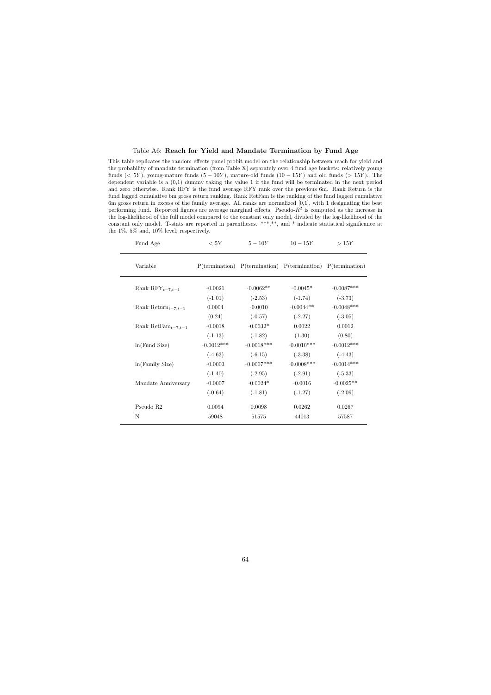### Table A6: Reach for Yield and Mandate Termination by Fund Age

This table replicates the random effects panel probit model on the relationship between reach for yield and the probability of mandate termination (from Table X) separately over 4 fund age buckets: relatively young funds ( $\lt 5Y$ ), young-mature funds (5 − 10Y), mature-old funds (10 − 15Y) and old funds (> 15Y). The dependent variable is a (0,1) dummy taking the value 1 if the fund will be terminated in the next period and zero otherwise. Rank RFY is the fund average RFY rank over the previous 6m. Rank Return is the fund lagged cumulative 6m gross return ranking. Rank RetFam is the ranking of the fund lagged cumulative 6m gross return in excess of the family average. All ranks are normalized [0,1], with 1 designating the best performing fund. Reported figures are average marginal effects. Pseudo- $R^2$  is computed as the increase in the log-likelihood of the full model compared to the constant only model, divided by the log-likelihood of the constant only model. T-stats are reported in parentheses. \*\*\*,\*\*, and \* indicate statistical significance at the 1%, 5% and, 10% level, respectively.

<span id="page-65-0"></span>

| Fund Age                                    | < 5Y         | $5-10Y$      | $10 - 15Y$                                                                                                              | >15Y         |
|---------------------------------------------|--------------|--------------|-------------------------------------------------------------------------------------------------------------------------|--------------|
| Variable                                    |              |              | $P(\text{termination})$ $P(\text{termination})$ $P(\text{termination})$ $P(\text{termination})$ $P(\text{termination})$ |              |
| Rank $\text{RFY}_{t-7,t-1}$                 | $-0.0021$    | $-0.0062**$  | $-0.0045*$                                                                                                              | $-0.0087***$ |
|                                             | $(-1.01)$    | $(-2.53)$    | $(-1.74)$                                                                                                               | $(-3.73)$    |
| Rank Return $_{t-7,t-1}$                    | 0.0004       | $-0.0010$    | $-0.0044**$                                                                                                             | $-0.0048***$ |
|                                             | (0.24)       | $(-0.57)$    | $(-2.27)$                                                                                                               | $(-3.05)$    |
| Rank RetFam <sub><math>t-7,t-1</math></sub> | $-0.0018$    | $-0.0032*$   | 0.0022                                                                                                                  | 0.0012       |
|                                             | $(-1.13)$    | $(-1.82)$    | (1.30)                                                                                                                  | (0.80)       |
| ln(Fund Size)                               | $-0.0012***$ | $-0.0018***$ | $-0.0010***$                                                                                                            | $-0.0012***$ |
|                                             | $(-4.63)$    | $(-6.15)$    | $(-3.38)$                                                                                                               | $(-4.43)$    |
| ln(Family Size)                             | $-0.0003$    | $-0.0007***$ | $-0.0008$ ***                                                                                                           | $-0.0014***$ |
|                                             | $(-1.40)$    | $(-2.95)$    | $(-2.91)$                                                                                                               | $(-5.33)$    |
| Mandate Anniversary                         | $-0.0007$    | $-0.0024*$   | $-0.0016$                                                                                                               | $-0.0025**$  |
|                                             | $(-0.64)$    | $(-1.81)$    | $(-1.27)$                                                                                                               | $(-2.09)$    |
| Pseudo R <sub>2</sub>                       | 0.0094       | 0.0098       | 0.0262                                                                                                                  | 0.0267       |
| N                                           | 59048        | 51575        | 44013                                                                                                                   | 57587        |
|                                             |              |              |                                                                                                                         |              |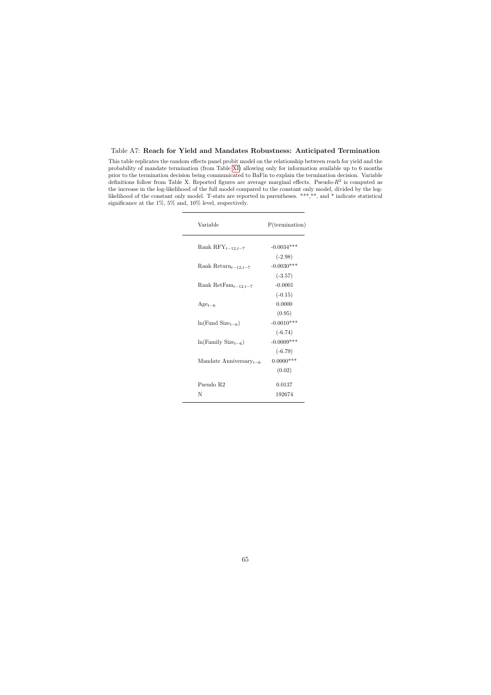### Table A7: Reach for Yield and Mandates Robustness: Anticipated Termination

<span id="page-66-0"></span>This table replicates the random effects panel probit model on the relationship between reach for yield and the probability of mandate termination (from Table [XI\)](#page-57-0) allowing only for information available up to 6 months prior to the termination decision being communicated to BaFin to explain the termination decision. Variable definitions follow from Table X. Reported figures are average marginal effects. Pseudo- $R^2$  is computed as the increase in the log-likelihood of the full model compared to the constant only model, divided by the loglikelihood of the constant only model. T-stats are reported in parentheses. \*\*\*,\*\*, and \* indicate statistical significance at the 1%, 5% and, 10% level, respectively.

| Variable                                     | $P(\text{termination})$ |
|----------------------------------------------|-------------------------|
| Rank $\text{RFY}_{t-12,t-7}$                 | $-0.0034***$            |
|                                              | $(-2.98)$               |
| Rank Return $_{t-12,t-7}$                    | $-0.0030***$            |
|                                              | $(-3.57)$               |
| Rank RetFam <sub><math>t-12,t-7</math></sub> | $-0.0001$               |
|                                              | $(-0.15)$               |
| $\mathrm{Age}_{t-6}$                         | 0.0000                  |
|                                              | (0.95)                  |
| $ln(Fund Size_{t-6})$                        | $-0.0010***$            |
|                                              | $(-6.74)$               |
| $ln(Family Sizet-6)$                         | $-0.0009***$            |
|                                              | $(-6.79)$               |
| Mandate Anniversary $_{t-6}$                 | $0.0000$ ***            |
|                                              | (0.02)                  |
| Pseudo R <sub>2</sub>                        | 0.0137                  |
| N                                            | 192674                  |
|                                              |                         |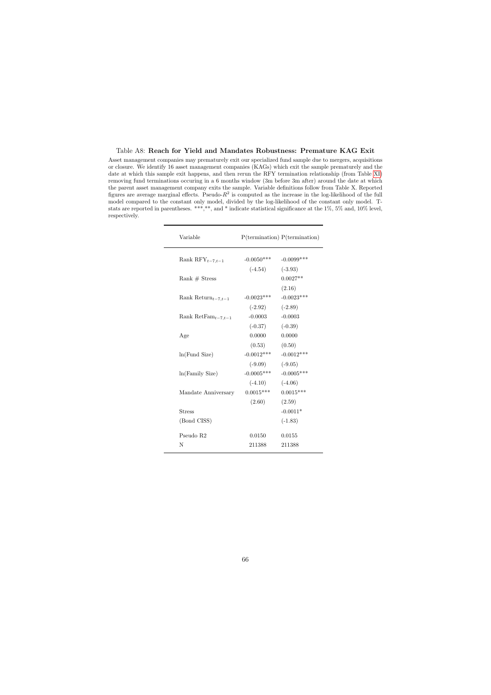### Table A8: Reach for Yield and Mandates Robustness: Premature KAG Exit

<span id="page-67-0"></span>Asset management companies may prematurely exit our specialized fund sample due to mergers, acquisitions or closure. We identify 16 asset management companies (KAGs) which exit the sample prematurely and the date at which this sample exit happens, and then rerun the RFY termination relationship (from Table [XI\)](#page-57-0) removing fund terminations occuring in a 6 months window (3m before 3m after) around the date at which the parent asset management company exits the sample. Variable definitions follow from Table X. Reported figures are average marginal effects. Pseudo- $R^2$  is computed as the increase in the log-likelihood of the full model compared to the constant only model, divided by the log-likelihood of the constant only model. Tstats are reported in parentheses. \*\*\*,\*\*, and \* indicate statistical significance at the 1%, 5% and, 10% level, respectively.

| Variable                                    |              | $P(\text{termination}) P(\text{termination})$ |
|---------------------------------------------|--------------|-----------------------------------------------|
| Rank $RFY_{t-7,t-1}$                        | $-0.0050***$ | $-0.0099$ ***                                 |
|                                             | $(-4.54)$    | $(-3.93)$                                     |
| Rank $#$ Stress                             |              | $0.0027**$                                    |
|                                             |              | (2.16)                                        |
| Rank Return $_{t-7,t-1}$                    | $-0.0023***$ | $-0.0023***$                                  |
|                                             | $(-2.92)$    | $(-2.89)$                                     |
| Rank RetFam <sub><math>t-7,t-1</math></sub> | $-0.0003$    | $-0.0003$                                     |
|                                             | $(-0.37)$    | $(-0.39)$                                     |
| Age                                         | 0.0000       | 0.0000                                        |
|                                             | (0.53)       | (0.50)                                        |
| ln(Fund Size)                               | $-0.0012***$ | $-0.0012***$                                  |
|                                             | $(-9.09)$    | $(-9.05)$                                     |
| ln(Family Size)                             | $-0.0005***$ | $-0.0005***$                                  |
|                                             | $(-4.10)$    | $(-4.06)$                                     |
| Mandate Anniversary                         | $0.0015***$  | $0.0015***$                                   |
|                                             | (2.60)       | (2.59)                                        |
| <b>Stress</b>                               |              | $-0.0011*$                                    |
| (Bond CISS)                                 |              | $(-1.83)$                                     |
| Pseudo R <sub>2</sub>                       | 0.0150       | 0.0155                                        |
| N                                           | 211388       | 211388                                        |
|                                             |              |                                               |